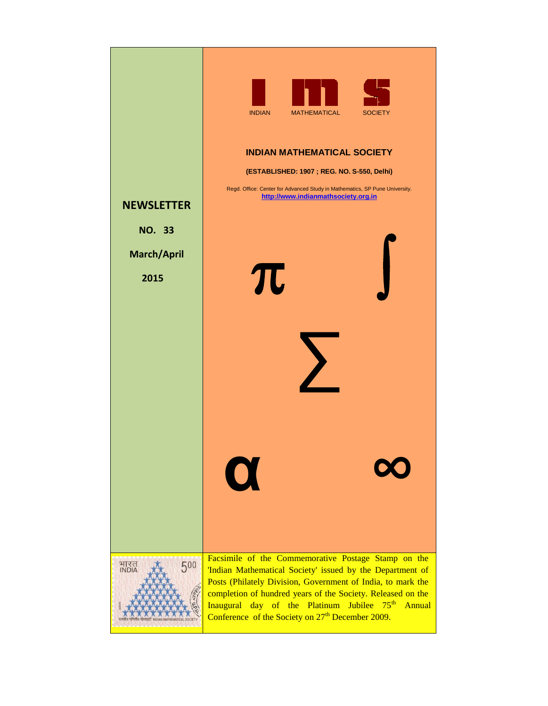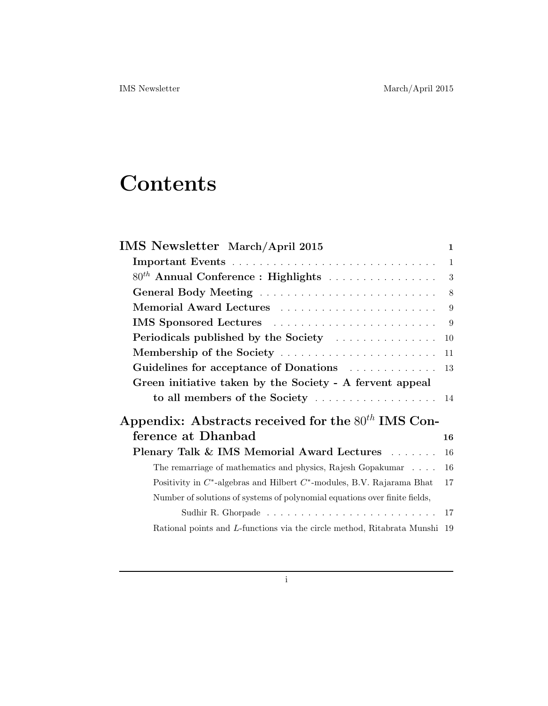# **Contents**

| <b>IMS</b> Newsletter March/April 2015                                       | $\mathbf{1}$   |
|------------------------------------------------------------------------------|----------------|
|                                                                              | $\overline{1}$ |
| $80^{th}$ Annual Conference : Highlights                                     | 3              |
|                                                                              | 8              |
| Memorial Award Lectures                                                      | 9              |
| IMS Sponsored Lectures                                                       | 9              |
| Periodicals published by the Society                                         | 10             |
| Membership of the Society                                                    | 11             |
| Guidelines for acceptance of Donations                                       | 13             |
| Green initiative taken by the Society - A fervent appeal                     |                |
|                                                                              |                |
| Appendix: Abstracts received for the $80^{th}$ IMS Con-                      |                |
| ference at Dhanbad                                                           | 16             |
| Plenary Talk & IMS Memorial Award Lectures                                   | 16             |
| The remarriage of mathematics and physics, Rajesh Gopakumar                  | 16             |
| Positivity in $C^*$ -algebras and Hilbert $C^*$ -modules, B.V. Rajarama Bhat | 17             |
| Number of solutions of systems of polynomial equations over finite fields,   |                |
|                                                                              | 17             |
| Rational points and L-functions via the circle method, Ritabrata Munshi 19   |                |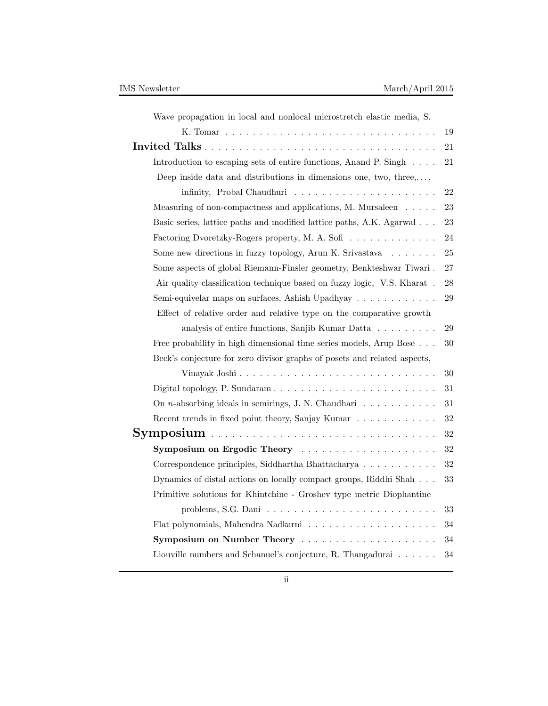| Wave propagation in local and nonlocal microstretch elastic media, S.                |    |
|--------------------------------------------------------------------------------------|----|
|                                                                                      | 19 |
|                                                                                      | 21 |
| Introduction to escaping sets of entire functions, Anand P. Singh                    | 21 |
| Deep inside data and distributions in dimensions one, two, three,,                   |    |
| infinity, Probal Chaudhuri $\ldots \ldots \ldots \ldots \ldots \ldots$               | 22 |
| Measuring of non-compactness and applications, M. Mursaleen                          | 23 |
| Basic series, lattice paths and modified lattice paths, A.K. Agarwal                 | 23 |
| Factoring Dvoretzky-Rogers property, M. A. Sofi                                      | 24 |
| Some new directions in fuzzy topology, Arun K. Srivastava $\ldots \ldots$            | 25 |
| Some aspects of global Riemann-Finsler geometry, Benkteshwar Tiwari .                | 27 |
| Air quality classification technique based on fuzzy logic, V.S. Kharat.              | 28 |
| Semi-equivelar maps on surfaces, Ashish Upadhyay                                     | 29 |
| Effect of relative order and relative type on the comparative growth                 |    |
| analysis of entire functions, Sanjib Kumar Datta                                     | 29 |
| Free probability in high dimensional time series models, Arup Bose                   | 30 |
| Beck's conjecture for zero divisor graphs of posets and related aspects,             |    |
| Vinayak Joshi                                                                        | 30 |
|                                                                                      | 31 |
| On <i>n</i> -absorbing ideals in semirings, J. N. Chaudhari $\ldots \ldots \ldots$   | 31 |
| Recent trends in fixed point theory, Sanjay Kumar                                    | 32 |
|                                                                                      | 32 |
| Symposium on Ergodic Theory                                                          | 32 |
| Correspondence principles, Siddhartha Bhattacharya                                   | 32 |
| Dynamics of distal actions on locally compact groups, Riddhi Shah                    | 33 |
| Primitive solutions for Khintchine - Groshev type metric Diophantine                 |    |
| problems, S.G. Dani $\ldots \ldots \ldots \ldots \ldots \ldots \ldots \ldots \ldots$ | 33 |
|                                                                                      | 34 |
| Symposium on Number Theory                                                           | 34 |
| Liouville numbers and Schanuel's conjecture, R. Thangadurai                          | 34 |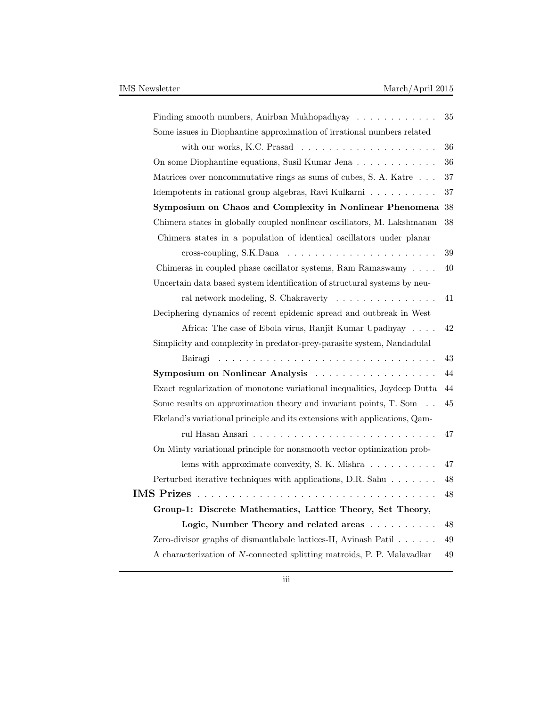| Finding smooth numbers, Anirban Mukhopadhyay $\ldots \ldots \ldots \ldots$      | $35\,$ |
|---------------------------------------------------------------------------------|--------|
| Some issues in Diophantine approximation of irrational numbers related          |        |
|                                                                                 | 36     |
| On some Diophantine equations, Susil Kumar Jena                                 | 36     |
| Matrices over noncommutative rings as sums of cubes, S. A. Katre                | 37     |
| Idempotents in rational group algebras, Ravi Kulkarni                           | 37     |
| Symposium on Chaos and Complexity in Nonlinear Phenomena                        | 38     |
| Chimera states in globally coupled nonlinear oscillators, M. Lakshmanan         | 38     |
| Chimera states in a population of identical oscillators under planar            |        |
| cross-coupling, S.K.Dana $\ldots \ldots \ldots \ldots \ldots \ldots \ldots$     | 39     |
| Chimeras in coupled phase oscillator systems, Ram Ramaswamy                     | 40     |
| Uncertain data based system identification of structural systems by neu-        |        |
| ral network modeling, S. Chakraverty                                            | 41     |
| Deciphering dynamics of recent epidemic spread and outbreak in West             |        |
| Africa: The case of Ebola virus, Ranjit Kumar Upadhyay                          | 42     |
| Simplicity and complexity in predator-prey-parasite system, Nandadulal          |        |
| Bairagi<br><u>. Kanada a sa kasa sa kasa sa kasa sa kasa sa kasa sa kasa sa</u> | 43     |
| Symposium on Nonlinear Analysis                                                 | 44     |
| Exact regularization of monotone variational inequalities, Joydeep Dutta        | $44\,$ |
| Some results on approximation theory and invariant points, $T.$ Som $\ldots$    | 45     |
| Ekeland's variational principle and its extensions with applications, Qam-      |        |
|                                                                                 | 47     |
| On Minty variational principle for nonsmooth vector optimization prob-          |        |
| lems with approximate convexity, S. K. Mishra $\dots \dots \dots$               | 47     |
| Perturbed iterative techniques with applications, D.R. Sahu                     | 48     |
| <b>IMS Prizes</b>                                                               | 48     |
| Group-1: Discrete Mathematics, Lattice Theory, Set Theory,                      |        |
| Logic, Number Theory and related areas                                          | 48     |
| Zero-divisor graphs of dismantlabale lattices-II, Avinash Patil $\dots \dots$   | 49     |
| A characterization of N-connected splitting matroids, P. P. Malavadkar          | 49     |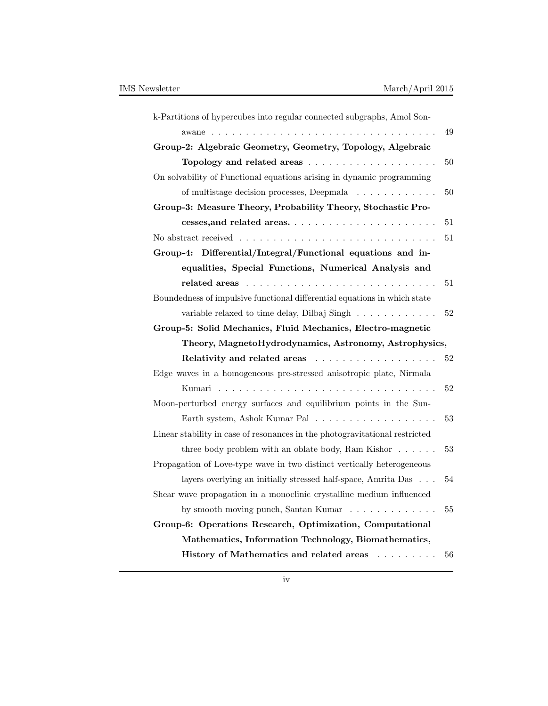| k-Partitions of hypercubes into regular connected subgraphs, Amol Son-                      |    |
|---------------------------------------------------------------------------------------------|----|
|                                                                                             | 49 |
| Group-2: Algebraic Geometry, Geometry, Topology, Algebraic                                  |    |
|                                                                                             | 50 |
| On solvability of Functional equations arising in dynamic programming                       |    |
| $50\,$<br>of multistage decision processes, Deepmala                                        |    |
| Group-3: Measure Theory, Probability Theory, Stochastic Pro-                                |    |
| 51                                                                                          |    |
| No abstract received $\ldots \ldots \ldots \ldots \ldots \ldots \ldots \ldots \ldots$<br>51 |    |
| Group-4: Differential/Integral/Functional equations and in-                                 |    |
| equalities, Special Functions, Numerical Analysis and                                       |    |
| 51                                                                                          |    |
| Boundedness of impulsive functional differential equations in which state                   |    |
| variable relaxed to time delay, Dilbaj Singh $\dots \dots \dots$<br>52                      |    |
| Group-5: Solid Mechanics, Fluid Mechanics, Electro-magnetic                                 |    |
|                                                                                             |    |
| Theory, MagnetoHydrodynamics, Astronomy, Astrophysics,                                      |    |
|                                                                                             | 52 |
| Edge waves in a homogeneous pre-stressed anisotropic plate, Nirmala                         |    |
| 52                                                                                          |    |
| Moon-perturbed energy surfaces and equilibrium points in the Sun-                           |    |
| 53                                                                                          |    |
| Linear stability in case of resonances in the photogravitational restricted                 |    |
| three body problem with an oblate body, Ram Kishor $\dots \dots$<br>53                      |    |
| Propagation of Love-type wave in two distinct vertically heterogeneous                      |    |
| layers overlying an initially stressed half-space, Amrita Das<br>54                         |    |
| Shear wave propagation in a monoclinic crystalline medium influenced                        |    |
| by smooth moving punch, Santan Kumar                                                        | 55 |
| Group-6: Operations Research, Optimization, Computational                                   |    |
| Mathematics, Information Technology, Biomathematics,                                        |    |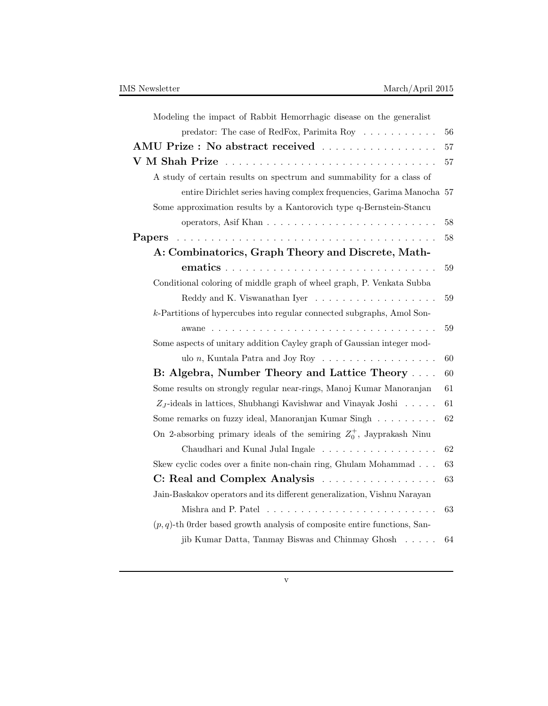| Modeling the impact of Rabbit Hemorrhagic disease on the generalist                     |    |
|-----------------------------------------------------------------------------------------|----|
| predator: The case of RedFox, Parimita Roy $\ldots \ldots \ldots$                       | 56 |
| $\mathbf{AMU}$ Prize : No abstract received $\ldots \ldots \ldots \ldots \ldots \ldots$ | 57 |
| V M Shah Prize                                                                          | 57 |
| A study of certain results on spectrum and summability for a class of                   |    |
| entire Dirichlet series having complex frequencies, Garima Manocha 57                   |    |
| Some approximation results by a Kantorovich type q-Bernstein-Stancu                     |    |
|                                                                                         | 58 |
| Papers                                                                                  | 58 |
| A: Combinatorics, Graph Theory and Discrete, Math-                                      |    |
|                                                                                         | 59 |
| Conditional coloring of middle graph of wheel graph, P. Venkata Subba                   |    |
|                                                                                         | 59 |
| k-Partitions of hypercubes into regular connected subgraphs, Amol Son-                  |    |
|                                                                                         | 59 |
| Some aspects of unitary addition Cayley graph of Gaussian integer mod-                  |    |
| ulo $n$ , Kuntala Patra and Joy Roy $\dots \dots \dots \dots \dots \dots$               | 60 |
| B: Algebra, Number Theory and Lattice Theory                                            | 60 |
| Some results on strongly regular near-rings, Manoj Kumar Manoranjan                     | 61 |
| $Z_J$ -ideals in lattices, Shubhangi Kavishwar and Vinayak Joshi                        | 61 |
| Some remarks on fuzzy ideal, Manoranjan Kumar Singh                                     | 62 |
| On 2-absorbing primary ideals of the semiring $Z_0^+$ , Jayprakash Ninu                 |    |
| Chaudhari and Kunal Julal Ingale                                                        | 62 |
| Skew cyclic codes over a finite non-chain ring, Ghulam Mohammad                         | 63 |
| C: Real and Complex Analysis                                                            | 63 |
| Jain-Baskakov operators and its different generalization, Vishnu Narayan                |    |
|                                                                                         | 63 |
| $(p, q)$ -th Order based growth analysis of composite entire functions, San-            |    |
| jib Kumar Datta, Tanmay Biswas and Chinmay Ghosh                                        | 64 |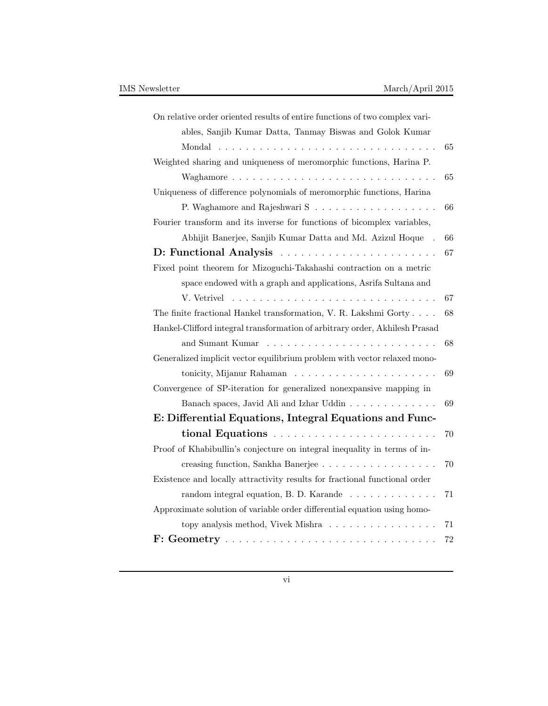| On relative order oriented results of entire functions of two complex vari-         |    |
|-------------------------------------------------------------------------------------|----|
| ables, Sanjib Kumar Datta, Tanmay Biswas and Golok Kumar                            |    |
|                                                                                     | 65 |
| Weighted sharing and uniqueness of meromorphic functions, Harina P.                 |    |
|                                                                                     | 65 |
| Uniqueness of difference polynomials of meromorphic functions, Harina               |    |
|                                                                                     | 66 |
| Fourier transform and its inverse for functions of bicomplex variables,             |    |
| Abhijit Banerjee, Sanjib Kumar Datta and Md. Azizul Hoque                           | 66 |
| D: Functional Analysis                                                              | 67 |
| Fixed point theorem for Mizoguchi-Takahashi contraction on a metric                 |    |
| space endowed with a graph and applications, Asrifa Sultana and                     |    |
|                                                                                     | 67 |
| The finite fractional Hankel transformation, V. R. Lakshmi Gorty                    | 68 |
| Hankel-Clifford integral transformation of arbitrary order, Akhilesh Prasad         |    |
|                                                                                     | 68 |
| Generalized implicit vector equilibrium problem with vector relaxed mono-           |    |
|                                                                                     | 69 |
| Convergence of SP-iteration for generalized nonexpansive mapping in                 |    |
| Banach spaces, Javid Ali and Izhar Uddin                                            | 69 |
| E: Differential Equations, Integral Equations and Func-                             |    |
|                                                                                     | 70 |
| Proof of Khabibullin's conjecture on integral inequality in terms of in-            |    |
| creasing function, Sankha Banerjee                                                  | 70 |
| Existence and locally attractivity results for fractional functional order          |    |
| random integral equation, B. D. Karande $\ldots \ldots \ldots \ldots$               | 71 |
| Approximate solution of variable order differential equation using homo-            |    |
| topy analysis method, Vivek Mishra                                                  | 71 |
| $F: Geometry \ldots \ldots \ldots \ldots \ldots \ldots \ldots \ldots \ldots \ldots$ | 72 |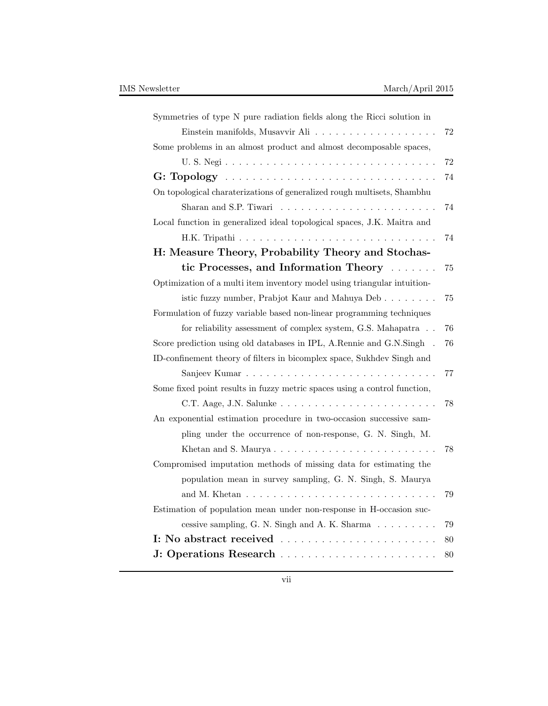| Symmetries of type N pure radiation fields along the Ricci solution in     |    |
|----------------------------------------------------------------------------|----|
|                                                                            | 72 |
| Some problems in an almost product and almost decomposable spaces,         |    |
|                                                                            | 72 |
|                                                                            | 74 |
| On topological charaterizations of generalized rough multisets, Shambhu    |    |
|                                                                            | 74 |
| Local function in generalized ideal topological spaces, J.K. Maitra and    |    |
|                                                                            | 74 |
| H: Measure Theory, Probability Theory and Stochas-                         |    |
| tic Processes, and Information Theory                                      | 75 |
| Optimization of a multi item inventory model using triangular intuition-   |    |
| istic fuzzy number, Prabjot Kaur and Mahuya Deb                            | 75 |
| Formulation of fuzzy variable based non-linear programming techniques      |    |
| for reliability assessment of complex system, G.S. Mahapatra               | 76 |
| Score prediction using old databases in IPL, A.Rennie and G.N.Singh.       | 76 |
| ID-confinement theory of filters in bicomplex space, Sukhdev Singh and     |    |
|                                                                            | 77 |
| Some fixed point results in fuzzy metric spaces using a control function,  |    |
| C.T. Aage, J.N. Salunke                                                    | 78 |
| An exponential estimation procedure in two-occasion successive sam-        |    |
| pling under the occurrence of non-response, G. N. Singh, M.                |    |
|                                                                            | 78 |
| Compromised imputation methods of missing data for estimating the          |    |
| population mean in survey sampling, G. N. Singh, S. Maurya                 |    |
|                                                                            | 79 |
| Estimation of population mean under non-response in H-occasion suc-        |    |
| cessive sampling, G. N. Singh and A. K. Sharma $\ldots \ldots \ldots$      | 79 |
| I: No abstract received $\ldots \ldots \ldots \ldots \ldots \ldots \ldots$ | 80 |
|                                                                            | 80 |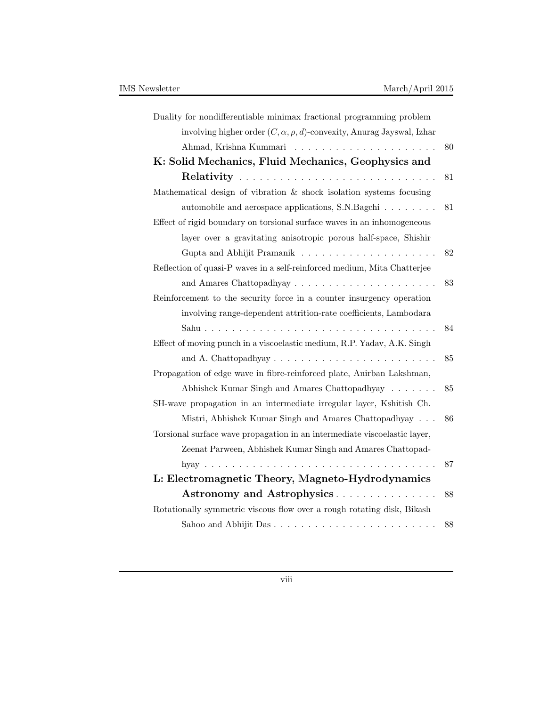| Duality for nondifferentiable minimax fractional programming problem            |    |
|---------------------------------------------------------------------------------|----|
| involving higher order $(C, \alpha, \rho, d)$ -convexity, Anurag Jayswal, Izhar |    |
|                                                                                 | 80 |
| K: Solid Mechanics, Fluid Mechanics, Geophysics and                             |    |
|                                                                                 | 81 |
| Mathematical design of vibration & shock isolation systems focusing             |    |
| automobile and aerospace applications, S.N.Bagchi                               | 81 |
| Effect of rigid boundary on torsional surface waves in an inhomogeneous         |    |
| layer over a gravitating anisotropic porous half-space, Shishir                 |    |
|                                                                                 | 82 |
| Reflection of quasi-P waves in a self-reinforced medium, Mita Chatterjee        |    |
|                                                                                 | 83 |
| Reinforcement to the security force in a counter insurgency operation           |    |
| involving range-dependent attrition-rate coefficients, Lambodara                |    |
|                                                                                 | 84 |
| Effect of moving punch in a viscoelastic medium, R.P. Yadav, A.K. Singh         |    |
| and A. Chattopadhyay $\ldots \ldots \ldots \ldots \ldots \ldots \ldots \ldots$  | 85 |
| Propagation of edge wave in fibre-reinforced plate, Anirban Lakshman,           |    |
| Abhishek Kumar Singh and Amares Chattopadhyay                                   | 85 |
| SH-wave propagation in an intermediate irregular layer, Kshitish Ch.            |    |
| Mistri, Abhishek Kumar Singh and Amares Chattopadhyay                           | 86 |
| Torsional surface wave propagation in an intermediate viscoelastic layer,       |    |
| Zeenat Parween, Abhishek Kumar Singh and Amares Chattopad-                      |    |
|                                                                                 | 87 |
| L: Electromagnetic Theory, Magneto-Hydrodynamics                                |    |
| Astronomy and Astrophysics                                                      | 88 |
| Rotationally symmetric viscous flow over a rough rotating disk, Bikash          |    |
| Sahoo and Abhijit Das                                                           | 88 |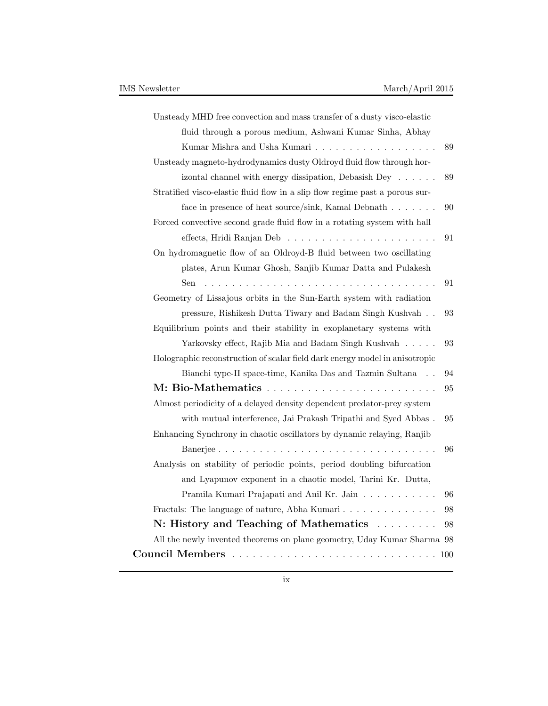| Unsteady MHD free convection and mass transfer of a dusty visco-elastic      |    |
|------------------------------------------------------------------------------|----|
| fluid through a porous medium, Ashwani Kumar Sinha, Abhay                    |    |
|                                                                              | 89 |
| Unsteady magneto-hydrodynamics dusty Oldroyd fluid flow through hor-         |    |
| izontal channel with energy dissipation, Debasish Dey                        | 89 |
| Stratified visco-elastic fluid flow in a slip flow regime past a porous sur- |    |
| face in presence of heat source/sink, Kamal Debnath $\ldots \ldots$          | 90 |
| Forced convective second grade fluid flow in a rotating system with hall     |    |
|                                                                              | 91 |
| On hydromagnetic flow of an Oldroyd-B fluid between two oscillating          |    |
| plates, Arun Kumar Ghosh, Sanjib Kumar Datta and Pulakesh                    |    |
| Sen                                                                          | 91 |
| Geometry of Lissajous orbits in the Sun-Earth system with radiation          |    |
| pressure, Rishikesh Dutta Tiwary and Badam Singh Kushvah $\,$ .              | 93 |
| Equilibrium points and their stability in exoplanetary systems with          |    |
| Yarkovsky effect, Rajib Mia and Badam Singh Kushvah                          | 93 |
| Holographic reconstruction of scalar field dark energy model in anisotropic  |    |
| Bianchi type-II space-time, Kanika Das and Tazmin Sultana                    | 94 |
|                                                                              | 95 |
| Almost periodicity of a delayed density dependent predator-prey system       |    |
| with mutual interference, Jai Prakash Tripathi and Syed Abbas.               | 95 |
| Enhancing Synchrony in chaotic oscillators by dynamic relaying, Ranjib       |    |
|                                                                              | 96 |
| Analysis on stability of periodic points, period doubling bifurcation        |    |
| and Lyapunov exponent in a chaotic model, Tarini Kr. Dutta,                  |    |
| Pramila Kumari Prajapati and Anil Kr. Jain                                   | 96 |
| Fractals: The language of nature, Abha Kumari                                | 98 |
| N: History and Teaching of Mathematics                                       | 98 |
| All the newly invented theorems on plane geometry, Uday Kumar Sharma 98      |    |
|                                                                              |    |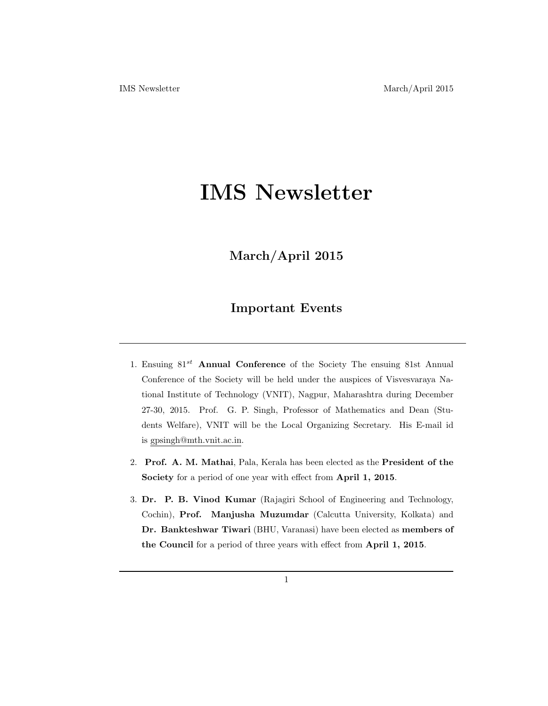# **IMS Newsletter**

# **March/April 2015**

# **Important Events**

- 1. Ensuing 81*st* **Annual Conference** of the Society The ensuing 81st Annual Conference of the Society will be held under the auspices of Visvesvaraya National Institute of Technology (VNIT), Nagpur, Maharashtra during December 27-30, 2015. Prof. G. P. Singh, Professor of Mathematics and Dean (Students Welfare), VNIT will be the Local Organizing Secretary. His E-mail id is gpsingh@mth.vnit.ac.in.
- 2. **Prof. A. M. Mathai**, Pala, Kerala has been elected as the **President of the Society** for a period of one year with effect from **April 1, 2015**.
- 3. **Dr. P. B. Vinod Kumar** (Rajagiri School of Engineering and Technology, Cochin), **Prof. Manjusha Muzumdar** (Calcutta University, Kolkata) and **Dr. Bankteshwar Tiwari** (BHU, Varanasi) have been elected as **members of the Council** for a period of three years with effect from **April 1, 2015**.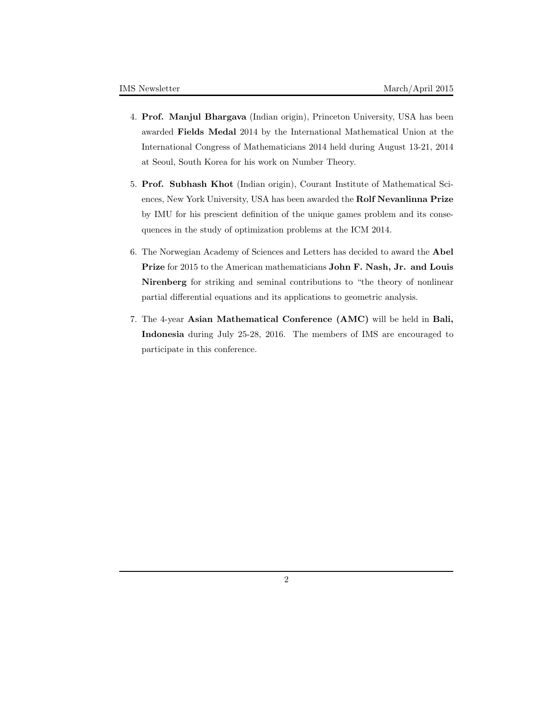- 4. **Prof. Manjul Bhargava** (Indian origin), Princeton University, USA has been awarded **Fields Medal** 2014 by the International Mathematical Union at the International Congress of Mathematicians 2014 held during August 13-21, 2014 at Seoul, South Korea for his work on Number Theory.
- 5. **Prof. Subhash Khot** (Indian origin), Courant Institute of Mathematical Sciences, New York University, USA has been awarded the **Rolf Nevanlinna Prize** by IMU for his prescient definition of the unique games problem and its consequences in the study of optimization problems at the ICM 2014.
- 6. The Norwegian Academy of Sciences and Letters has decided to award the **Abel Prize** for 2015 to the American mathematicians **John F. Nash, Jr. and Louis Nirenberg** for striking and seminal contributions to "the theory of nonlinear partial differential equations and its applications to geometric analysis.
- 7. The 4-year **Asian Mathematical Conference (AMC)** will be held in **Bali, Indonesia** during July 25-28, 2016. The members of IMS are encouraged to participate in this conference.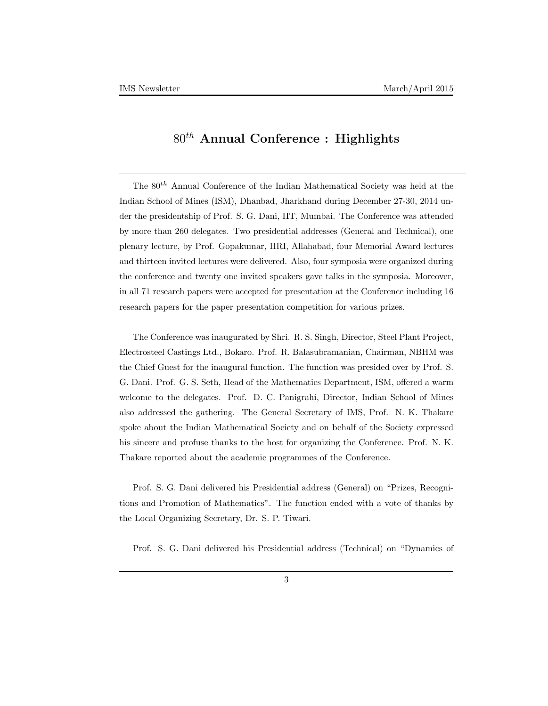# 80*th* **Annual Conference : Highlights**

The 80*th* Annual Conference of the Indian Mathematical Society was held at the Indian School of Mines (ISM), Dhanbad, Jharkhand during December 27-30, 2014 under the presidentship of Prof. S. G. Dani, IIT, Mumbai. The Conference was attended by more than 260 delegates. Two presidential addresses (General and Technical), one plenary lecture, by Prof. Gopakumar, HRI, Allahabad, four Memorial Award lectures and thirteen invited lectures were delivered. Also, four symposia were organized during the conference and twenty one invited speakers gave talks in the symposia. Moreover, in all 71 research papers were accepted for presentation at the Conference including 16 research papers for the paper presentation competition for various prizes.

The Conference was inaugurated by Shri. R. S. Singh, Director, Steel Plant Project, Electrosteel Castings Ltd., Bokaro. Prof. R. Balasubramanian, Chairman, NBHM was the Chief Guest for the inaugural function. The function was presided over by Prof. S. G. Dani. Prof. G. S. Seth, Head of the Mathematics Department, ISM, offered a warm welcome to the delegates. Prof. D. C. Panigrahi, Director, Indian School of Mines also addressed the gathering. The General Secretary of IMS, Prof. N. K. Thakare spoke about the Indian Mathematical Society and on behalf of the Society expressed his sincere and profuse thanks to the host for organizing the Conference. Prof. N. K. Thakare reported about the academic programmes of the Conference.

Prof. S. G. Dani delivered his Presidential address (General) on "Prizes, Recognitions and Promotion of Mathematics". The function ended with a vote of thanks by the Local Organizing Secretary, Dr. S. P. Tiwari.

Prof. S. G. Dani delivered his Presidential address (Technical) on "Dynamics of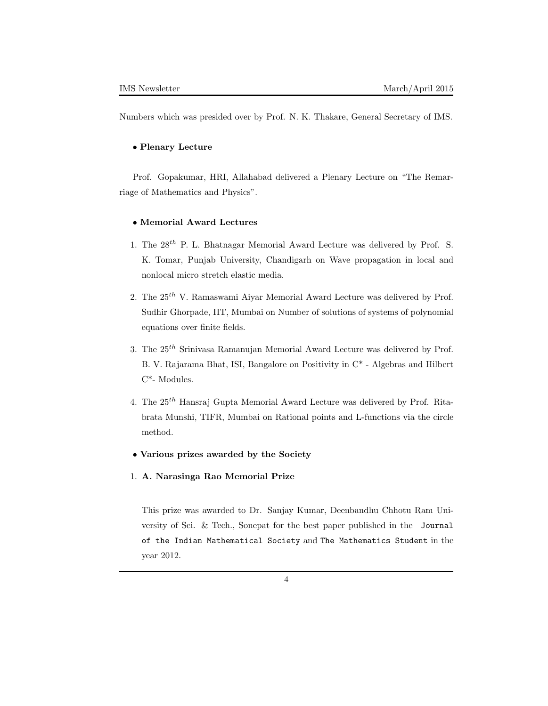Numbers which was presided over by Prof. N. K. Thakare, General Secretary of IMS.

#### *•* **Plenary Lecture**

Prof. Gopakumar, HRI, Allahabad delivered a Plenary Lecture on "The Remarriage of Mathematics and Physics".

### *•* **Memorial Award Lectures**

- 1. The 28*th* P. L. Bhatnagar Memorial Award Lecture was delivered by Prof. S. K. Tomar, Punjab University, Chandigarh on Wave propagation in local and nonlocal micro stretch elastic media.
- 2. The 25*th* V. Ramaswami Aiyar Memorial Award Lecture was delivered by Prof. Sudhir Ghorpade, IIT, Mumbai on Number of solutions of systems of polynomial equations over finite fields.
- 3. The 25*th* Srinivasa Ramanujan Memorial Award Lecture was delivered by Prof. B. V. Rajarama Bhat, ISI, Bangalore on Positivity in C\* - Algebras and Hilbert C\*- Modules.
- 4. The 25*th* Hansraj Gupta Memorial Award Lecture was delivered by Prof. Ritabrata Munshi, TIFR, Mumbai on Rational points and L-functions via the circle method.
- *•* **Various prizes awarded by the Society**
- 1. **A. Narasinga Rao Memorial Prize**

This prize was awarded to Dr. Sanjay Kumar, Deenbandhu Chhotu Ram University of Sci. & Tech., Sonepat for the best paper published in the Journal of the Indian Mathematical Society and The Mathematics Student in the year 2012.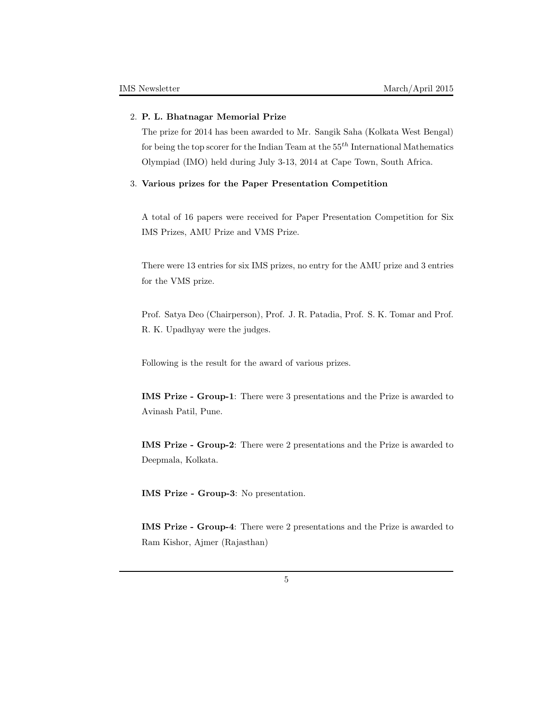### 2. **P. L. Bhatnagar Memorial Prize**

The prize for 2014 has been awarded to Mr. Sangik Saha (Kolkata West Bengal) for being the top scorer for the Indian Team at the 55*th* International Mathematics Olympiad (IMO) held during July 3-13, 2014 at Cape Town, South Africa.

### 3. **Various prizes for the Paper Presentation Competition**

A total of 16 papers were received for Paper Presentation Competition for Six IMS Prizes, AMU Prize and VMS Prize.

There were 13 entries for six IMS prizes, no entry for the AMU prize and 3 entries for the VMS prize.

Prof. Satya Deo (Chairperson), Prof. J. R. Patadia, Prof. S. K. Tomar and Prof. R. K. Upadhyay were the judges.

Following is the result for the award of various prizes.

**IMS Prize - Group-1**: There were 3 presentations and the Prize is awarded to Avinash Patil, Pune.

**IMS Prize - Group-2**: There were 2 presentations and the Prize is awarded to Deepmala, Kolkata.

**IMS Prize - Group-3**: No presentation.

**IMS Prize - Group-4**: There were 2 presentations and the Prize is awarded to Ram Kishor, Ajmer (Rajasthan)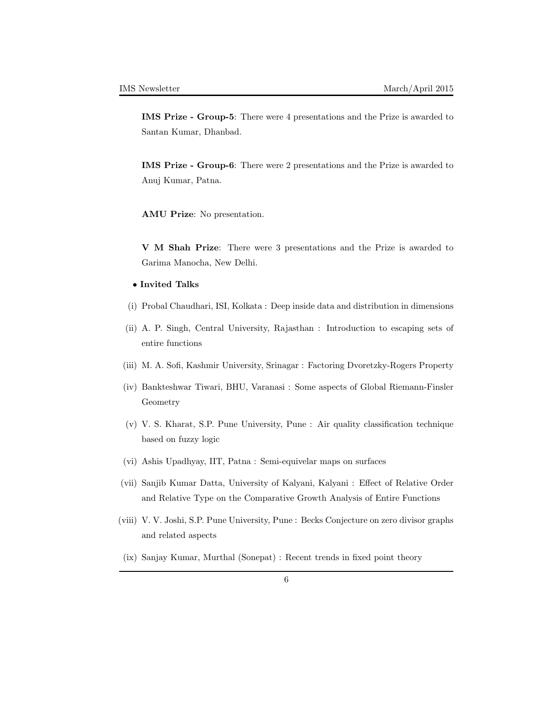**IMS Prize - Group-5**: There were 4 presentations and the Prize is awarded to Santan Kumar, Dhanbad.

**IMS Prize - Group-6**: There were 2 presentations and the Prize is awarded to Anuj Kumar, Patna.

**AMU Prize**: No presentation.

**V M Shah Prize**: There were 3 presentations and the Prize is awarded to Garima Manocha, New Delhi.

- *•* **Invited Talks**
- (i) Probal Chaudhari, ISI, Kolkata : Deep inside data and distribution in dimensions
- (ii) A. P. Singh, Central University, Rajasthan : Introduction to escaping sets of entire functions
- (iii) M. A. Sofi, Kashmir University, Srinagar : Factoring Dvoretzky-Rogers Property
- (iv) Bankteshwar Tiwari, BHU, Varanasi : Some aspects of Global Riemann-Finsler Geometry
- (v) V. S. Kharat, S.P. Pune University, Pune : Air quality classification technique based on fuzzy logic
- (vi) Ashis Upadhyay, IIT, Patna : Semi-equivelar maps on surfaces
- (vii) Sanjib Kumar Datta, University of Kalyani, Kalyani : Effect of Relative Order and Relative Type on the Comparative Growth Analysis of Entire Functions
- (viii) V. V. Joshi, S.P. Pune University, Pune : Becks Conjecture on zero divisor graphs and related aspects
- (ix) Sanjay Kumar, Murthal (Sonepat) : Recent trends in fixed point theory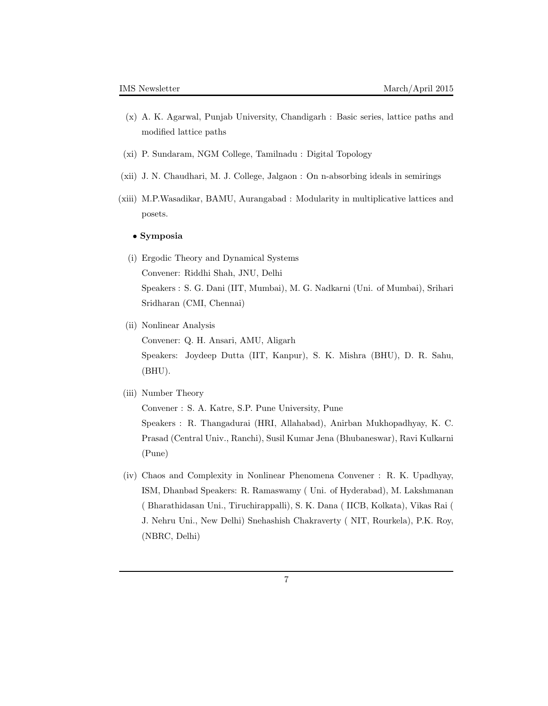- (x) A. K. Agarwal, Punjab University, Chandigarh : Basic series, lattice paths and modified lattice paths
- (xi) P. Sundaram, NGM College, Tamilnadu : Digital Topology
- (xii) J. N. Chaudhari, M. J. College, Jalgaon : On n-absorbing ideals in semirings
- (xiii) M.P.Wasadikar, BAMU, Aurangabad : Modularity in multiplicative lattices and posets.

### *•* **Symposia**

- (i) Ergodic Theory and Dynamical Systems Convener: Riddhi Shah, JNU, Delhi Speakers : S. G. Dani (IIT, Mumbai), M. G. Nadkarni (Uni. of Mumbai), Srihari Sridharan (CMI, Chennai)
- (ii) Nonlinear Analysis

Convener: Q. H. Ansari, AMU, Aligarh Speakers: Joydeep Dutta (IIT, Kanpur), S. K. Mishra (BHU), D. R. Sahu, (BHU).

(iii) Number Theory

Convener : S. A. Katre, S.P. Pune University, Pune Speakers : R. Thangadurai (HRI, Allahabad), Anirban Mukhopadhyay, K. C. Prasad (Central Univ., Ranchi), Susil Kumar Jena (Bhubaneswar), Ravi Kulkarni (Pune)

(iv) Chaos and Complexity in Nonlinear Phenomena Convener : R. K. Upadhyay, ISM, Dhanbad Speakers: R. Ramaswamy ( Uni. of Hyderabad), M. Lakshmanan ( Bharathidasan Uni., Tiruchirappalli), S. K. Dana ( IICB, Kolkata), Vikas Rai ( J. Nehru Uni., New Delhi) Snehashish Chakraverty ( NIT, Rourkela), P.K. Roy, (NBRC, Delhi)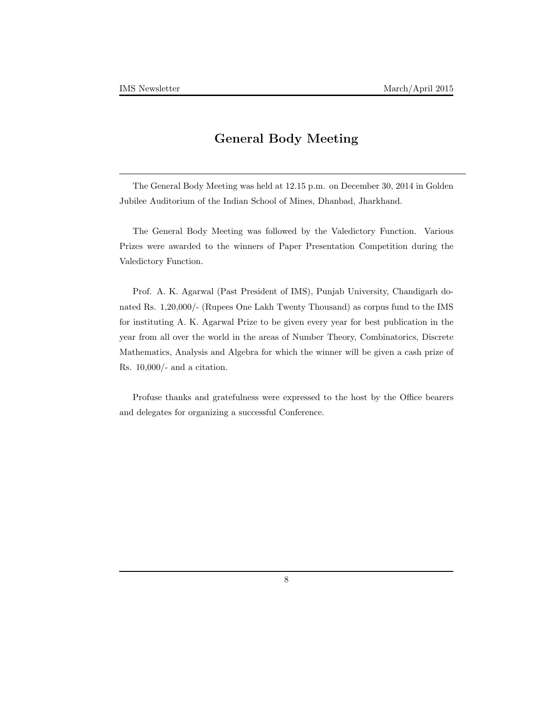# **General Body Meeting**

The General Body Meeting was held at 12.15 p.m. on December 30, 2014 in Golden Jubilee Auditorium of the Indian School of Mines, Dhanbad, Jharkhand.

The General Body Meeting was followed by the Valedictory Function. Various Prizes were awarded to the winners of Paper Presentation Competition during the Valedictory Function.

Prof. A. K. Agarwal (Past President of IMS), Punjab University, Chandigarh donated Rs. 1,20,000/- (Rupees One Lakh Twenty Thousand) as corpus fund to the IMS for instituting A. K. Agarwal Prize to be given every year for best publication in the year from all over the world in the areas of Number Theory, Combinatorics, Discrete Mathematics, Analysis and Algebra for which the winner will be given a cash prize of Rs. 10,000/- and a citation.

Profuse thanks and gratefulness were expressed to the host by the Office bearers and delegates for organizing a successful Conference.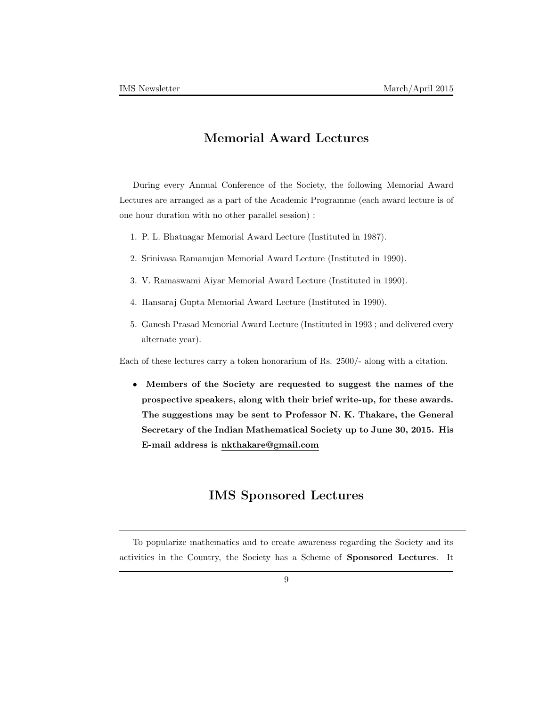# **Memorial Award Lectures**

During every Annual Conference of the Society, the following Memorial Award Lectures are arranged as a part of the Academic Programme (each award lecture is of one hour duration with no other parallel session) :

- 1. P. L. Bhatnagar Memorial Award Lecture (Instituted in 1987).
- 2. Srinivasa Ramanujan Memorial Award Lecture (Instituted in 1990).
- 3. V. Ramaswami Aiyar Memorial Award Lecture (Instituted in 1990).
- 4. Hansaraj Gupta Memorial Award Lecture (Instituted in 1990).
- 5. Ganesh Prasad Memorial Award Lecture (Instituted in 1993 ; and delivered every alternate year).

Each of these lectures carry a token honorarium of Rs. 2500/- along with a citation.

*•* **Members of the Society are requested to suggest the names of the prospective speakers, along with their brief write-up, for these awards. The suggestions may be sent to Professor N. K. Thakare, the General Secretary of the Indian Mathematical Society up to June 30, 2015. His E-mail address is nkthakare@gmail.com**

# **IMS Sponsored Lectures**

To popularize mathematics and to create awareness regarding the Society and its activities in the Country, the Society has a Scheme of **Sponsored Lectures**. It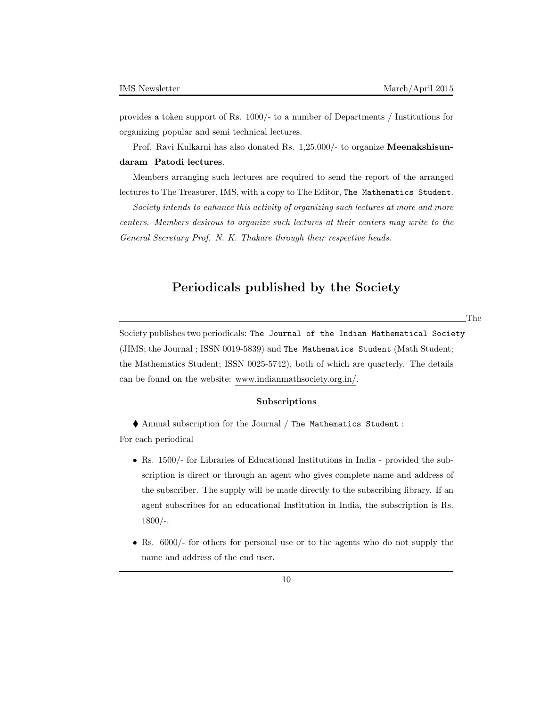provides a token support of Rs. 1000/- to a number of Departments / Institutions for organizing popular and semi technical lectures.

Prof. Ravi Kulkarni has also donated Rs. 1,25,000/- to organize **Meenakshisundaram Patodi lectures**.

Members arranging such lectures are required to send the report of the arranged lectures to The Treasurer, IMS, with a copy to The Editor, The Mathematics Student.

*Society intends to enhance this activity of organizing such lectures at more and more centers. Members desirous to organize such lectures at their centers may write to the General Secretary Prof. N. K. Thakare through their respective heads.*

### **Periodicals published by the Society**

The

Society publishes two periodicals: The Journal of the Indian Mathematical Society (JIMS; the Journal ; ISSN 0019-5839) and The Mathematics Student (Math Student; the Mathematics Student; ISSN 0025-5742), both of which are quarterly. The details can be found on the website: www.indianmathsociety.org.in/.

#### **Subscriptions**

Annual subscription for the Journal / The Mathematics Student :

For each periodical

- Rs. 1500/- for Libraries of Educational Institutions in India provided the subscription is direct or through an agent who gives complete name and address of the subscriber. The supply will be made directly to the subscribing library. If an agent subscribes for an educational Institution in India, the subscription is Rs. 1800/-.
- Rs. 6000/- for others for personal use or to the agents who do not supply the name and address of the end user.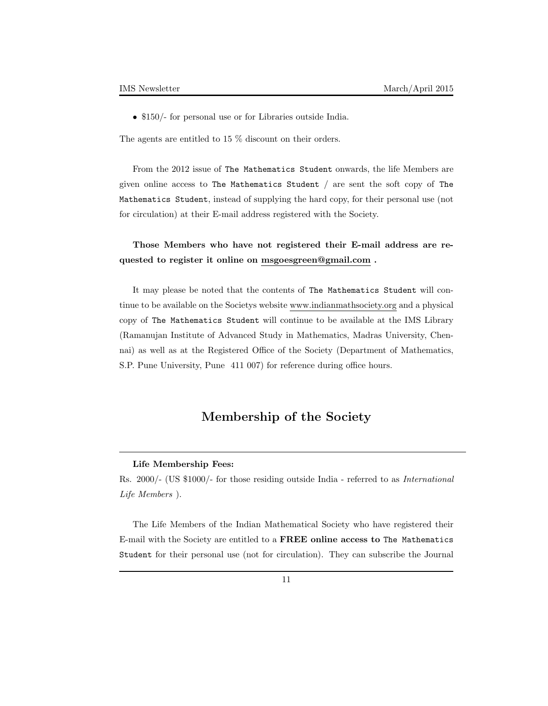• \$150/- for personal use or for Libraries outside India.

The agents are entitled to 15 % discount on their orders.

From the 2012 issue of The Mathematics Student onwards, the life Members are given online access to The Mathematics Student / are sent the soft copy of The Mathematics Student, instead of supplying the hard copy, for their personal use (not for circulation) at their E-mail address registered with the Society.

### **Those Members who have not registered their E-mail address are requested to register it online on msgoesgreen@gmail.com .**

It may please be noted that the contents of The Mathematics Student will continue to be available on the Societys website www.indianmathsociety.org and a physical copy of The Mathematics Student will continue to be available at the IMS Library (Ramanujan Institute of Advanced Study in Mathematics, Madras University, Chennai) as well as at the Registered Office of the Society (Department of Mathematics, S.P. Pune University, Pune 411 007) for reference during office hours.

# **Membership of the Society**

#### **Life Membership Fees:**

Rs. 2000/- (US \$1000/- for those residing outside India - referred to as *International Life Members* ).

The Life Members of the Indian Mathematical Society who have registered their E-mail with the Society are entitled to a **FREE online access to** The Mathematics Student for their personal use (not for circulation). They can subscribe the Journal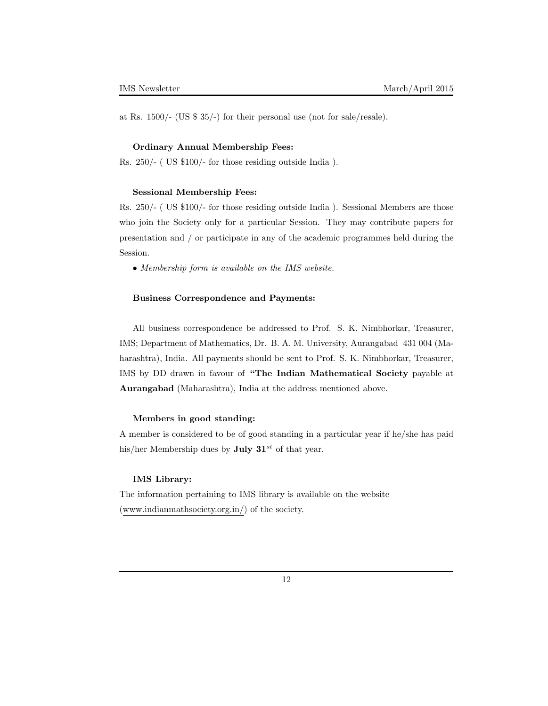at Rs. 1500/- (US \$ 35/-) for their personal use (not for sale/resale).

#### **Ordinary Annual Membership Fees:**

Rs. 250/- ( US \$100/- for those residing outside India ).

#### **Sessional Membership Fees:**

Rs. 250/- ( US \$100/- for those residing outside India ). Sessional Members are those who join the Society only for a particular Session. They may contribute papers for presentation and / or participate in any of the academic programmes held during the Session.

*• Membership form is available on the IMS website.*

#### **Business Correspondence and Payments:**

All business correspondence be addressed to Prof. S. K. Nimbhorkar, Treasurer, IMS; Department of Mathematics, Dr. B. A. M. University, Aurangabad 431 004 (Maharashtra), India. All payments should be sent to Prof. S. K. Nimbhorkar, Treasurer, IMS by DD drawn in favour of **"The Indian Mathematical Society** payable at **Aurangabad** (Maharashtra), India at the address mentioned above.

### **Members in good standing:**

A member is considered to be of good standing in a particular year if he/she has paid his/her Membership dues by **July 31***st* of that year.

#### **IMS Library:**

The information pertaining to IMS library is available on the website (www.indianmathsociety.org.in/) of the society.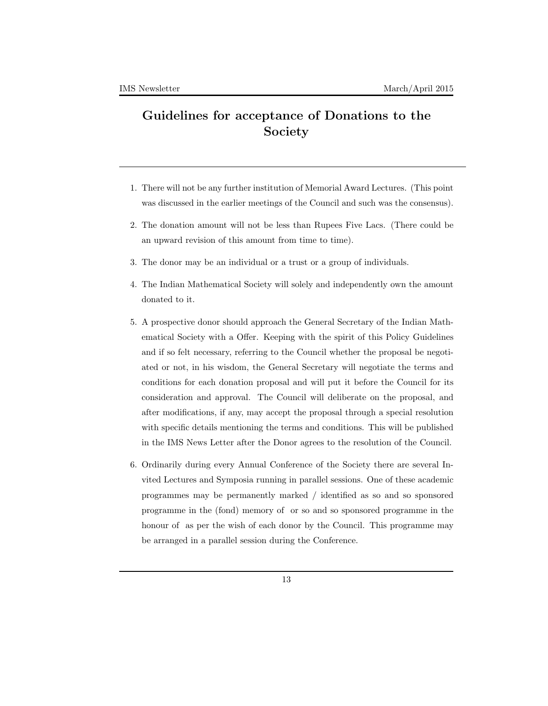# **Guidelines for acceptance of Donations to the Society**

- 1. There will not be any further institution of Memorial Award Lectures. (This point was discussed in the earlier meetings of the Council and such was the consensus).
- 2. The donation amount will not be less than Rupees Five Lacs. (There could be an upward revision of this amount from time to time).
- 3. The donor may be an individual or a trust or a group of individuals.
- 4. The Indian Mathematical Society will solely and independently own the amount donated to it.
- 5. A prospective donor should approach the General Secretary of the Indian Mathematical Society with a Offer. Keeping with the spirit of this Policy Guidelines and if so felt necessary, referring to the Council whether the proposal be negotiated or not, in his wisdom, the General Secretary will negotiate the terms and conditions for each donation proposal and will put it before the Council for its consideration and approval. The Council will deliberate on the proposal, and after modifications, if any, may accept the proposal through a special resolution with specific details mentioning the terms and conditions. This will be published in the IMS News Letter after the Donor agrees to the resolution of the Council.
- 6. Ordinarily during every Annual Conference of the Society there are several Invited Lectures and Symposia running in parallel sessions. One of these academic programmes may be permanently marked / identified as so and so sponsored programme in the (fond) memory of or so and so sponsored programme in the honour of as per the wish of each donor by the Council. This programme may be arranged in a parallel session during the Conference.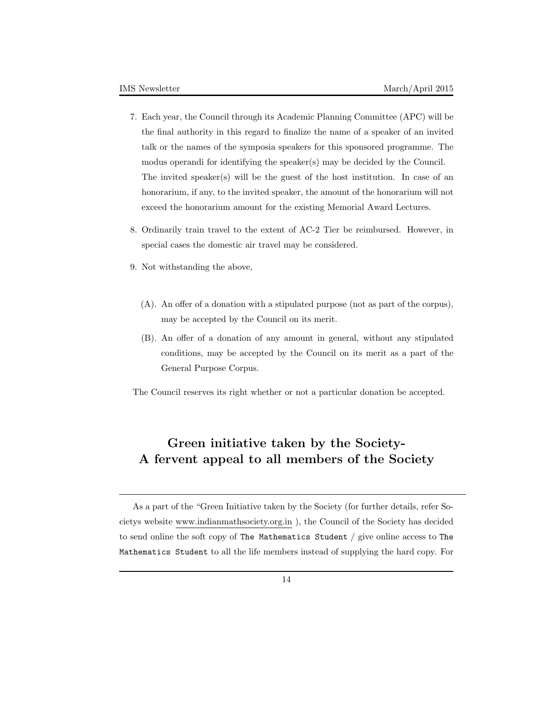- 7. Each year, the Council through its Academic Planning Committee (APC) will be the final authority in this regard to finalize the name of a speaker of an invited talk or the names of the symposia speakers for this sponsored programme. The modus operandi for identifying the speaker(s) may be decided by the Council. The invited speaker(s) will be the guest of the host institution. In case of an honorarium, if any, to the invited speaker, the amount of the honorarium will not exceed the honorarium amount for the existing Memorial Award Lectures.
- 8. Ordinarily train travel to the extent of AC-2 Tier be reimbursed. However, in special cases the domestic air travel may be considered.
- 9. Not withstanding the above,
	- (A). An offer of a donation with a stipulated purpose (not as part of the corpus), may be accepted by the Council on its merit.
	- (B). An offer of a donation of any amount in general, without any stipulated conditions, may be accepted by the Council on its merit as a part of the General Purpose Corpus.

The Council reserves its right whether or not a particular donation be accepted.

# **Green initiative taken by the Society-A fervent appeal to all members of the Society**

As a part of the "Green Initiative taken by the Society (for further details, refer Societys website www.indianmathsociety.org.in ), the Council of the Society has decided to send online the soft copy of The Mathematics Student / give online access to The Mathematics Student to all the life members instead of supplying the hard copy. For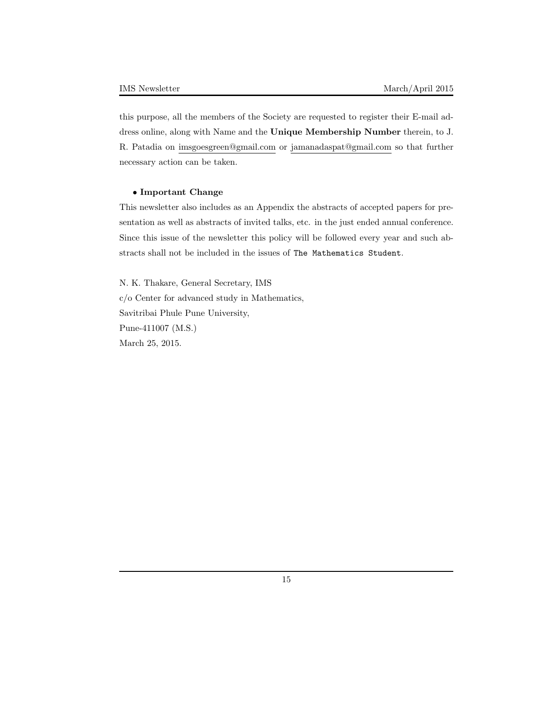this purpose, all the members of the Society are requested to register their E-mail address online, along with Name and the **Unique Membership Number** therein, to J. R. Patadia on imsgoesgreen@gmail.com or jamanadaspat@gmail.com so that further necessary action can be taken.

### *•* **Important Change**

This newsletter also includes as an Appendix the abstracts of accepted papers for presentation as well as abstracts of invited talks, etc. in the just ended annual conference. Since this issue of the newsletter this policy will be followed every year and such abstracts shall not be included in the issues of The Mathematics Student.

N. K. Thakare, General Secretary, IMS c/o Center for advanced study in Mathematics, Savitribai Phule Pune University, Pune-411007 (M.S.) March 25, 2015.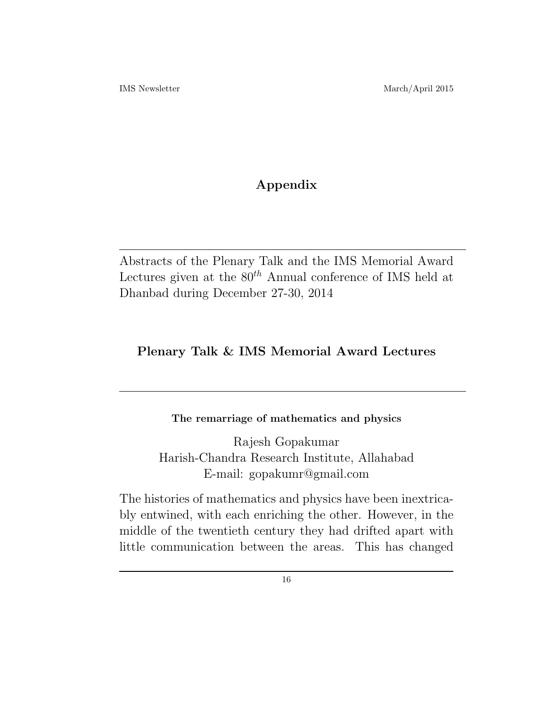# **Appendix**

Abstracts of the Plenary Talk and the IMS Memorial Award Lectures given at the 80*th* Annual conference of IMS held at Dhanbad during December 27-30, 2014

# **Plenary Talk & IMS Memorial Award Lectures**

# **The remarriage of mathematics and physics**

Rajesh Gopakumar Harish-Chandra Research Institute, Allahabad E-mail: gopakumr@gmail.com

The histories of mathematics and physics have been inextricably entwined, with each enriching the other. However, in the middle of the twentieth century they had drifted apart with little communication between the areas. This has changed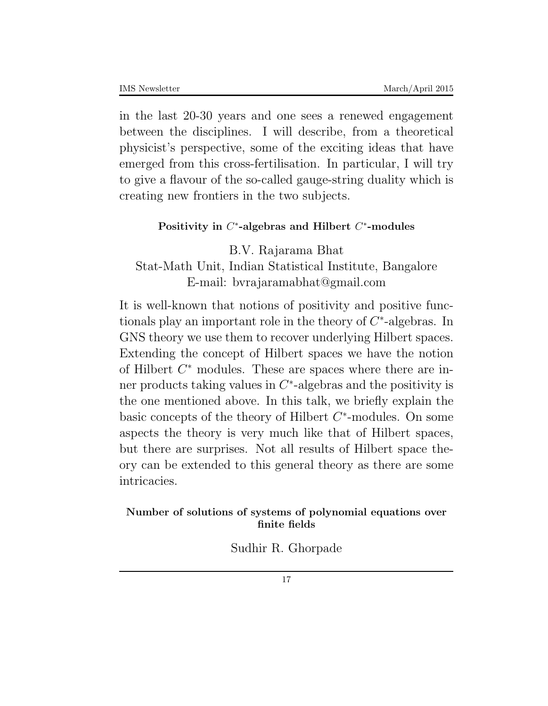in the last 20-30 years and one sees a renewed engagement between the disciplines. I will describe, from a theoretical physicist's perspective, some of the exciting ideas that have emerged from this cross-fertilisation. In particular, I will try to give a flavour of the so-called gauge-string duality which is creating new frontiers in the two subjects.

# **Positivity in** *C ∗* **-algebras and Hilbert** *C ∗* **-modules**

B.V. Rajarama Bhat Stat-Math Unit, Indian Statistical Institute, Bangalore E-mail: bvrajaramabhat@gmail.com

It is well-known that notions of positivity and positive functionals play an important role in the theory of *C ∗* -algebras. In GNS theory we use them to recover underlying Hilbert spaces. Extending the concept of Hilbert spaces we have the notion of Hilbert *C <sup>∗</sup>* modules. These are spaces where there are inner products taking values in *C ∗* -algebras and the positivity is the one mentioned above. In this talk, we briefly explain the basic concepts of the theory of Hilbert *C ∗* -modules. On some aspects the theory is very much like that of Hilbert spaces, but there are surprises. Not all results of Hilbert space theory can be extended to this general theory as there are some intricacies.

# **Number of solutions of systems of polynomial equations over finite fields**

Sudhir R. Ghorpade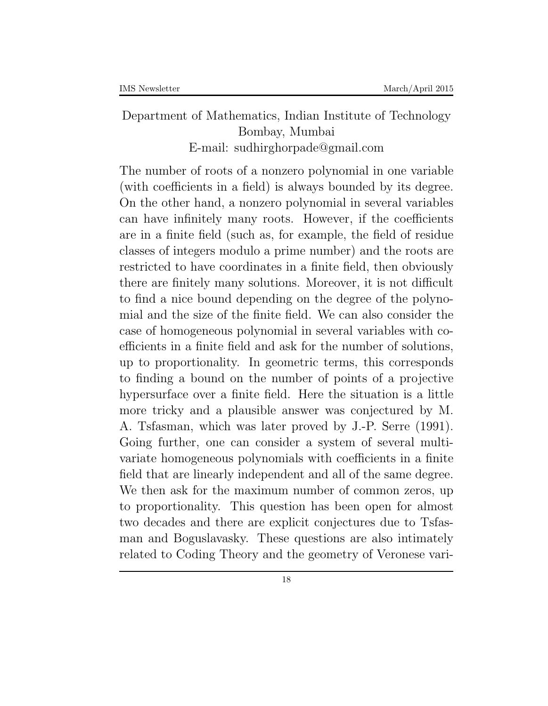# Department of Mathematics, Indian Institute of Technology Bombay, Mumbai E-mail: sudhirghorpade@gmail.com

The number of roots of a nonzero polynomial in one variable (with coefficients in a field) is always bounded by its degree. On the other hand, a nonzero polynomial in several variables can have infinitely many roots. However, if the coefficients are in a finite field (such as, for example, the field of residue classes of integers modulo a prime number) and the roots are restricted to have coordinates in a finite field, then obviously there are finitely many solutions. Moreover, it is not difficult to find a nice bound depending on the degree of the polynomial and the size of the finite field. We can also consider the case of homogeneous polynomial in several variables with coefficients in a finite field and ask for the number of solutions, up to proportionality. In geometric terms, this corresponds to finding a bound on the number of points of a projective hypersurface over a finite field. Here the situation is a little more tricky and a plausible answer was conjectured by M. A. Tsfasman, which was later proved by J.-P. Serre (1991). Going further, one can consider a system of several multivariate homogeneous polynomials with coefficients in a finite field that are linearly independent and all of the same degree. We then ask for the maximum number of common zeros, up to proportionality. This question has been open for almost two decades and there are explicit conjectures due to Tsfasman and Boguslavasky. These questions are also intimately related to Coding Theory and the geometry of Veronese vari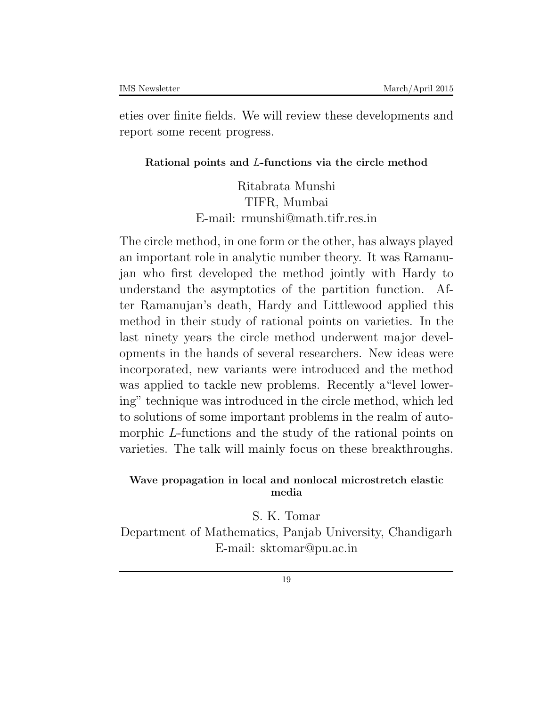eties over finite fields. We will review these developments and report some recent progress.

# **Rational points and** *L***-functions via the circle method**

Ritabrata Munshi TIFR, Mumbai E-mail: rmunshi@math.tifr.res.in

The circle method, in one form or the other, has always played an important role in analytic number theory. It was Ramanujan who first developed the method jointly with Hardy to understand the asymptotics of the partition function. After Ramanujan's death, Hardy and Littlewood applied this method in their study of rational points on varieties. In the last ninety years the circle method underwent major developments in the hands of several researchers. New ideas were incorporated, new variants were introduced and the method was applied to tackle new problems. Recently a"level lowering" technique was introduced in the circle method, which led to solutions of some important problems in the realm of automorphic *L*-functions and the study of the rational points on varieties. The talk will mainly focus on these breakthroughs.

# **Wave propagation in local and nonlocal microstretch elastic media**

S. K. Tomar Department of Mathematics, Panjab University, Chandigarh E-mail: sktomar@pu.ac.in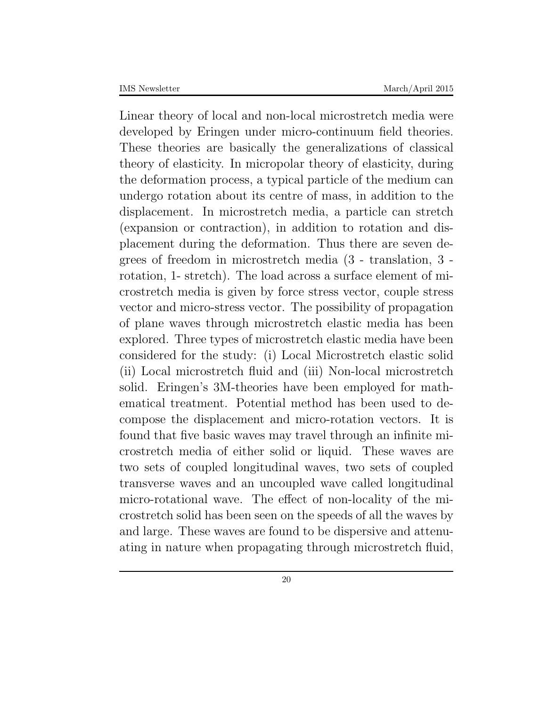Linear theory of local and non-local microstretch media were developed by Eringen under micro-continuum field theories. These theories are basically the generalizations of classical theory of elasticity. In micropolar theory of elasticity, during the deformation process, a typical particle of the medium can undergo rotation about its centre of mass, in addition to the displacement. In microstretch media, a particle can stretch (expansion or contraction), in addition to rotation and displacement during the deformation. Thus there are seven degrees of freedom in microstretch media (3 - translation, 3 rotation, 1- stretch). The load across a surface element of microstretch media is given by force stress vector, couple stress vector and micro-stress vector. The possibility of propagation of plane waves through microstretch elastic media has been explored. Three types of microstretch elastic media have been considered for the study: (i) Local Microstretch elastic solid (ii) Local microstretch fluid and (iii) Non-local microstretch solid. Eringen's 3M-theories have been employed for mathematical treatment. Potential method has been used to decompose the displacement and micro-rotation vectors. It is found that five basic waves may travel through an infinite microstretch media of either solid or liquid. These waves are two sets of coupled longitudinal waves, two sets of coupled transverse waves and an uncoupled wave called longitudinal micro-rotational wave. The effect of non-locality of the microstretch solid has been seen on the speeds of all the waves by and large. These waves are found to be dispersive and attenuating in nature when propagating through microstretch fluid,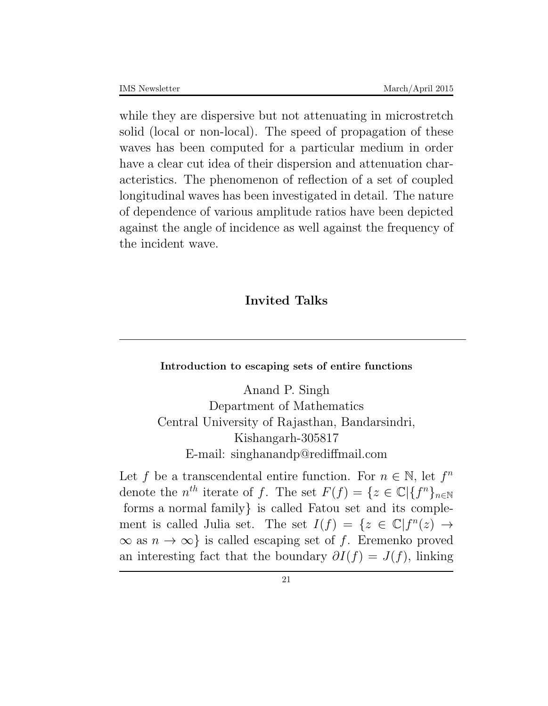while they are dispersive but not attenuating in microstretch solid (local or non-local). The speed of propagation of these waves has been computed for a particular medium in order have a clear cut idea of their dispersion and attenuation characteristics. The phenomenon of reflection of a set of coupled longitudinal waves has been investigated in detail. The nature of dependence of various amplitude ratios have been depicted against the angle of incidence as well against the frequency of the incident wave.

# **Invited Talks**

### **Introduction to escaping sets of entire functions**

Anand P. Singh Department of Mathematics Central University of Rajasthan, Bandarsindri, Kishangarh-305817 E-mail: singhanandp@rediffmail.com

Let *f* be a transcendental entire function. For  $n \in \mathbb{N}$ , let  $f^n$ denote the  $n^{th}$  iterate of *f*. The set  $F(f) = \{z \in \mathbb{C} | \{f^n\}_{n \in \mathbb{N}}\}$ forms a normal family*}* is called Fatou set and its complement is called Julia set. The set  $I(f) = \{z \in \mathbb{C} | f^n(z) \to$  $\infty$  as *n* →  $\infty$ } is called escaping set of *f*. Eremenko proved an interesting fact that the boundary  $\partial I(f) = J(f)$ , linking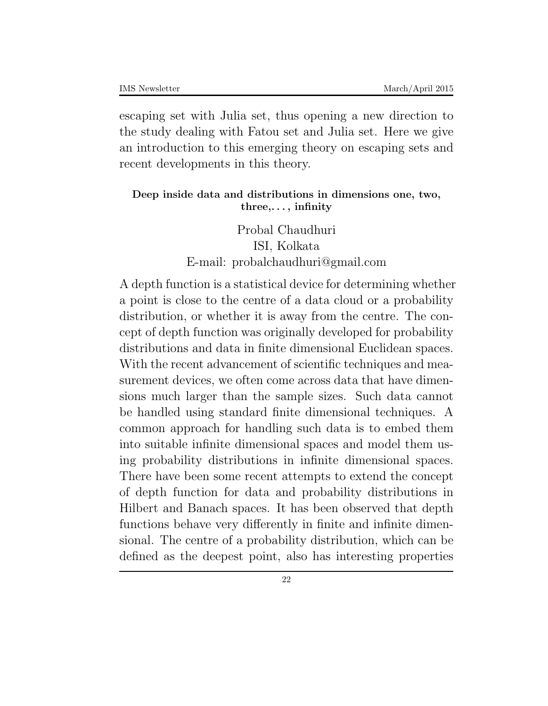escaping set with Julia set, thus opening a new direction to the study dealing with Fatou set and Julia set. Here we give an introduction to this emerging theory on escaping sets and recent developments in this theory.

# **Deep inside data and distributions in dimensions one, two, three,. . . , infinity**

Probal Chaudhuri ISI, Kolkata E-mail: probalchaudhuri@gmail.com

A depth function is a statistical device for determining whether a point is close to the centre of a data cloud or a probability distribution, or whether it is away from the centre. The concept of depth function was originally developed for probability distributions and data in finite dimensional Euclidean spaces. With the recent advancement of scientific techniques and measurement devices, we often come across data that have dimensions much larger than the sample sizes. Such data cannot be handled using standard finite dimensional techniques. A common approach for handling such data is to embed them into suitable infinite dimensional spaces and model them using probability distributions in infinite dimensional spaces. There have been some recent attempts to extend the concept of depth function for data and probability distributions in Hilbert and Banach spaces. It has been observed that depth functions behave very differently in finite and infinite dimensional. The centre of a probability distribution, which can be defined as the deepest point, also has interesting properties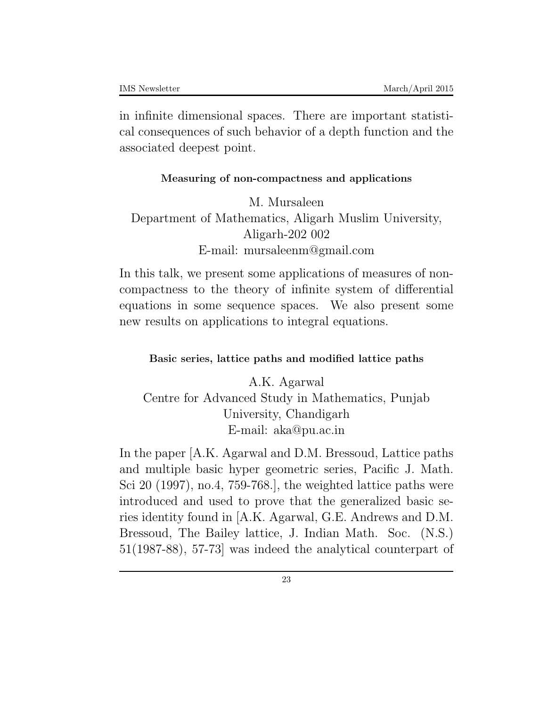in infinite dimensional spaces. There are important statistical consequences of such behavior of a depth function and the associated deepest point.

### **Measuring of non-compactness and applications**

# M. Mursaleen Department of Mathematics, Aligarh Muslim University, Aligarh-202 002 E-mail: mursaleenm@gmail.com

In this talk, we present some applications of measures of noncompactness to the theory of infinite system of differential equations in some sequence spaces. We also present some new results on applications to integral equations.

# **Basic series, lattice paths and modified lattice paths**

A.K. Agarwal Centre for Advanced Study in Mathematics, Punjab University, Chandigarh E-mail: aka@pu.ac.in

In the paper [A.K. Agarwal and D.M. Bressoud, Lattice paths and multiple basic hyper geometric series, Pacific J. Math. Sci 20 (1997), no.4, 759-768.], the weighted lattice paths were introduced and used to prove that the generalized basic series identity found in [A.K. Agarwal, G.E. Andrews and D.M. Bressoud, The Bailey lattice, J. Indian Math. Soc. (N.S.) 51(1987-88), 57-73] was indeed the analytical counterpart of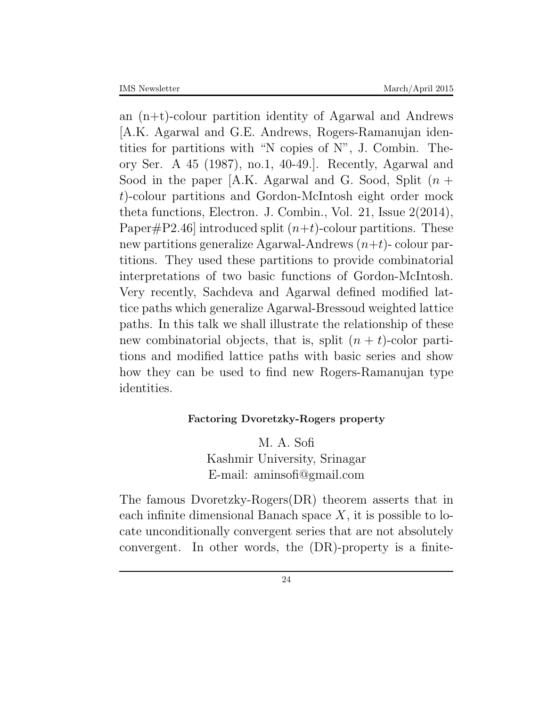an (n+t)-colour partition identity of Agarwal and Andrews [A.K. Agarwal and G.E. Andrews, Rogers-Ramanujan identities for partitions with "N copies of N", J. Combin. Theory Ser. A 45 (1987), no.1, 40-49.]. Recently, Agarwal and Sood in the paper [A.K. Agarwal and G. Sood, Split (*n* + *t*)-colour partitions and Gordon-McIntosh eight order mock theta functions, Electron. J. Combin., Vol. 21, Issue 2(2014), Paper#P2.46] introduced split  $(n+t)$ -colour partitions. These new partitions generalize Agarwal-Andrews (*n*+*t*)- colour partitions. They used these partitions to provide combinatorial interpretations of two basic functions of Gordon-McIntosh. Very recently, Sachdeva and Agarwal defined modified lattice paths which generalize Agarwal-Bressoud weighted lattice paths. In this talk we shall illustrate the relationship of these new combinatorial objects, that is, split  $(n + t)$ -color partitions and modified lattice paths with basic series and show how they can be used to find new Rogers-Ramanujan type identities.

### **Factoring Dvoretzky-Rogers property**

M. A. Sofi Kashmir University, Srinagar E-mail: aminsofi@gmail.com

The famous Dvoretzky-Rogers(DR) theorem asserts that in each infinite dimensional Banach space *X*, it is possible to locate unconditionally convergent series that are not absolutely convergent. In other words, the (DR)-property is a finite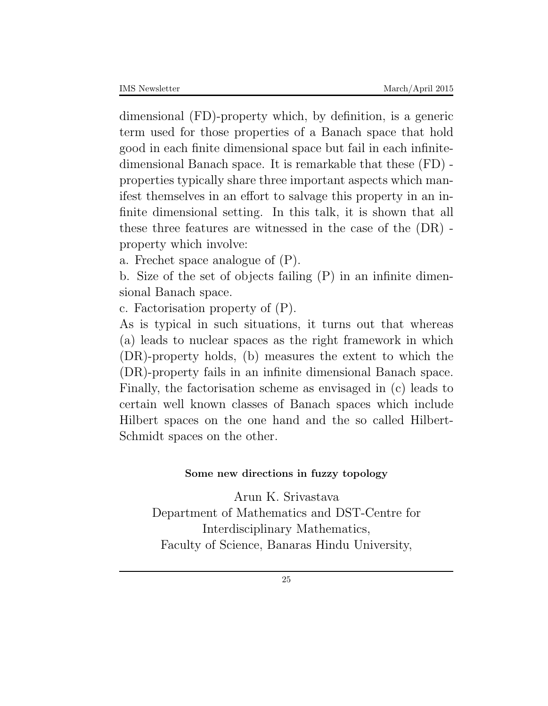dimensional (FD)-property which, by definition, is a generic term used for those properties of a Banach space that hold good in each finite dimensional space but fail in each infinitedimensional Banach space. It is remarkable that these (FD) properties typically share three important aspects which manifest themselves in an effort to salvage this property in an infinite dimensional setting. In this talk, it is shown that all these three features are witnessed in the case of the (DR) property which involve:

a. Frechet space analogue of (P).

b. Size of the set of objects failing (P) in an infinite dimensional Banach space.

c. Factorisation property of (P).

As is typical in such situations, it turns out that whereas (a) leads to nuclear spaces as the right framework in which (DR)-property holds, (b) measures the extent to which the (DR)-property fails in an infinite dimensional Banach space. Finally, the factorisation scheme as envisaged in (c) leads to certain well known classes of Banach spaces which include Hilbert spaces on the one hand and the so called Hilbert-Schmidt spaces on the other.

# **Some new directions in fuzzy topology**

Arun K. Srivastava Department of Mathematics and DST-Centre for Interdisciplinary Mathematics, Faculty of Science, Banaras Hindu University,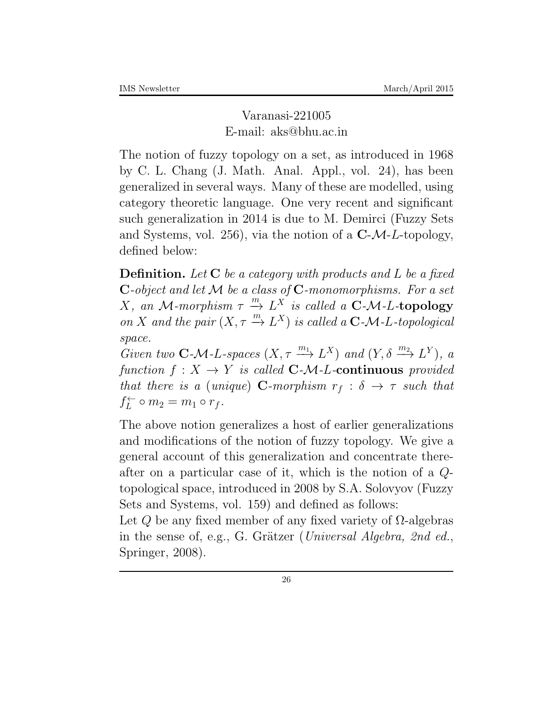Varanasi-221005 E-mail: aks@bhu.ac.in

The notion of fuzzy topology on a set, as introduced in 1968 by C. L. Chang (J. Math. Anal. Appl., vol. 24), has been generalized in several ways. Many of these are modelled, using category theoretic language. One very recent and significant such generalization in 2014 is due to M. Demirci (Fuzzy Sets and Systems, vol. 256), via the notion of a **C**-*M*-*L*-topology, defined below:

**Definition.** *Let* **C** *be a category with products and L be a fixed* **C***-object and let M be a class of* **C***-monomorphisms. For a set*  $X$ , an  $M$ -morphism  $\tau \overset{m}{\to} L^X$  is called a  $C$ - $M$ - $L$ -topology *on X* and the pair  $(X, \tau \xrightarrow{m} L^X)$  is called a **C***-M-L-topological space.*

*Given two* **C**<sub>*-*</sub> $\mathcal{M}$ *-L-spaces* (*X,*  $\tau \xrightarrow{m_1} L^X$ *) and (<i>Y,*  $\delta \xrightarrow{m_2} L^Y$ *), a function*  $f: X \rightarrow Y$  *is called* **C***-M-L***-continuous** *provided that there is a (unique)* **C***-morphism*  $r_f : \delta \rightarrow \tau$  *such that*  $f_L^{\leftarrow}$  $\hat{L}^{\leftarrow}$   $\circ$   $m_2 = m_1 \circ r_f$ .

The above notion generalizes a host of earlier generalizations and modifications of the notion of fuzzy topology. We give a general account of this generalization and concentrate thereafter on a particular case of it, which is the notion of a *Q*topological space, introduced in 2008 by S.A. Solovyov (Fuzzy Sets and Systems, vol. 159) and defined as follows:

Let  $Q$  be any fixed member of any fixed variety of  $\Omega$ -algebras in the sense of, e.g., G. Grätzer (*Universal Algebra, 2nd ed.*, Springer, 2008).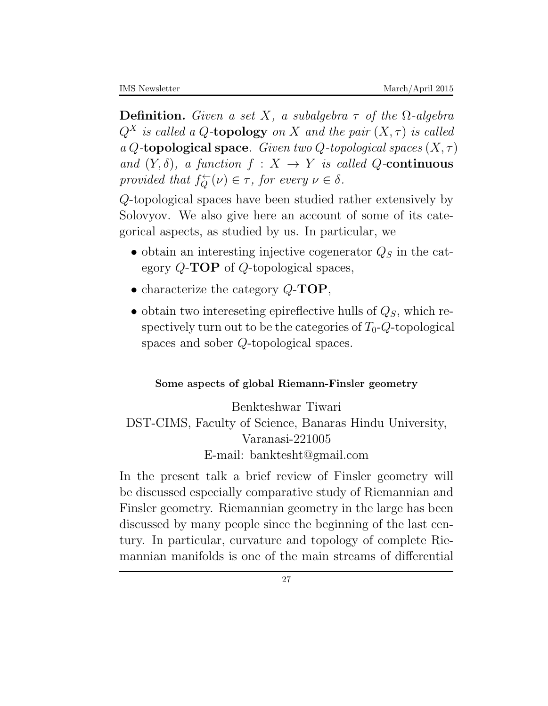**Definition.** *Given a set X*, a subalgebra  $\tau$  of the  $\Omega$ -algebra  $Q^X$  *is called a*  $Q$ **-topology** *on*  $X$  *and the pair*  $(X, \tau)$  *is called a Q-***topological space***. Given two Q-topological spaces* (*X, τ* ) *and*  $(Y, \delta)$ *, a function*  $f : X \to Y$  *is called Q-***continuous** *provided that*  $f_Q^{\leftarrow}(\nu) \in \tau$ , *for every*  $\nu \in \delta$ .

*Q*-topological spaces have been studied rather extensively by Solovyov. We also give here an account of some of its categorical aspects, as studied by us. In particular, we

- *•* obtain an interesting injective cogenerator *Q<sup>S</sup>* in the category *Q*-**TOP** of *Q*-topological spaces,
- *•* characterize the category *Q*-**TOP**,
- *•* obtain two intereseting epireflective hulls of *QS*, which respectively turn out to be the categories of  $T_0$ -*Q*-topological spaces and sober *Q*-topological spaces.

### **Some aspects of global Riemann-Finsler geometry**

Benkteshwar Tiwari DST-CIMS, Faculty of Science, Banaras Hindu University, Varanasi-221005 E-mail: banktesht@gmail.com

In the present talk a brief review of Finsler geometry will be discussed especially comparative study of Riemannian and Finsler geometry. Riemannian geometry in the large has been discussed by many people since the beginning of the last century. In particular, curvature and topology of complete Riemannian manifolds is one of the main streams of differential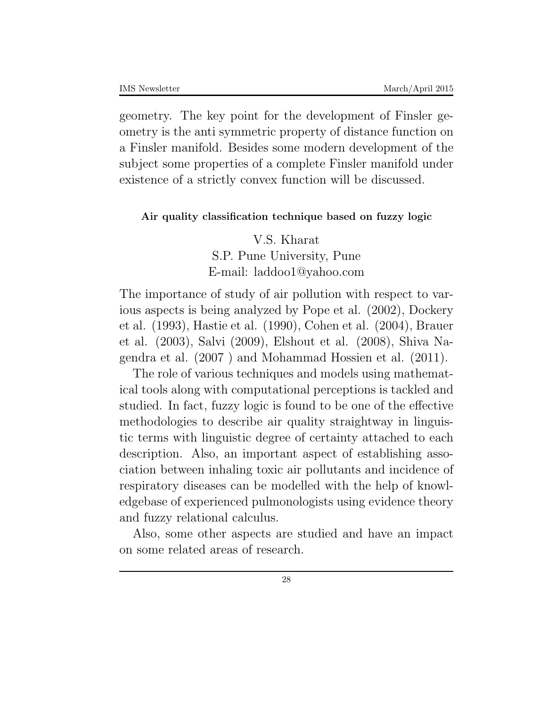geometry. The key point for the development of Finsler geometry is the anti symmetric property of distance function on a Finsler manifold. Besides some modern development of the subject some properties of a complete Finsler manifold under existence of a strictly convex function will be discussed.

#### **Air quality classification technique based on fuzzy logic**

V.S. Kharat S.P. Pune University, Pune E-mail: laddoo1@yahoo.com

The importance of study of air pollution with respect to various aspects is being analyzed by Pope et al. (2002), Dockery et al. (1993), Hastie et al. (1990), Cohen et al. (2004), Brauer et al. (2003), Salvi (2009), Elshout et al. (2008), Shiva Nagendra et al. (2007 ) and Mohammad Hossien et al. (2011).

The role of various techniques and models using mathematical tools along with computational perceptions is tackled and studied. In fact, fuzzy logic is found to be one of the effective methodologies to describe air quality straightway in linguistic terms with linguistic degree of certainty attached to each description. Also, an important aspect of establishing association between inhaling toxic air pollutants and incidence of respiratory diseases can be modelled with the help of knowledgebase of experienced pulmonologists using evidence theory and fuzzy relational calculus.

Also, some other aspects are studied and have an impact on some related areas of research.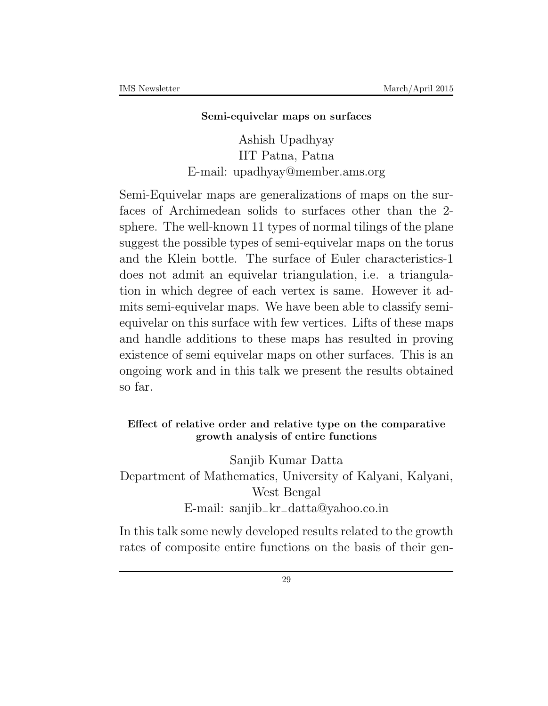#### **Semi-equivelar maps on surfaces**

Ashish Upadhyay IIT Patna, Patna E-mail: upadhyay@member.ams.org

Semi-Equivelar maps are generalizations of maps on the surfaces of Archimedean solids to surfaces other than the 2 sphere. The well-known 11 types of normal tilings of the plane suggest the possible types of semi-equivelar maps on the torus and the Klein bottle. The surface of Euler characteristics-1 does not admit an equivelar triangulation, i.e. a triangulation in which degree of each vertex is same. However it admits semi-equivelar maps. We have been able to classify semiequivelar on this surface with few vertices. Lifts of these maps and handle additions to these maps has resulted in proving existence of semi equivelar maps on other surfaces. This is an ongoing work and in this talk we present the results obtained so far.

### **Effect of relative order and relative type on the comparative growth analysis of entire functions**

Sanjib Kumar Datta Department of Mathematics, University of Kalyani, Kalyani, West Bengal E-mail: sanjib*−*kr*−*datta@yahoo*.*co*.*in

In this talk some newly developed results related to the growth rates of composite entire functions on the basis of their gen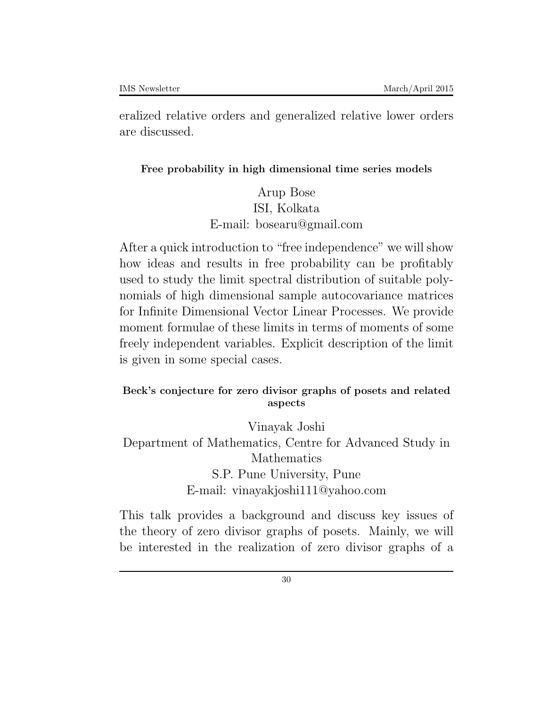eralized relative orders and generalized relative lower orders are discussed.

### **Free probability in high dimensional time series models**

Arup Bose ISI, Kolkata E-mail: bosearu@gmail.com

After a quick introduction to "free independence" we will show how ideas and results in free probability can be profitably used to study the limit spectral distribution of suitable polynomials of high dimensional sample autocovariance matrices for Infinite Dimensional Vector Linear Processes. We provide moment formulae of these limits in terms of moments of some freely independent variables. Explicit description of the limit is given in some special cases.

### **Beck's conjecture for zero divisor graphs of posets and related aspects**

Vinayak Joshi Department of Mathematics, Centre for Advanced Study in Mathematics S.P. Pune University, Pune E-mail: vinayakjoshi111@yahoo.com

This talk provides a background and discuss key issues of the theory of zero divisor graphs of posets. Mainly, we will be interested in the realization of zero divisor graphs of a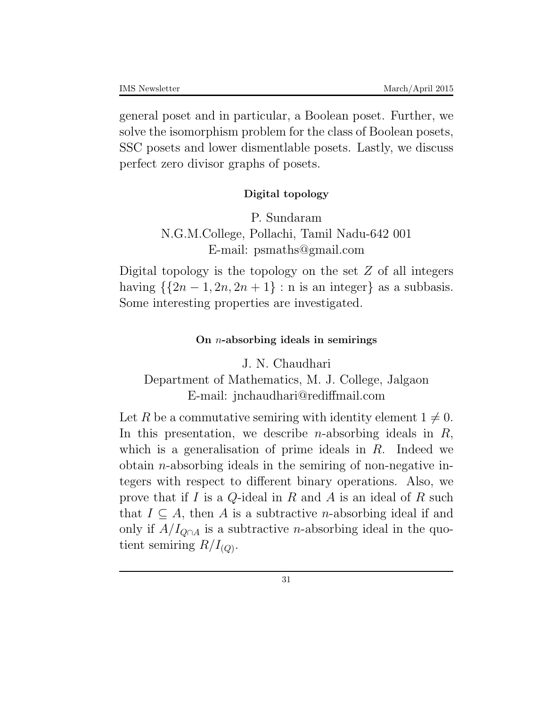general poset and in particular, a Boolean poset. Further, we solve the isomorphism problem for the class of Boolean posets, SSC posets and lower dismentlable posets. Lastly, we discuss perfect zero divisor graphs of posets.

### **Digital topology**

P. Sundaram N.G.M.College, Pollachi, Tamil Nadu-642 001 E-mail: psmaths@gmail.com

Digital topology is the topology on the set *Z* of all integers having  $\{\{2n-1, 2n, 2n+1\} : n \text{ is an integer}\}$  as a subbasis. Some interesting properties are investigated.

### **On** *n***-absorbing ideals in semirings**

J. N. Chaudhari

Department of Mathematics, M. J. College, Jalgaon E-mail: jnchaudhari@rediffmail.com

Let R be a commutative semiring with identity element  $1 \neq 0$ . In this presentation, we describe *n*-absorbing ideals in *R*, which is a generalisation of prime ideals in *R*. Indeed we obtain *n*-absorbing ideals in the semiring of non-negative integers with respect to different binary operations. Also, we prove that if *I* is a *Q*-ideal in *R* and *A* is an ideal of *R* such that  $I \subseteq A$ , then *A* is a subtractive *n*-absorbing ideal if and only if  $A/I_{Q\cap A}$  is a subtractive *n*-absorbing ideal in the quotient semiring  $R/I_{(Q)}$ .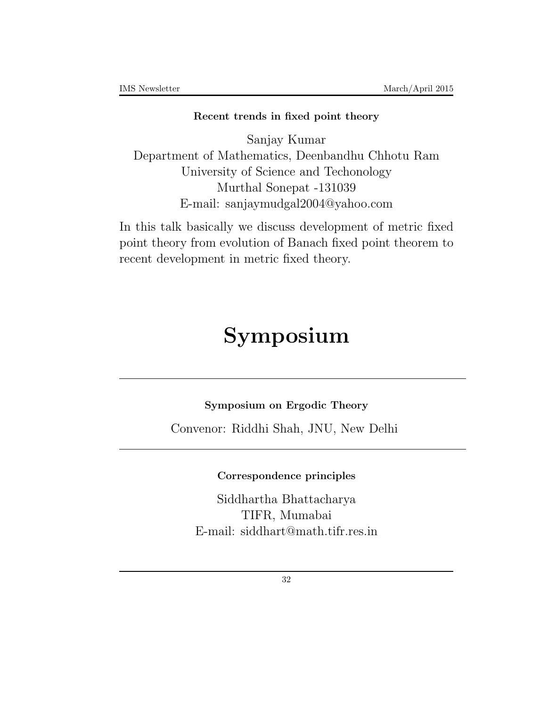#### **Recent trends in fixed point theory**

Sanjay Kumar Department of Mathematics, Deenbandhu Chhotu Ram University of Science and Techonology Murthal Sonepat -131039 E-mail: sanjaymudgal2004@yahoo.com

In this talk basically we discuss development of metric fixed point theory from evolution of Banach fixed point theorem to recent development in metric fixed theory.

## **Symposium**

**Symposium on Ergodic Theory**

Convenor: Riddhi Shah, JNU, New Delhi

### **Correspondence principles**

Siddhartha Bhattacharya TIFR, Mumabai E-mail: siddhart@math.tifr.res.in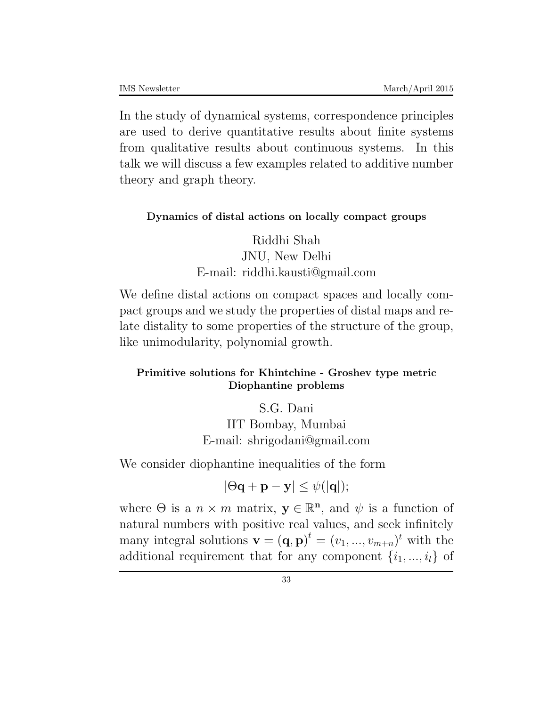In the study of dynamical systems, correspondence principles are used to derive quantitative results about finite systems from qualitative results about continuous systems. In this talk we will discuss a few examples related to additive number theory and graph theory.

#### **Dynamics of distal actions on locally compact groups**

Riddhi Shah JNU, New Delhi E-mail: riddhi.kausti@gmail.com

We define distal actions on compact spaces and locally compact groups and we study the properties of distal maps and relate distality to some properties of the structure of the group, like unimodularity, polynomial growth.

### **Primitive solutions for Khintchine - Groshev type metric Diophantine problems**

### S.G. Dani IIT Bombay, Mumbai E-mail: shrigodani@gmail.com

We consider diophantine inequalities of the form

$$
|\Theta \mathbf{q} + \mathbf{p} - \mathbf{y}| \leq \psi(|\mathbf{q}|);
$$

where  $\Theta$  is a  $n \times m$  matrix,  $\mathbf{y} \in \mathbb{R}^n$ , and  $\psi$  is a function of natural numbers with positive real values, and seek infinitely many integral solutions  $\mathbf{v} = (\mathbf{q}, \mathbf{p})^t = (v_1, ..., v_{m+n})^t$  with the additional requirement that for any component  $\{i_1, ..., i_l\}$  of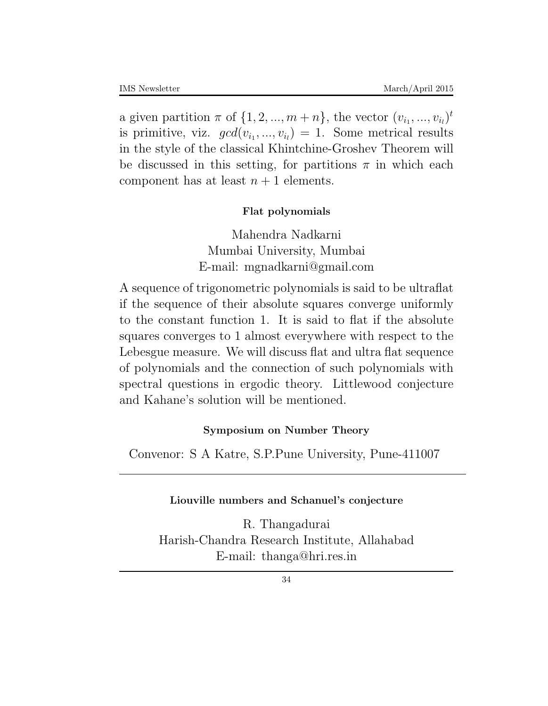a given partition  $\pi$  of  $\{1, 2, ..., m+n\}$ , the vector  $(v_{i_1}, ..., v_{i_l})^t$ is primitive, viz.  $gcd(v_{i_1},...,v_{i_l}) = 1$ . Some metrical results in the style of the classical Khintchine-Groshev Theorem will be discussed in this setting, for partitions  $\pi$  in which each component has at least  $n+1$  elements.

#### **Flat polynomials**

Mahendra Nadkarni Mumbai University, Mumbai E-mail: mgnadkarni@gmail.com

A sequence of trigonometric polynomials is said to be ultraflat if the sequence of their absolute squares converge uniformly to the constant function 1. It is said to flat if the absolute squares converges to 1 almost everywhere with respect to the Lebesgue measure. We will discuss flat and ultra flat sequence of polynomials and the connection of such polynomials with spectral questions in ergodic theory. Littlewood conjecture and Kahane's solution will be mentioned.

#### **Symposium on Number Theory**

Convenor: S A Katre, S.P.Pune University, Pune-411007

#### **Liouville numbers and Schanuel's conjecture**

R. Thangadurai Harish-Chandra Research Institute, Allahabad E-mail: thanga@hri.res.in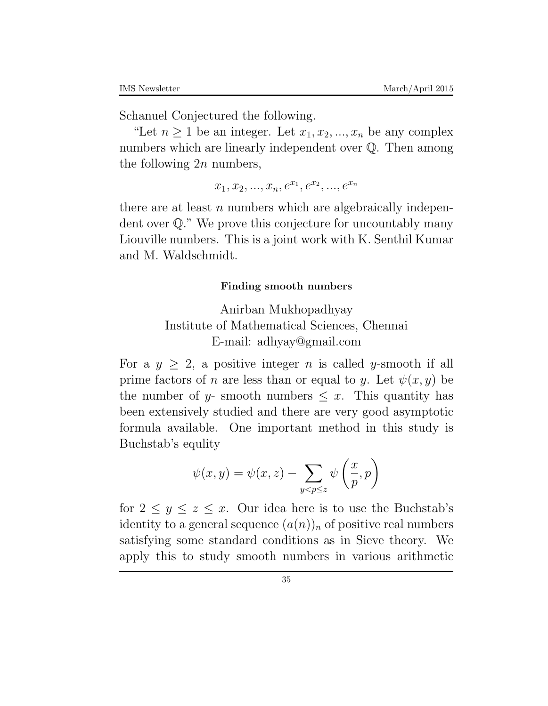Schanuel Conjectured the following.

"Let  $n \geq 1$  be an integer. Let  $x_1, x_2, ..., x_n$  be any complex numbers which are linearly independent over  $\mathbb Q$ . Then among the following 2*n* numbers,

 $x_1, x_2, ..., x_n, e^{x_1}, e^{x_2}, ..., e^{x_n}$ 

there are at least *n* numbers which are algebraically independent over Q." We prove this conjecture for uncountably many Liouville numbers. This is a joint work with K. Senthil Kumar and M. Waldschmidt.

#### **Finding smooth numbers**

Anirban Mukhopadhyay Institute of Mathematical Sciences, Chennai E-mail: adhyay@gmail.com

For a  $y \geq 2$ , a positive integer *n* is called *y*-smooth if all prime factors of *n* are less than or equal to *y*. Let  $\psi(x, y)$  be the number of *y*- smooth numbers  $\leq x$ . This quantity has been extensively studied and there are very good asymptotic formula available. One important method in this study is Buchstab's equlity

$$
\psi(x,y) = \psi(x,z) - \sum_{y < p \leq z} \psi\left(\frac{x}{p},p\right)
$$

for  $2 \leq y \leq z \leq x$ . Our idea here is to use the Buchstab's identity to a general sequence  $(a(n))_n$  of positive real numbers satisfying some standard conditions as in Sieve theory. We apply this to study smooth numbers in various arithmetic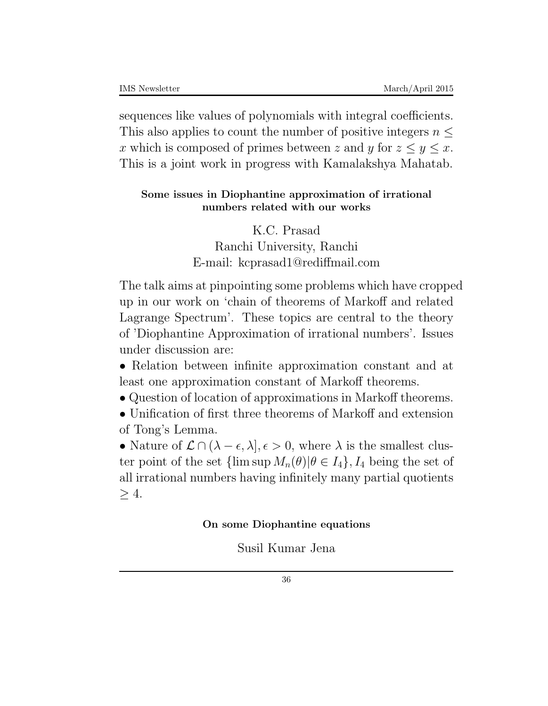sequences like values of polynomials with integral coefficients. This also applies to count the number of positive integers  $n \leq$ *x* which is composed of primes between *z* and *y* for  $z \leq y \leq x$ . This is a joint work in progress with Kamalakshya Mahatab.

### **Some issues in Diophantine approximation of irrational numbers related with our works**

K.C. Prasad Ranchi University, Ranchi E-mail: kcprasad1@rediffmail.com

The talk aims at pinpointing some problems which have cropped up in our work on 'chain of theorems of Markoff and related Lagrange Spectrum'. These topics are central to the theory of 'Diophantine Approximation of irrational numbers'. Issues under discussion are:

*•* Relation between infinite approximation constant and at least one approximation constant of Markoff theorems.

• Question of location of approximations in Markoff theorems.

• Unification of first three theorems of Markoff and extension of Tong's Lemma.

• Nature of  $\mathcal{L} \cap (\lambda - \epsilon, \lambda], \epsilon > 0$ , where  $\lambda$  is the smallest cluster point of the set  $\{\limsup M_n(\theta)|\theta \in I_4\}$ ,  $I_4$  being the set of all irrational numbers having infinitely many partial quotients *≥* 4.

### **On some Diophantine equations**

Susil Kumar Jena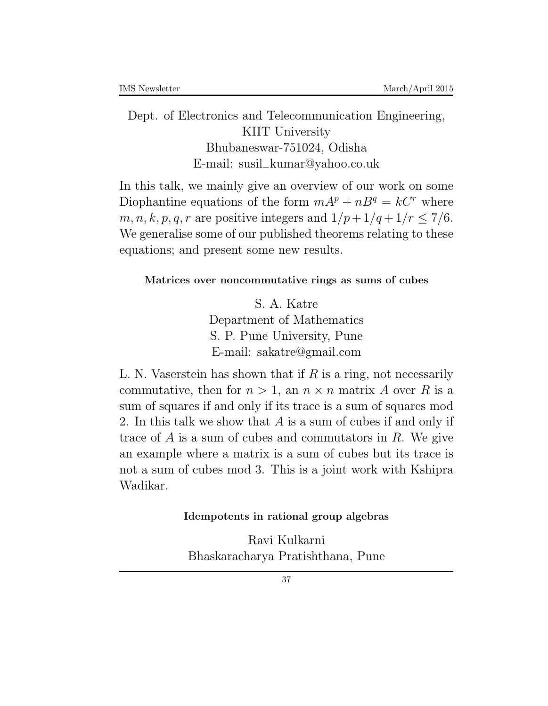Dept. of Electronics and Telecommunication Engineering, KIIT University Bhubaneswar-751024, Odisha E-mail: susil*−*kumar@yahoo*.*co*.*uk

In this talk, we mainly give an overview of our work on some Diophantine equations of the form  $mA^p + nB^q = kC^r$  where *m, n, k, p, q, r* are positive integers and  $1/p + 1/q + 1/r < 7/6$ . We generalise some of our published theorems relating to these equations; and present some new results.

### **Matrices over noncommutative rings as sums of cubes**

S. A. Katre Department of Mathematics S. P. Pune University, Pune E-mail: sakatre@gmail.com

L. N. Vaserstein has shown that if *R* is a ring, not necessarily commutative, then for  $n > 1$ , an  $n \times n$  matrix *A* over *R* is a sum of squares if and only if its trace is a sum of squares mod 2. In this talk we show that *A* is a sum of cubes if and only if trace of *A* is a sum of cubes and commutators in *R*. We give an example where a matrix is a sum of cubes but its trace is not a sum of cubes mod 3. This is a joint work with Kshipra Wadikar.

#### **Idempotents in rational group algebras**

Ravi Kulkarni Bhaskaracharya Pratishthana, Pune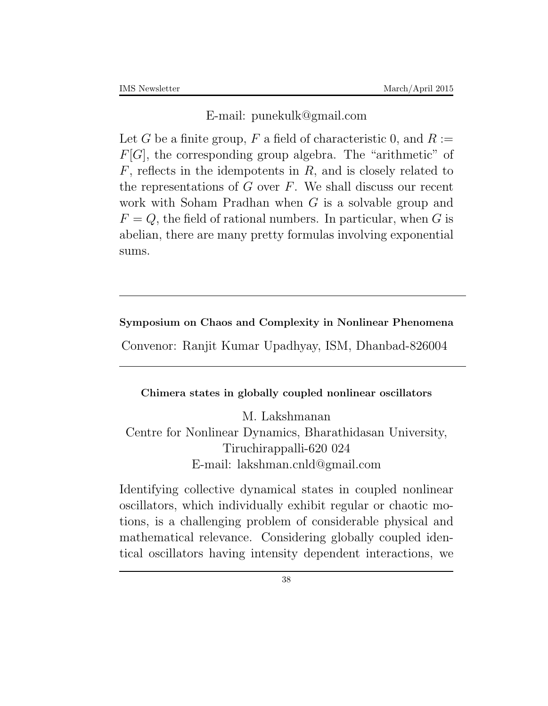E-mail: punekulk@gmail.com

Let *G* be a finite group, *F* a field of characteristic 0, and  $R :=$ *F*[*G*], the corresponding group algebra. The "arithmetic" of *F*, reflects in the idempotents in *R*, and is closely related to the representations of *G* over *F*. We shall discuss our recent work with Soham Pradhan when *G* is a solvable group and  $F = Q$ , the field of rational numbers. In particular, when *G* is abelian, there are many pretty formulas involving exponential sums.

### **Symposium on Chaos and Complexity in Nonlinear Phenomena**

Convenor: Ranjit Kumar Upadhyay, ISM, Dhanbad-826004

### **Chimera states in globally coupled nonlinear oscillators**

M. Lakshmanan Centre for Nonlinear Dynamics, Bharathidasan University, Tiruchirappalli-620 024 E-mail: lakshman.cnld@gmail.com

Identifying collective dynamical states in coupled nonlinear oscillators, which individually exhibit regular or chaotic motions, is a challenging problem of considerable physical and mathematical relevance. Considering globally coupled identical oscillators having intensity dependent interactions, we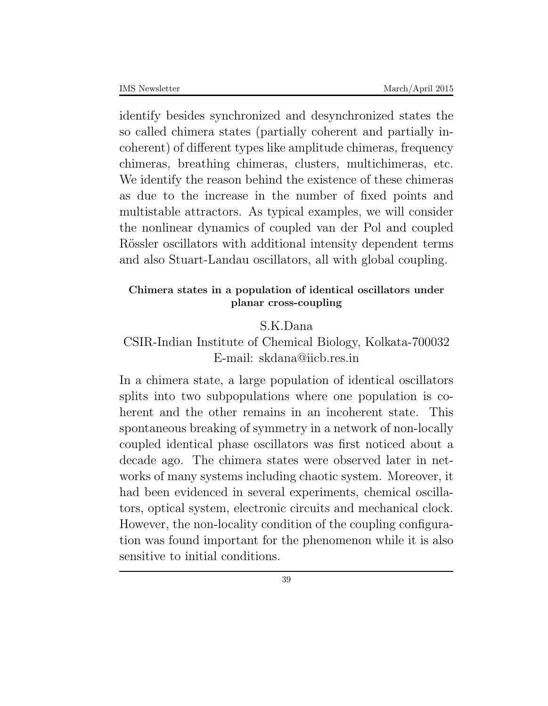identify besides synchronized and desynchronized states the so called chimera states (partially coherent and partially incoherent) of different types like amplitude chimeras, frequency chimeras, breathing chimeras, clusters, multichimeras, etc. We identify the reason behind the existence of these chimeras as due to the increase in the number of fixed points and multistable attractors. As typical examples, we will consider the nonlinear dynamics of coupled van der Pol and coupled Rössler oscillators with additional intensity dependent terms and also Stuart-Landau oscillators, all with global coupling.

### **Chimera states in a population of identical oscillators under planar cross-coupling**

### S.K.Dana

### CSIR-Indian Institute of Chemical Biology, Kolkata-700032 E-mail: skdana@iicb.res.in

In a chimera state, a large population of identical oscillators splits into two subpopulations where one population is coherent and the other remains in an incoherent state. This spontaneous breaking of symmetry in a network of non-locally coupled identical phase oscillators was first noticed about a decade ago. The chimera states were observed later in networks of many systems including chaotic system. Moreover, it had been evidenced in several experiments, chemical oscillators, optical system, electronic circuits and mechanical clock. However, the non-locality condition of the coupling configuration was found important for the phenomenon while it is also sensitive to initial conditions.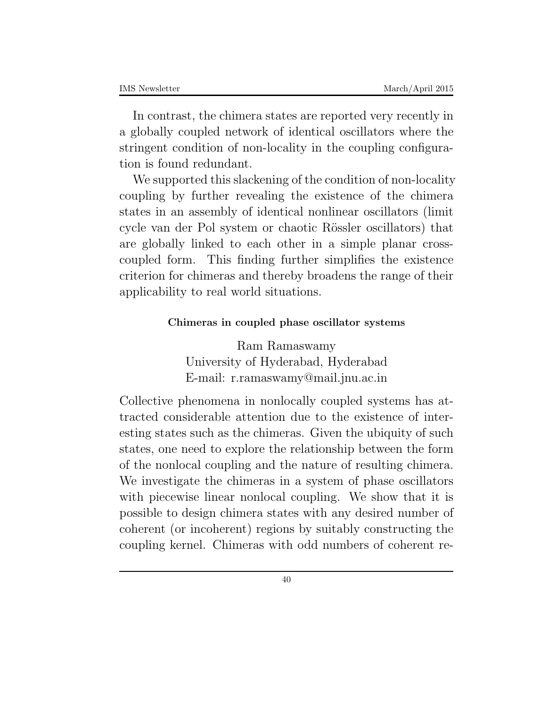In contrast, the chimera states are reported very recently in a globally coupled network of identical oscillators where the stringent condition of non-locality in the coupling configuration is found redundant.

We supported this slackening of the condition of non-locality coupling by further revealing the existence of the chimera states in an assembly of identical nonlinear oscillators (limit cycle van der Pol system or chaotic Rössler oscillators) that are globally linked to each other in a simple planar crosscoupled form. This finding further simplifies the existence criterion for chimeras and thereby broadens the range of their applicability to real world situations.

### **Chimeras in coupled phase oscillator systems**

Ram Ramaswamy University of Hyderabad, Hyderabad E-mail: r.ramaswamy@mail.jnu.ac.in

Collective phenomena in nonlocally coupled systems has attracted considerable attention due to the existence of interesting states such as the chimeras. Given the ubiquity of such states, one need to explore the relationship between the form of the nonlocal coupling and the nature of resulting chimera. We investigate the chimeras in a system of phase oscillators with piecewise linear nonlocal coupling. We show that it is possible to design chimera states with any desired number of coherent (or incoherent) regions by suitably constructing the coupling kernel. Chimeras with odd numbers of coherent re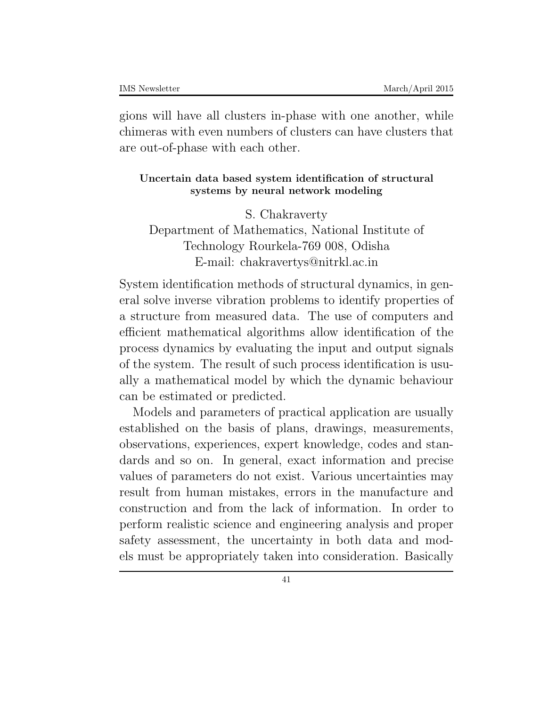gions will have all clusters in-phase with one another, while chimeras with even numbers of clusters can have clusters that are out-of-phase with each other.

### **Uncertain data based system identification of structural systems by neural network modeling**

S. Chakraverty Department of Mathematics, National Institute of Technology Rourkela-769 008, Odisha E-mail: chakravertys@nitrkl.ac.in

System identification methods of structural dynamics, in general solve inverse vibration problems to identify properties of a structure from measured data. The use of computers and efficient mathematical algorithms allow identification of the process dynamics by evaluating the input and output signals of the system. The result of such process identification is usually a mathematical model by which the dynamic behaviour can be estimated or predicted.

Models and parameters of practical application are usually established on the basis of plans, drawings, measurements, observations, experiences, expert knowledge, codes and standards and so on. In general, exact information and precise values of parameters do not exist. Various uncertainties may result from human mistakes, errors in the manufacture and construction and from the lack of information. In order to perform realistic science and engineering analysis and proper safety assessment, the uncertainty in both data and models must be appropriately taken into consideration. Basically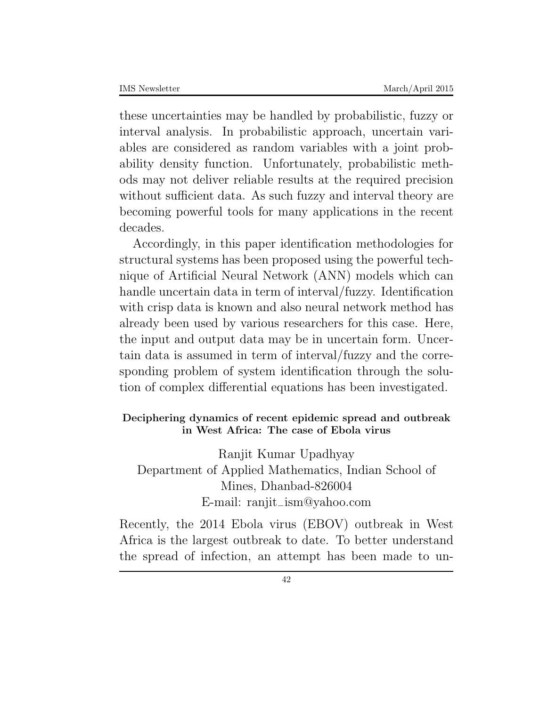these uncertainties may be handled by probabilistic, fuzzy or interval analysis. In probabilistic approach, uncertain variables are considered as random variables with a joint probability density function. Unfortunately, probabilistic methods may not deliver reliable results at the required precision without sufficient data. As such fuzzy and interval theory are becoming powerful tools for many applications in the recent decades.

Accordingly, in this paper identification methodologies for structural systems has been proposed using the powerful technique of Artificial Neural Network (ANN) models which can handle uncertain data in term of interval/fuzzy. Identification with crisp data is known and also neural network method has already been used by various researchers for this case. Here, the input and output data may be in uncertain form. Uncertain data is assumed in term of interval/fuzzy and the corresponding problem of system identification through the solution of complex differential equations has been investigated.

### **Deciphering dynamics of recent epidemic spread and outbreak in West Africa: The case of Ebola virus**

Ranjit Kumar Upadhyay Department of Applied Mathematics, Indian School of Mines, Dhanbad-826004 E-mail: ranjit*−*ism@yahoo*.*com

Recently, the 2014 Ebola virus (EBOV) outbreak in West Africa is the largest outbreak to date. To better understand the spread of infection, an attempt has been made to un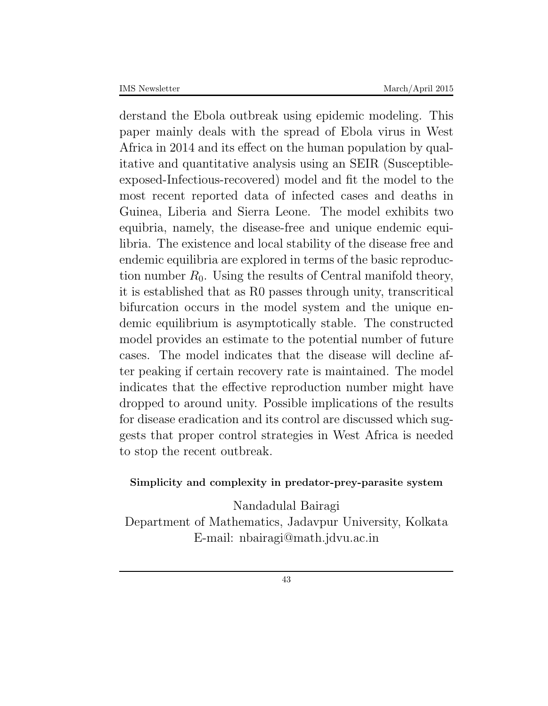derstand the Ebola outbreak using epidemic modeling. This paper mainly deals with the spread of Ebola virus in West Africa in 2014 and its effect on the human population by qualitative and quantitative analysis using an SEIR (Susceptibleexposed-Infectious-recovered) model and fit the model to the most recent reported data of infected cases and deaths in Guinea, Liberia and Sierra Leone. The model exhibits two equibria, namely, the disease-free and unique endemic equilibria. The existence and local stability of the disease free and endemic equilibria are explored in terms of the basic reproduction number  $R_0$ . Using the results of Central manifold theory, it is established that as R0 passes through unity, transcritical bifurcation occurs in the model system and the unique endemic equilibrium is asymptotically stable. The constructed model provides an estimate to the potential number of future cases. The model indicates that the disease will decline after peaking if certain recovery rate is maintained. The model indicates that the effective reproduction number might have dropped to around unity. Possible implications of the results for disease eradication and its control are discussed which suggests that proper control strategies in West Africa is needed to stop the recent outbreak.

### **Simplicity and complexity in predator-prey-parasite system**

Nandadulal Bairagi Department of Mathematics, Jadavpur University, Kolkata E-mail: nbairagi@math.jdvu.ac.in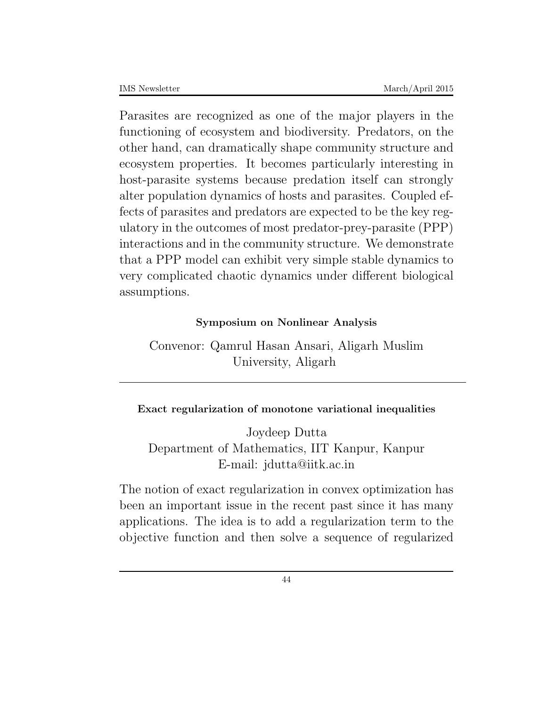Parasites are recognized as one of the major players in the functioning of ecosystem and biodiversity. Predators, on the other hand, can dramatically shape community structure and ecosystem properties. It becomes particularly interesting in host-parasite systems because predation itself can strongly alter population dynamics of hosts and parasites. Coupled effects of parasites and predators are expected to be the key regulatory in the outcomes of most predator-prey-parasite (PPP) interactions and in the community structure. We demonstrate that a PPP model can exhibit very simple stable dynamics to very complicated chaotic dynamics under different biological assumptions.

### **Symposium on Nonlinear Analysis**

Convenor: Qamrul Hasan Ansari, Aligarh Muslim University, Aligarh

### **Exact regularization of monotone variational inequalities**

Joydeep Dutta Department of Mathematics, IIT Kanpur, Kanpur E-mail: jdutta@iitk.ac.in

The notion of exact regularization in convex optimization has been an important issue in the recent past since it has many applications. The idea is to add a regularization term to the objective function and then solve a sequence of regularized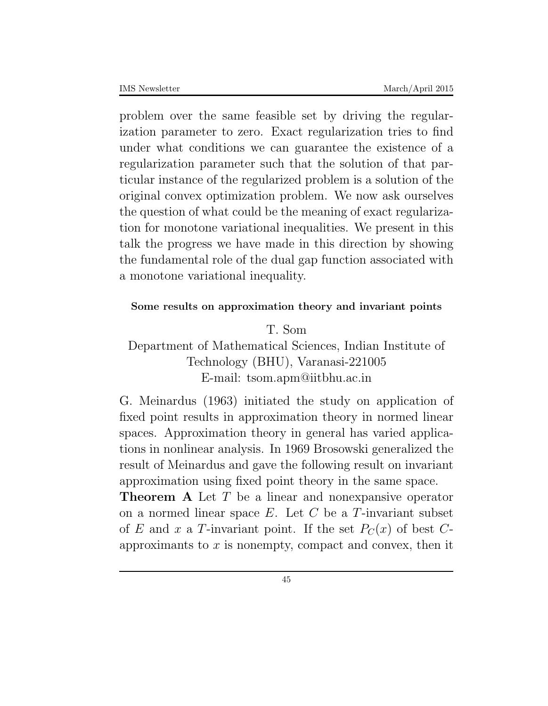problem over the same feasible set by driving the regularization parameter to zero. Exact regularization tries to find under what conditions we can guarantee the existence of a regularization parameter such that the solution of that particular instance of the regularized problem is a solution of the original convex optimization problem. We now ask ourselves the question of what could be the meaning of exact regularization for monotone variational inequalities. We present in this talk the progress we have made in this direction by showing the fundamental role of the dual gap function associated with a monotone variational inequality.

### **Some results on approximation theory and invariant points**

T. Som

### Department of Mathematical Sciences, Indian Institute of Technology (BHU), Varanasi-221005 E-mail: tsom.apm@iitbhu.ac.in

G. Meinardus (1963) initiated the study on application of fixed point results in approximation theory in normed linear spaces. Approximation theory in general has varied applications in nonlinear analysis. In 1969 Brosowski generalized the result of Meinardus and gave the following result on invariant approximation using fixed point theory in the same space.

**Theorem A** Let *T* be a linear and nonexpansive operator on a normed linear space *E*. Let *C* be a *T*-invariant subset of *E* and *x* a *T*-invariant point. If the set  $P_C(x)$  of best *C*approximants to *x* is nonempty, compact and convex, then it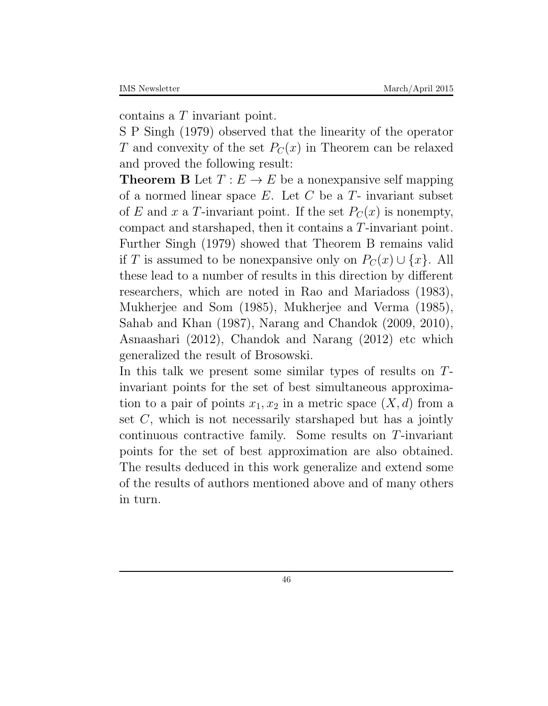contains a *T* invariant point.

S P Singh (1979) observed that the linearity of the operator *T* and convexity of the set  $P_C(x)$  in Theorem can be relaxed and proved the following result:

**Theorem B** Let  $T: E \to E$  be a nonexpansive self mapping of a normed linear space *E*. Let *C* be a *T*- invariant subset of *E* and *x* a *T*-invariant point. If the set  $P_C(x)$  is nonempty, compact and starshaped, then it contains a *T*-invariant point. Further Singh (1979) showed that Theorem B remains valid if *T* is assumed to be nonexpansive only on  $P_C(x) \cup \{x\}$ . All these lead to a number of results in this direction by different researchers, which are noted in Rao and Mariadoss (1983), Mukherjee and Som (1985), Mukherjee and Verma (1985), Sahab and Khan (1987), Narang and Chandok (2009, 2010), Asnaashari (2012), Chandok and Narang (2012) etc which generalized the result of Brosowski.

In this talk we present some similar types of results on *T*invariant points for the set of best simultaneous approximation to a pair of points  $x_1, x_2$  in a metric space  $(X, d)$  from a set *C*, which is not necessarily starshaped but has a jointly continuous contractive family. Some results on *T*-invariant points for the set of best approximation are also obtained. The results deduced in this work generalize and extend some of the results of authors mentioned above and of many others in turn.

46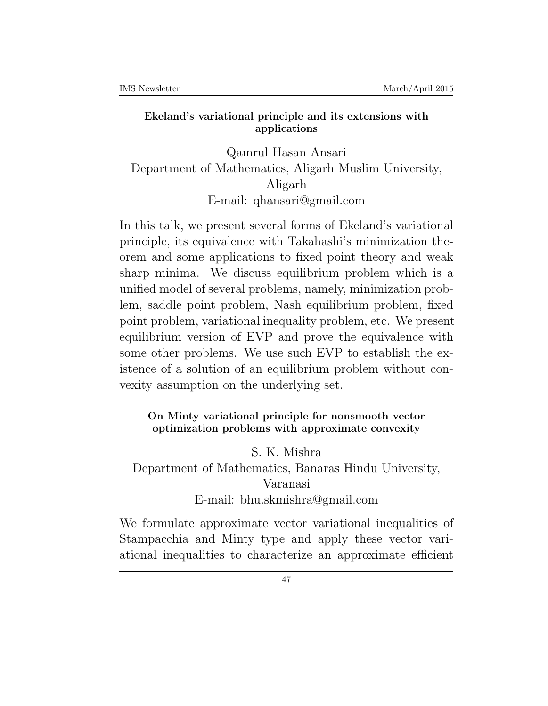### **Ekeland's variational principle and its extensions with applications**

Qamrul Hasan Ansari Department of Mathematics, Aligarh Muslim University, Aligarh E-mail: qhansari@gmail.com

In this talk, we present several forms of Ekeland's variational principle, its equivalence with Takahashi's minimization theorem and some applications to fixed point theory and weak sharp minima. We discuss equilibrium problem which is a unified model of several problems, namely, minimization problem, saddle point problem, Nash equilibrium problem, fixed point problem, variational inequality problem, etc. We present equilibrium version of EVP and prove the equivalence with some other problems. We use such EVP to establish the existence of a solution of an equilibrium problem without convexity assumption on the underlying set.

### **On Minty variational principle for nonsmooth vector optimization problems with approximate convexity**

S. K. Mishra

Department of Mathematics, Banaras Hindu University, Varanasi E-mail: bhu.skmishra@gmail.com

We formulate approximate vector variational inequalities of Stampacchia and Minty type and apply these vector variational inequalities to characterize an approximate efficient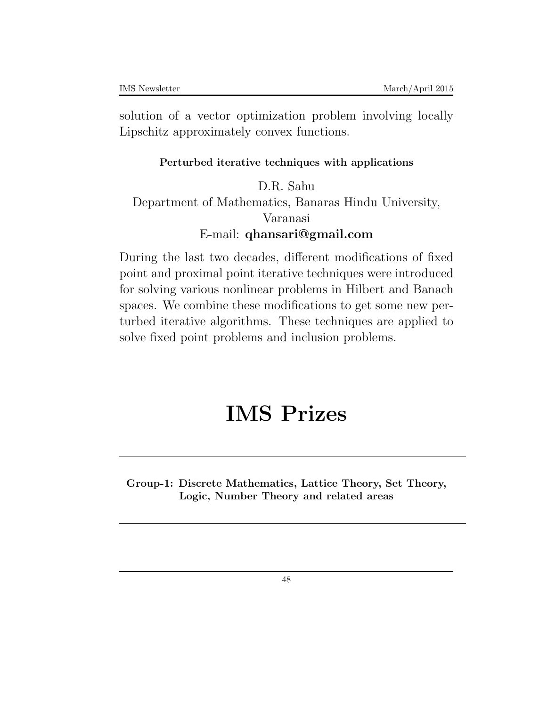solution of a vector optimization problem involving locally Lipschitz approximately convex functions.

### **Perturbed iterative techniques with applications**

D.R. Sahu Department of Mathematics, Banaras Hindu University, Varanasi E-mail: **qhansari@gmail.com**

During the last two decades, different modifications of fixed point and proximal point iterative techniques were introduced for solving various nonlinear problems in Hilbert and Banach spaces. We combine these modifications to get some new perturbed iterative algorithms. These techniques are applied to solve fixed point problems and inclusion problems.

# **IMS Prizes**

**Group-1: Discrete Mathematics, Lattice Theory, Set Theory, Logic, Number Theory and related areas**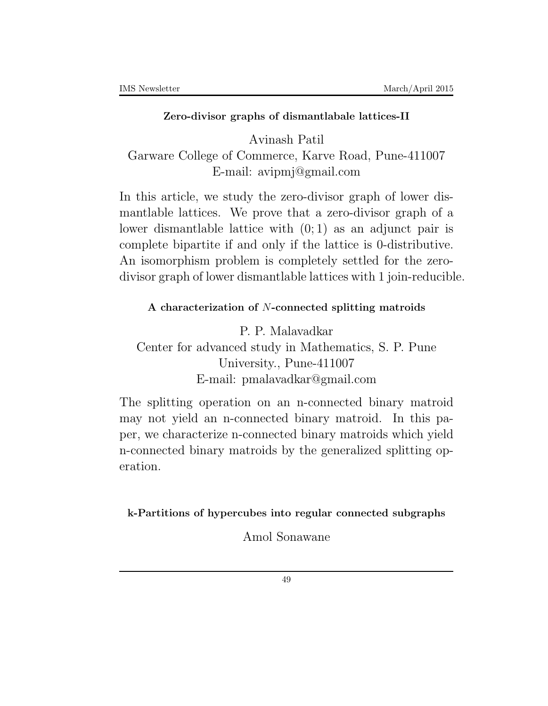### **Zero-divisor graphs of dismantlabale lattices-II**

Avinash Patil Garware College of Commerce, Karve Road, Pune-411007 E-mail: avipmj@gmail.com

In this article, we study the zero-divisor graph of lower dismantlable lattices. We prove that a zero-divisor graph of a lower dismantlable lattice with (0; 1) as an adjunct pair is complete bipartite if and only if the lattice is 0-distributive. An isomorphism problem is completely settled for the zerodivisor graph of lower dismantlable lattices with 1 join-reducible.

### **A characterization of** *N***-connected splitting matroids**

P. P. Malavadkar Center for advanced study in Mathematics, S. P. Pune University., Pune-411007 E-mail: pmalavadkar@gmail.com

The splitting operation on an n-connected binary matroid may not yield an n-connected binary matroid. In this paper, we characterize n-connected binary matroids which yield n-connected binary matroids by the generalized splitting operation.

**k-Partitions of hypercubes into regular connected subgraphs**

Amol Sonawane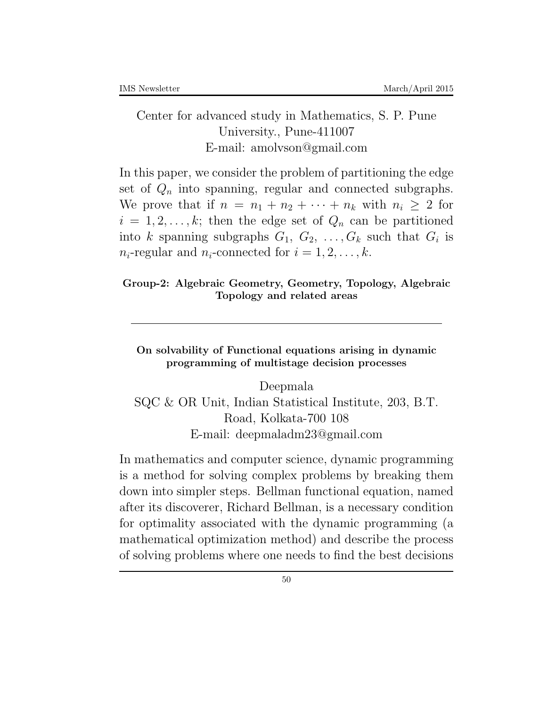### Center for advanced study in Mathematics, S. P. Pune University., Pune-411007 E-mail: amolvson@gmail.com

In this paper, we consider the problem of partitioning the edge set of  $Q_n$  into spanning, regular and connected subgraphs. We prove that if  $n = n_1 + n_2 + \cdots + n_k$  with  $n_i \geq 2$  for  $i = 1, 2, \ldots, k$ ; then the edge set of  $Q_n$  can be partitioned into *k* spanning subgraphs  $G_1, G_2, \ldots, G_k$  such that  $G_i$  is  $n_i$ -regular and  $n_i$ -connected for  $i = 1, 2, \ldots, k$ .

### **Group-2: Algebraic Geometry, Geometry, Topology, Algebraic Topology and related areas**

**On solvability of Functional equations arising in dynamic programming of multistage decision processes**

Deepmala SQC & OR Unit, Indian Statistical Institute, 203, B.T. Road, Kolkata-700 108 E-mail: deepmaladm23@gmail.com

In mathematics and computer science, dynamic programming is a method for solving complex problems by breaking them down into simpler steps. Bellman functional equation, named after its discoverer, Richard Bellman, is a necessary condition for optimality associated with the dynamic programming (a mathematical optimization method) and describe the process of solving problems where one needs to find the best decisions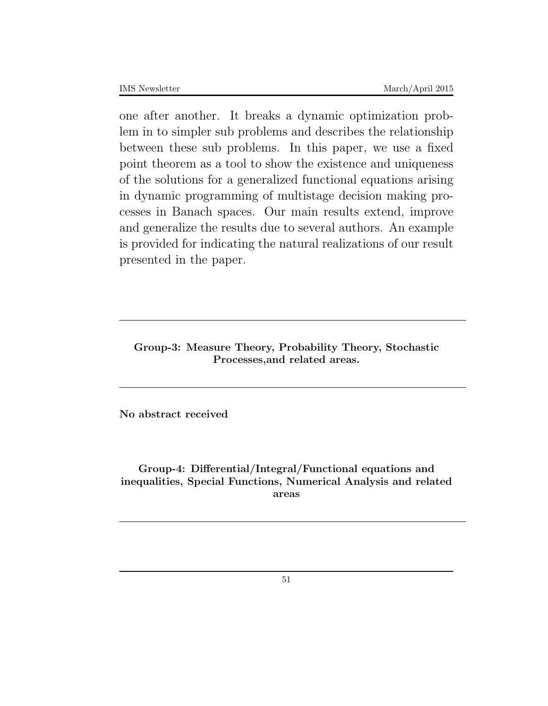one after another. It breaks a dynamic optimization problem in to simpler sub problems and describes the relationship between these sub problems. In this paper, we use a fixed point theorem as a tool to show the existence and uniqueness of the solutions for a generalized functional equations arising in dynamic programming of multistage decision making processes in Banach spaces. Our main results extend, improve and generalize the results due to several authors. An example is provided for indicating the natural realizations of our result presented in the paper.

**Group-3: Measure Theory, Probability Theory, Stochastic Processes,and related areas.**

**No abstract received**

**Group-4: Differential/Integral/Functional equations and inequalities, Special Functions, Numerical Analysis and related areas**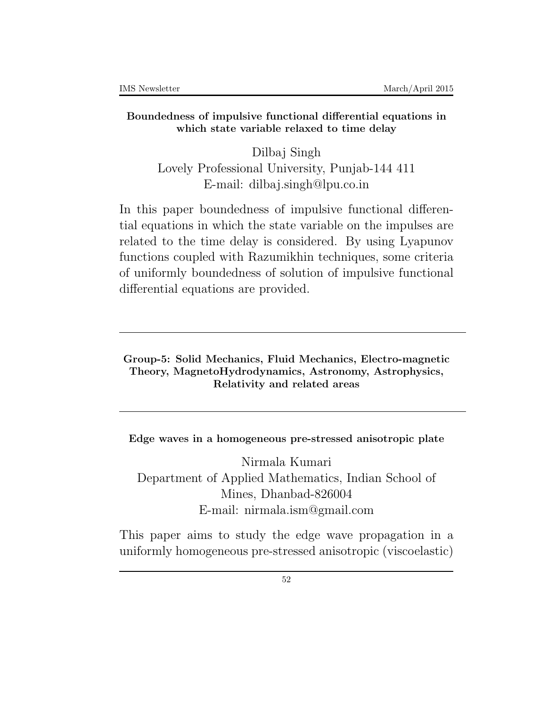### **Boundedness of impulsive functional differential equations in which state variable relaxed to time delay**

Dilbaj Singh Lovely Professional University, Punjab-144 411 E-mail: dilbaj.singh@lpu.co.in

In this paper boundedness of impulsive functional differential equations in which the state variable on the impulses are related to the time delay is considered. By using Lyapunov functions coupled with Razumikhin techniques, some criteria of uniformly boundedness of solution of impulsive functional differential equations are provided.

**Group-5: Solid Mechanics, Fluid Mechanics, Electro-magnetic Theory, MagnetoHydrodynamics, Astronomy, Astrophysics, Relativity and related areas**

**Edge waves in a homogeneous pre-stressed anisotropic plate**

Nirmala Kumari Department of Applied Mathematics, Indian School of Mines, Dhanbad-826004 E-mail: nirmala.ism@gmail.com

This paper aims to study the edge wave propagation in a uniformly homogeneous pre-stressed anisotropic (viscoelastic)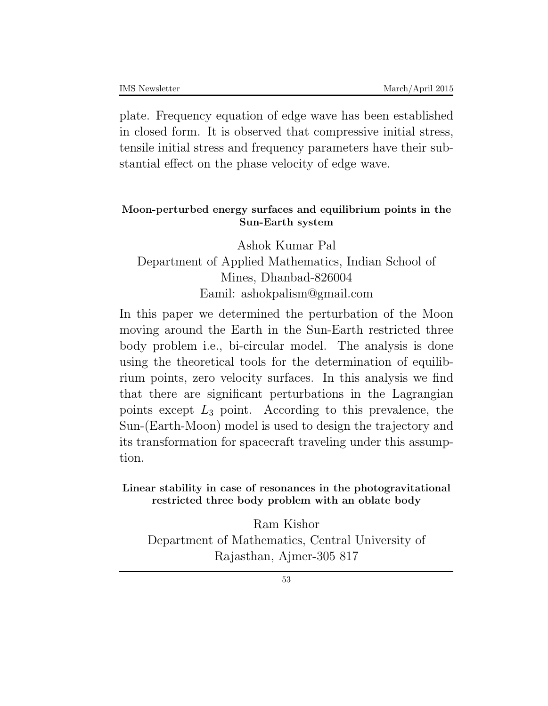plate. Frequency equation of edge wave has been established in closed form. It is observed that compressive initial stress, tensile initial stress and frequency parameters have their substantial effect on the phase velocity of edge wave.

### **Moon-perturbed energy surfaces and equilibrium points in the Sun-Earth system**

Ashok Kumar Pal Department of Applied Mathematics, Indian School of Mines, Dhanbad-826004 Eamil: ashokpalism@gmail.com

In this paper we determined the perturbation of the Moon moving around the Earth in the Sun-Earth restricted three body problem i.e., bi-circular model. The analysis is done using the theoretical tools for the determination of equilibrium points, zero velocity surfaces. In this analysis we find that there are significant perturbations in the Lagrangian points except *L*<sup>3</sup> point. According to this prevalence, the Sun-(Earth-Moon) model is used to design the trajectory and its transformation for spacecraft traveling under this assumption.

**Linear stability in case of resonances in the photogravitational restricted three body problem with an oblate body**

Ram Kishor Department of Mathematics, Central University of Rajasthan, Ajmer-305 817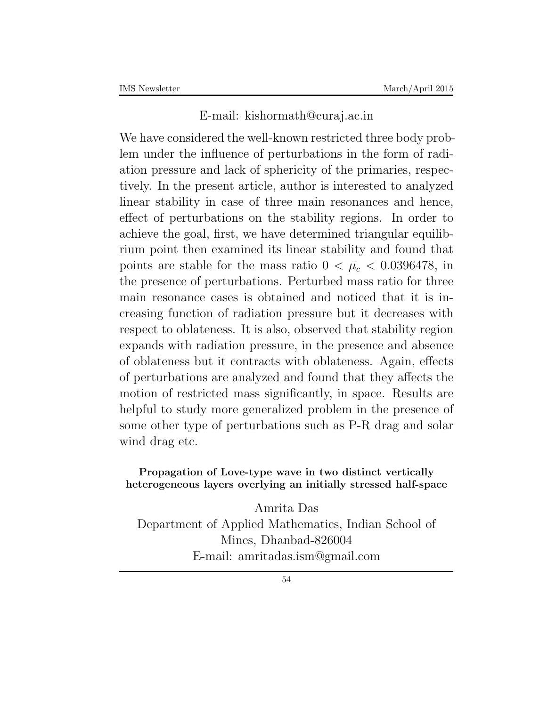### E-mail: kishormath@curaj.ac.in

We have considered the well-known restricted three body problem under the influence of perturbations in the form of radiation pressure and lack of sphericity of the primaries, respectively. In the present article, author is interested to analyzed linear stability in case of three main resonances and hence, effect of perturbations on the stability regions. In order to achieve the goal, first, we have determined triangular equilibrium point then examined its linear stability and found that points are stable for the mass ratio  $0 < \bar{\mu}_c < 0.0396478$ , in the presence of perturbations. Perturbed mass ratio for three main resonance cases is obtained and noticed that it is increasing function of radiation pressure but it decreases with respect to oblateness. It is also, observed that stability region expands with radiation pressure, in the presence and absence of oblateness but it contracts with oblateness. Again, effects of perturbations are analyzed and found that they affects the motion of restricted mass significantly, in space. Results are helpful to study more generalized problem in the presence of some other type of perturbations such as P-R drag and solar wind drag etc.

### **Propagation of Love-type wave in two distinct vertically heterogeneous layers overlying an initially stressed half-space**

Amrita Das Department of Applied Mathematics, Indian School of Mines, Dhanbad-826004 E-mail: amritadas.ism@gmail.com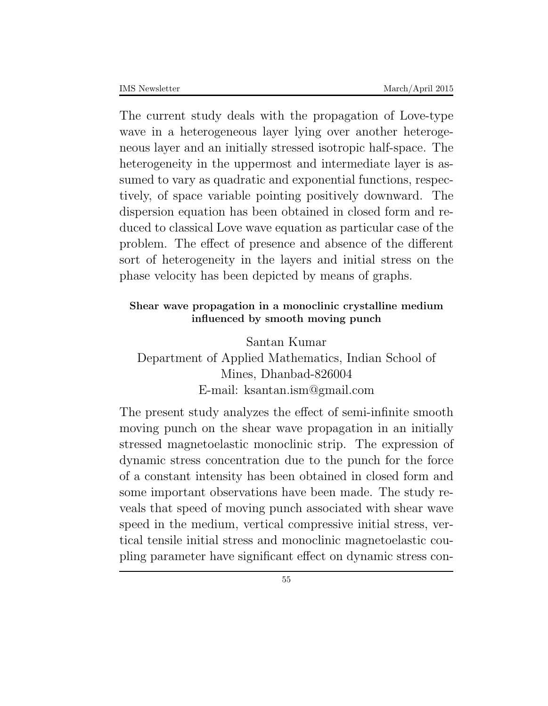The current study deals with the propagation of Love-type wave in a heterogeneous layer lying over another heterogeneous layer and an initially stressed isotropic half-space. The heterogeneity in the uppermost and intermediate layer is assumed to vary as quadratic and exponential functions, respectively, of space variable pointing positively downward. The dispersion equation has been obtained in closed form and reduced to classical Love wave equation as particular case of the problem. The effect of presence and absence of the different sort of heterogeneity in the layers and initial stress on the phase velocity has been depicted by means of graphs.

### **Shear wave propagation in a monoclinic crystalline medium influenced by smooth moving punch**

Santan Kumar Department of Applied Mathematics, Indian School of Mines, Dhanbad-826004 E-mail: ksantan.ism@gmail.com

The present study analyzes the effect of semi-infinite smooth moving punch on the shear wave propagation in an initially stressed magnetoelastic monoclinic strip. The expression of dynamic stress concentration due to the punch for the force of a constant intensity has been obtained in closed form and some important observations have been made. The study reveals that speed of moving punch associated with shear wave speed in the medium, vertical compressive initial stress, vertical tensile initial stress and monoclinic magnetoelastic coupling parameter have significant effect on dynamic stress con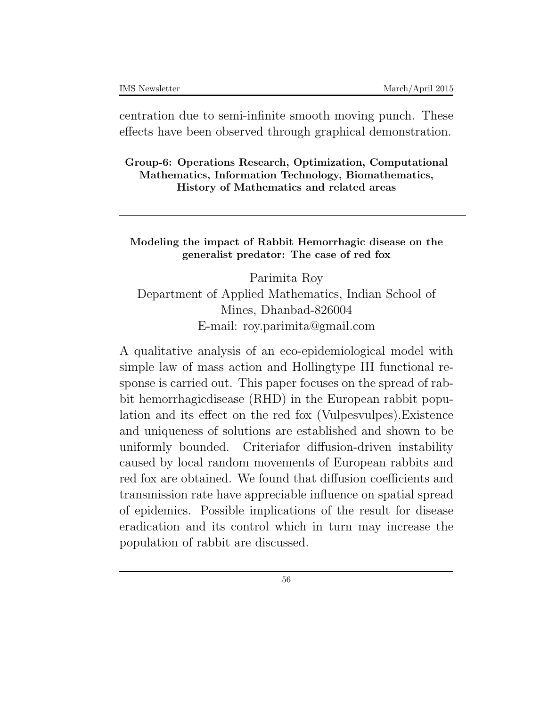centration due to semi-infinite smooth moving punch. These effects have been observed through graphical demonstration.

**Group-6: Operations Research, Optimization, Computational Mathematics, Information Technology, Biomathematics, History of Mathematics and related areas**

**Modeling the impact of Rabbit Hemorrhagic disease on the generalist predator: The case of red fox**

Parimita Roy Department of Applied Mathematics, Indian School of Mines, Dhanbad-826004 E-mail: roy.parimita@gmail.com

A qualitative analysis of an eco-epidemiological model with simple law of mass action and Hollingtype III functional response is carried out. This paper focuses on the spread of rabbit hemorrhagicdisease (RHD) in the European rabbit population and its effect on the red fox (Vulpesvulpes).Existence and uniqueness of solutions are established and shown to be uniformly bounded. Criteriafor diffusion-driven instability caused by local random movements of European rabbits and red fox are obtained. We found that diffusion coefficients and transmission rate have appreciable influence on spatial spread of epidemics. Possible implications of the result for disease eradication and its control which in turn may increase the population of rabbit are discussed.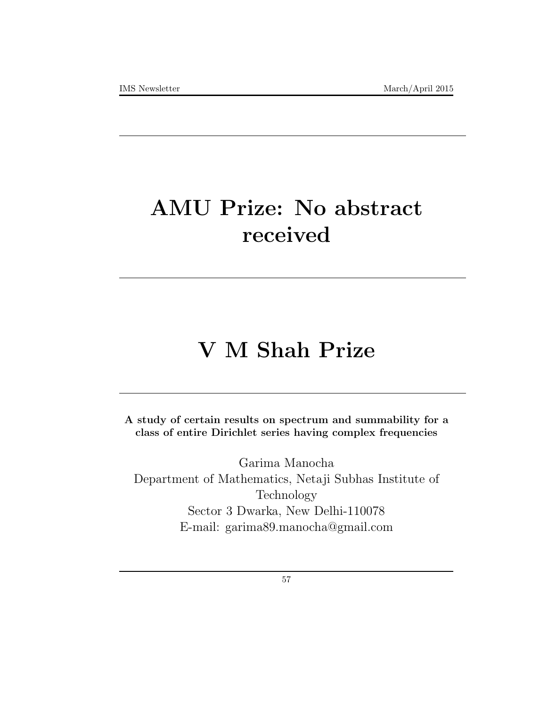# **AMU Prize: No abstract received**

# **V M Shah Prize**

**A study of certain results on spectrum and summability for a class of entire Dirichlet series having complex frequencies**

Garima Manocha Department of Mathematics, Netaji Subhas Institute of Technology Sector 3 Dwarka, New Delhi-110078 E-mail: garima89.manocha@gmail.com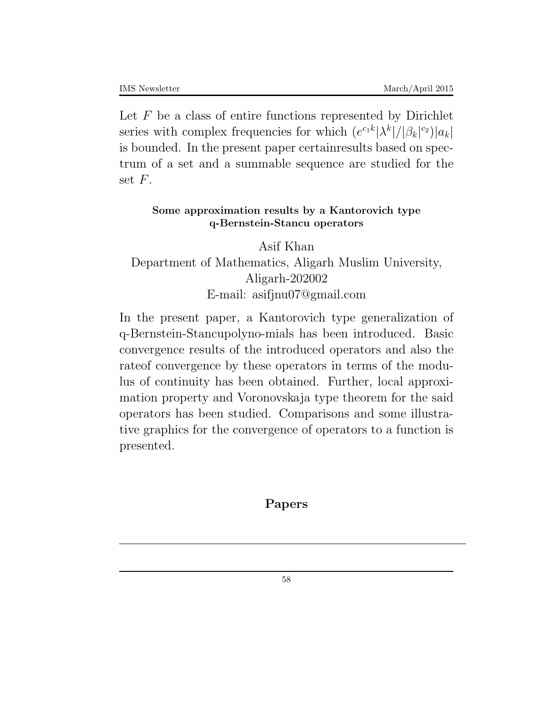Let *F* be a class of entire functions represented by Dirichlet series with complex frequencies for which  $(e^{c_1 k} |\lambda^k|/|\beta_k|^{c_2})|a_k|$ is bounded. In the present paper certainresults based on spectrum of a set and a summable sequence are studied for the set *F*.

### **Some approximation results by a Kantorovich type q-Bernstein-Stancu operators**

Asif Khan Department of Mathematics, Aligarh Muslim University, Aligarh-202002 E-mail: asifjnu07@gmail.com

In the present paper, a Kantorovich type generalization of q-Bernstein-Stancupolyno-mials has been introduced. Basic convergence results of the introduced operators and also the rateof convergence by these operators in terms of the modulus of continuity has been obtained. Further, local approximation property and Voronovskaja type theorem for the said operators has been studied. Comparisons and some illustrative graphics for the convergence of operators to a function is presented.

### **Papers**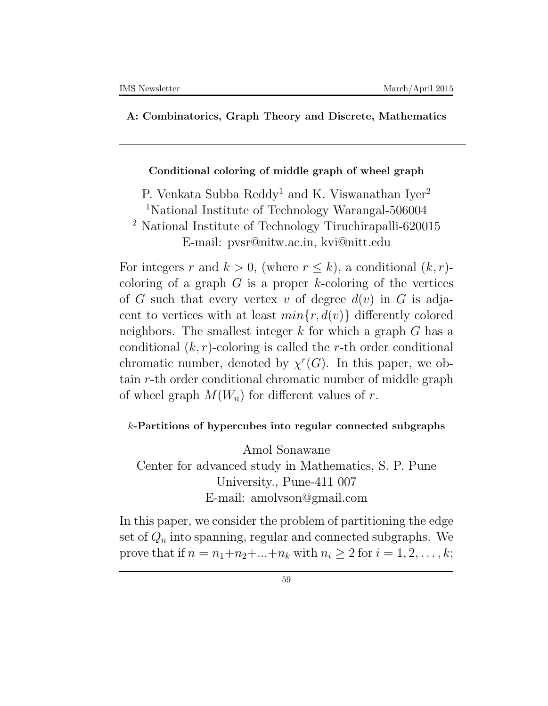#### **A: Combinatorics, Graph Theory and Discrete, Mathematics**

#### **Conditional coloring of middle graph of wheel graph**

P. Venkata Subba Reddy<sup>1</sup> and K. Viswanathan Iver<sup>2</sup>

<sup>1</sup>National Institute of Technology Warangal-506004

<sup>2</sup> National Institute of Technology Tiruchirapalli-620015 E-mail: pvsr@nitw.ac.in, kvi@nitt.edu

For integers *r* and  $k > 0$ , (where  $r \leq k$ ), a conditional  $(k, r)$ coloring of a graph *G* is a proper *k*-coloring of the vertices of *G* such that every vertex *v* of degree *d*(*v*) in *G* is adjacent to vertices with at least  $min\{r, d(v)\}\$  differently colored neighbors. The smallest integer *k* for which a graph *G* has a conditional (*k, r*)-coloring is called the *r*-th order conditional chromatic number, denoted by  $\chi^r(G)$ . In this paper, we obtain *r*-th order conditional chromatic number of middle graph of wheel graph  $M(W_n)$  for different values of r.

#### *k***-Partitions of hypercubes into regular connected subgraphs**

Amol Sonawane Center for advanced study in Mathematics, S. P. Pune University., Pune-411 007 E-mail: amolvson@gmail.com

In this paper, we consider the problem of partitioning the edge set of  $Q_n$  into spanning, regular and connected subgraphs. We prove that if  $n = n_1 + n_2 + ... + n_k$  with  $n_i \geq 2$  for  $i = 1, 2, ..., k$ ;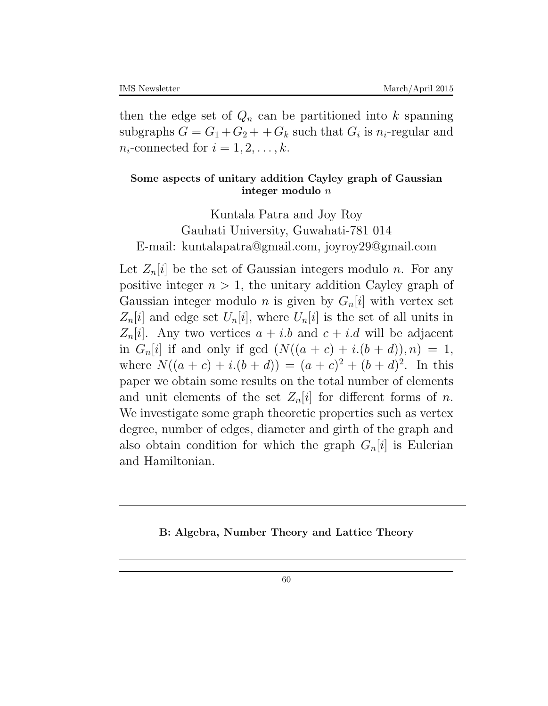then the edge set of  $Q_n$  can be partitioned into  $k$  spanning subgraphs  $G = G_1 + G_2 + G_k$  such that  $G_i$  is  $n_i$ -regular and  $n_i$ -connected for  $i = 1, 2, \ldots, k$ .

### **Some aspects of unitary addition Cayley graph of Gaussian integer modulo** *n*

Kuntala Patra and Joy Roy Gauhati University, Guwahati-781 014 E-mail: kuntalapatra@gmail.com, joyroy29@gmail.com

Let  $Z_n[i]$  be the set of Gaussian integers modulo *n*. For any positive integer  $n > 1$ , the unitary addition Cayley graph of Gaussian integer modulo *n* is given by  $G_n[i]$  with vertex set  $Z_n[i]$  and edge set  $U_n[i]$ , where  $U_n[i]$  is the set of all units in  $Z_n[i]$ . Any two vertices  $a + i.b$  and  $c + i.d$  will be adjacent in  $G_n[i]$  if and only if gcd  $(N((a + c) + i.(b + d)), n) = 1$ , where  $N((a + c) + i.(b + d)) = (a + c)^2 + (b + d)^2$ . In this paper we obtain some results on the total number of elements and unit elements of the set  $Z_n[i]$  for different forms of *n*. We investigate some graph theoretic properties such as vertex degree, number of edges, diameter and girth of the graph and also obtain condition for which the graph  $G_n[i]$  is Eulerian and Hamiltonian.

#### **B: Algebra, Number Theory and Lattice Theory**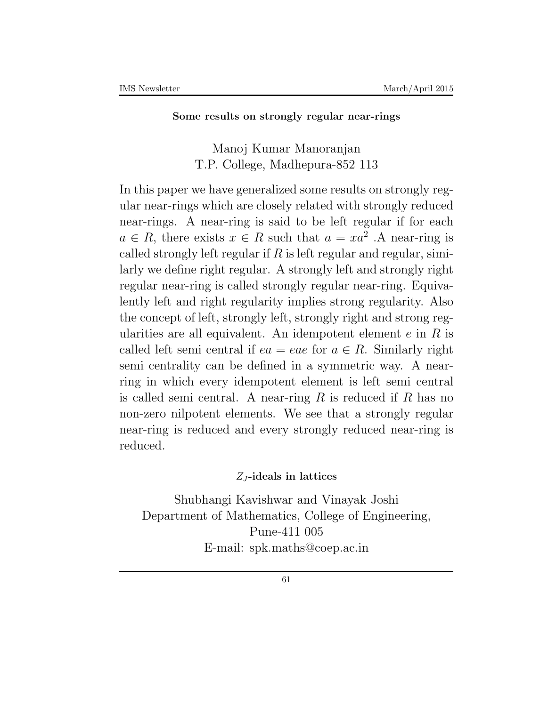#### **Some results on strongly regular near-rings**

### Manoj Kumar Manoranjan T.P. College, Madhepura-852 113

In this paper we have generalized some results on strongly regular near-rings which are closely related with strongly reduced near-rings. A near-ring is said to be left regular if for each  $a \in R$ , there exists  $x \in R$  such that  $a = xa^2$ . A near-ring is called strongly left regular if *R* is left regular and regular, similarly we define right regular. A strongly left and strongly right regular near-ring is called strongly regular near-ring. Equivalently left and right regularity implies strong regularity. Also the concept of left, strongly left, strongly right and strong regularities are all equivalent. An idempotent element *e* in *R* is called left semi central if  $ea = eae$  for  $a \in R$ . Similarly right semi centrality can be defined in a symmetric way. A nearring in which every idempotent element is left semi central is called semi central. A near-ring *R* is reduced if *R* has no non-zero nilpotent elements. We see that a strongly regular near-ring is reduced and every strongly reduced near-ring is reduced.

### *Z<sup>J</sup>* **-ideals in lattices**

Shubhangi Kavishwar and Vinayak Joshi Department of Mathematics, College of Engineering, Pune-411 005 E-mail: spk.maths@coep.ac.in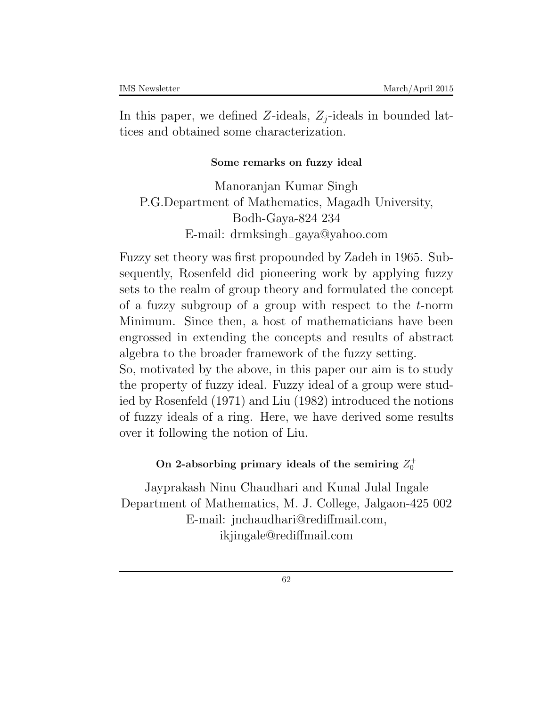In this paper, we defined *Z*-ideals,  $Z_i$ -ideals in bounded lattices and obtained some characterization.

### **Some remarks on fuzzy ideal**

Manoranjan Kumar Singh P.G.Department of Mathematics, Magadh University, Bodh-Gaya-824 234 E-mail: drmksingh*−*gaya@yahoo*.*com

Fuzzy set theory was first propounded by Zadeh in 1965. Subsequently, Rosenfeld did pioneering work by applying fuzzy sets to the realm of group theory and formulated the concept of a fuzzy subgroup of a group with respect to the *t*-norm Minimum. Since then, a host of mathematicians have been engrossed in extending the concepts and results of abstract algebra to the broader framework of the fuzzy setting. So, motivated by the above, in this paper our aim is to study the property of fuzzy ideal. Fuzzy ideal of a group were studied by Rosenfeld (1971) and Liu (1982) introduced the notions of fuzzy ideals of a ring. Here, we have derived some results over it following the notion of Liu.

### On 2-absorbing primary ideals of the semiring  $Z_0^+$

Jayprakash Ninu Chaudhari and Kunal Julal Ingale Department of Mathematics, M. J. College, Jalgaon-425 002 E-mail: jnchaudhari@rediffmail.com, ikjingale@rediffmail.com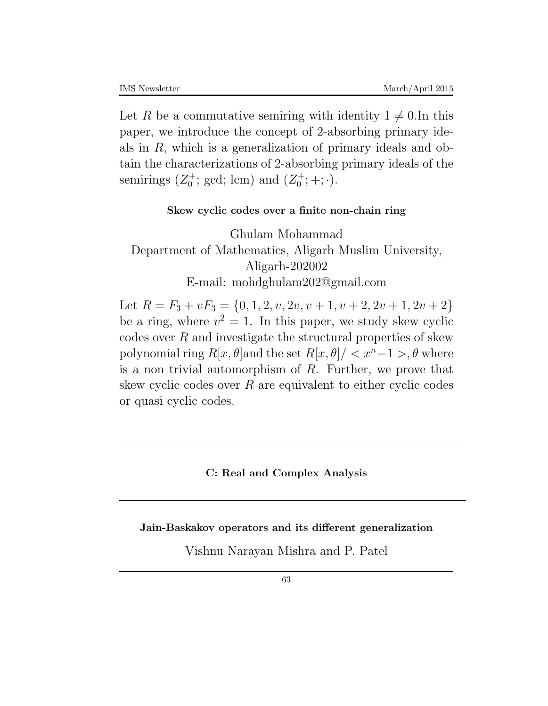Let *R* be a commutative semiring with identity  $1 \neq 0$ . In this paper, we introduce the concept of 2-absorbing primary ideals in *R*, which is a generalization of primary ideals and obtain the characterizations of 2-absorbing primary ideals of the semirings  $(Z_0^+)$  $\chi_0^+$ ; gcd; lcm) and  $(Z_0^+)$  $j_0^+; +; \cdot).$ 

#### **Skew cyclic codes over a finite non-chain ring**

Ghulam Mohammad Department of Mathematics, Aligarh Muslim University, Aligarh-202002 E-mail: mohdghulam202@gmail.com

Let  $R = F_3 + vF_3 = \{0, 1, 2, v, 2v, v+1, v+2, 2v+1, 2v+2\}$ be a ring, where  $v^2 = 1$ . In this paper, we study skew cyclic codes over *R* and investigate the structural properties of skew polynomial ring  $R[x, \theta]$  and the set  $R[x, \theta] / \langle x^n - 1 \rangle, \theta$  where is a non trivial automorphism of *R*. Further, we prove that skew cyclic codes over *R* are equivalent to either cyclic codes or quasi cyclic codes.

#### **C: Real and Complex Analysis**

**Jain-Baskakov operators and its different generalization**

Vishnu Narayan Mishra and P. Patel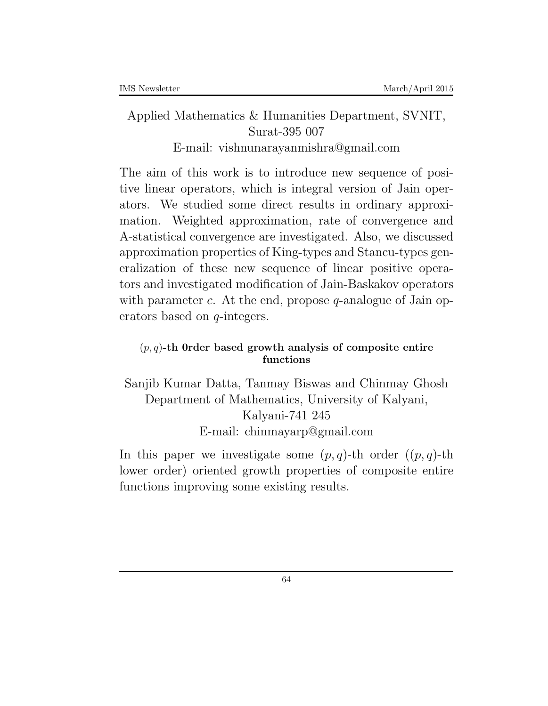# Applied Mathematics & Humanities Department, SVNIT, Surat-395 007 E-mail: vishnunarayanmishra@gmail.com

The aim of this work is to introduce new sequence of positive linear operators, which is integral version of Jain operators. We studied some direct results in ordinary approximation. Weighted approximation, rate of convergence and A-statistical convergence are investigated. Also, we discussed approximation properties of King-types and Stancu-types generalization of these new sequence of linear positive operators and investigated modification of Jain-Baskakov operators with parameter *c*. At the end, propose *q*-analogue of Jain operators based on *q*-integers.

# (*p, q*)**-th 0rder based growth analysis of composite entire functions**

Sanjib Kumar Datta, Tanmay Biswas and Chinmay Ghosh Department of Mathematics, University of Kalyani, Kalyani-741 245 E-mail: chinmayarp@gmail.com

In this paper we investigate some  $(p, q)$ -th order  $((p, q)$ -th lower order) oriented growth properties of composite entire functions improving some existing results.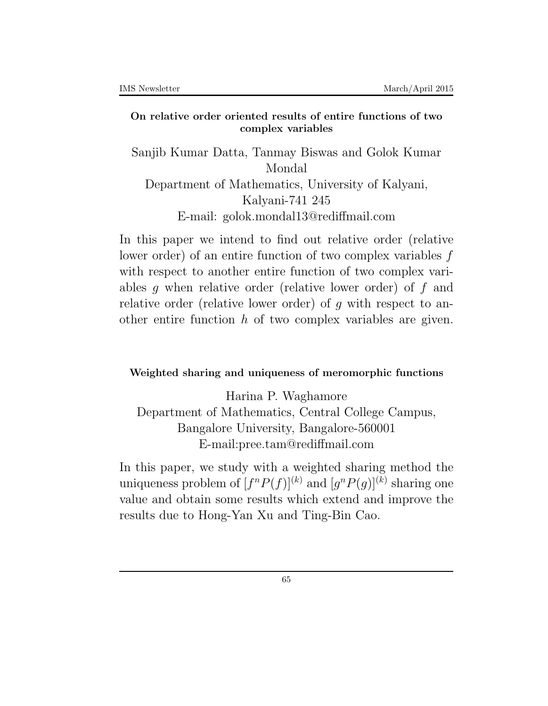#### **On relative order oriented results of entire functions of two complex variables**

Sanjib Kumar Datta, Tanmay Biswas and Golok Kumar Mondal Department of Mathematics, University of Kalyani, Kalyani-741 245 E-mail: golok.mondal13@rediffmail.com

In this paper we intend to find out relative order (relative lower order) of an entire function of two complex variables *f* with respect to another entire function of two complex variables *g* when relative order (relative lower order) of *f* and relative order (relative lower order) of *g* with respect to another entire function *h* of two complex variables are given.

### **Weighted sharing and uniqueness of meromorphic functions**

Harina P. Waghamore Department of Mathematics, Central College Campus, Bangalore University, Bangalore-560001 E-mail:pree.tam@rediffmail.com

In this paper, we study with a weighted sharing method the uniqueness problem of  $[f^n P(f)]^{(k)}$  and  $[g^n P(g)]^{(k)}$  sharing one value and obtain some results which extend and improve the results due to Hong-Yan Xu and Ting-Bin Cao.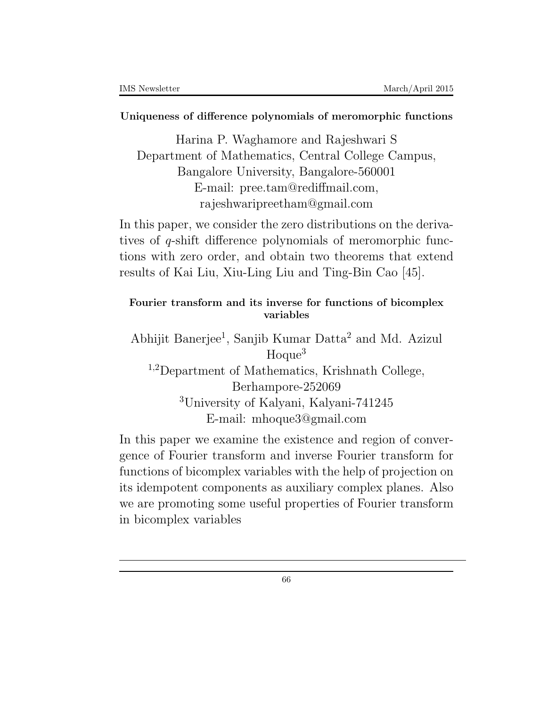#### **Uniqueness of difference polynomials of meromorphic functions**

Harina P. Waghamore and Rajeshwari S Department of Mathematics, Central College Campus, Bangalore University, Bangalore-560001 E-mail: pree.tam@rediffmail.com, rajeshwaripreetham@gmail.com

In this paper, we consider the zero distributions on the derivatives of *q*-shift difference polynomials of meromorphic functions with zero order, and obtain two theorems that extend results of Kai Liu, Xiu-Ling Liu and Ting-Bin Cao [45].

# **Fourier transform and its inverse for functions of bicomplex variables**

Abhijit Banerjee<sup>1</sup>, Sanjib Kumar Datta<sup>2</sup> and Md. Azizul  $Hoque<sup>3</sup>$ <sup>1</sup>*,*<sup>2</sup>Department of Mathematics, Krishnath College, Berhampore-252069 <sup>3</sup>University of Kalyani, Kalyani-741245 E-mail: mhoque3@gmail.com

In this paper we examine the existence and region of convergence of Fourier transform and inverse Fourier transform for functions of bicomplex variables with the help of projection on its idempotent components as auxiliary complex planes. Also we are promoting some useful properties of Fourier transform in bicomplex variables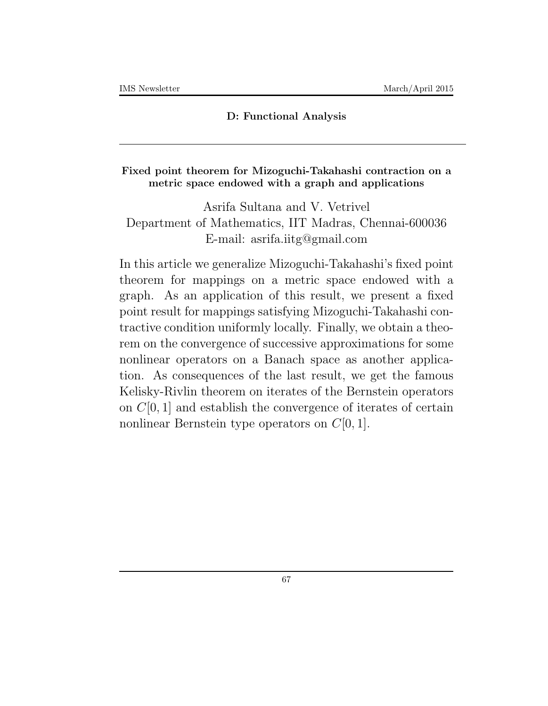#### **D: Functional Analysis**

#### **Fixed point theorem for Mizoguchi-Takahashi contraction on a metric space endowed with a graph and applications**

Asrifa Sultana and V. Vetrivel Department of Mathematics, IIT Madras, Chennai-600036 E-mail: asrifa.iitg@gmail.com

In this article we generalize Mizoguchi-Takahashi's fixed point theorem for mappings on a metric space endowed with a graph. As an application of this result, we present a fixed point result for mappings satisfying Mizoguchi-Takahashi contractive condition uniformly locally. Finally, we obtain a theorem on the convergence of successive approximations for some nonlinear operators on a Banach space as another application. As consequences of the last result, we get the famous Kelisky-Rivlin theorem on iterates of the Bernstein operators on *C*[0*,* 1] and establish the convergence of iterates of certain nonlinear Bernstein type operators on *C*[0*,* 1].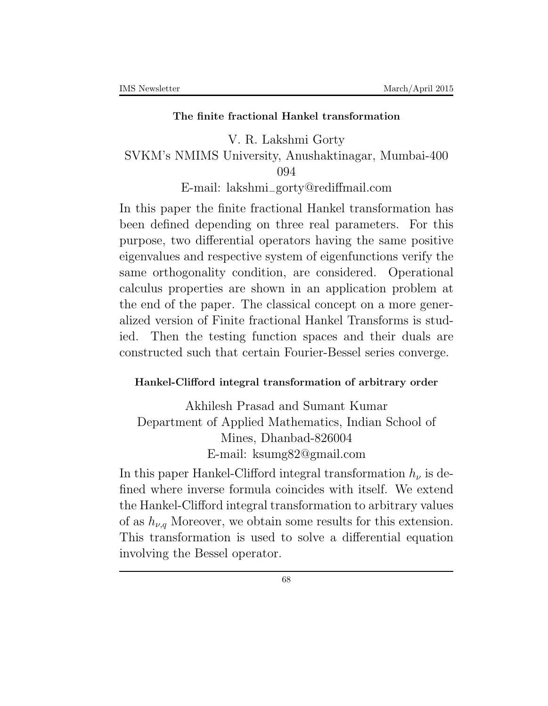#### **The finite fractional Hankel transformation**

V. R. Lakshmi Gorty SVKM's NMIMS University, Anushaktinagar, Mumbai-400 094

E-mail: lakshmi*−*gorty@rediffmail*.*com

In this paper the finite fractional Hankel transformation has been defined depending on three real parameters. For this purpose, two differential operators having the same positive eigenvalues and respective system of eigenfunctions verify the same orthogonality condition, are considered. Operational calculus properties are shown in an application problem at the end of the paper. The classical concept on a more generalized version of Finite fractional Hankel Transforms is studied. Then the testing function spaces and their duals are constructed such that certain Fourier-Bessel series converge.

#### **Hankel-Clifford integral transformation of arbitrary order**

Akhilesh Prasad and Sumant Kumar Department of Applied Mathematics, Indian School of Mines, Dhanbad-826004 E-mail: ksumg82@gmail.com

In this paper Hankel-Clifford integral transformation  $h_{\nu}$  is defined where inverse formula coincides with itself. We extend the Hankel-Clifford integral transformation to arbitrary values of as  $h_{\nu,q}$  Moreover, we obtain some results for this extension. This transformation is used to solve a differential equation involving the Bessel operator.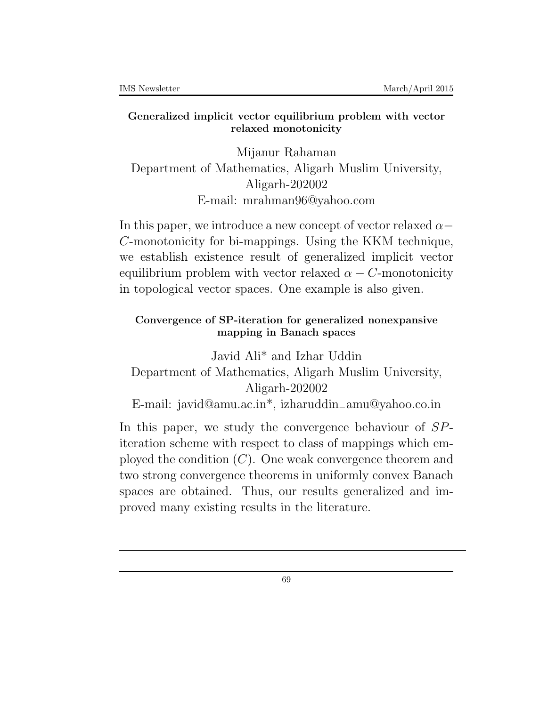#### **Generalized implicit vector equilibrium problem with vector relaxed monotonicity**

Mijanur Rahaman Department of Mathematics, Aligarh Muslim University, Aligarh-202002 E-mail: mrahman96@yahoo.com

In this paper, we introduce a new concept of vector relaxed *α− C*-monotonicity for bi-mappings. Using the KKM technique, we establish existence result of generalized implicit vector equilibrium problem with vector relaxed  $\alpha - C$ -monotonicity in topological vector spaces. One example is also given.

# **Convergence of SP-iteration for generalized nonexpansive mapping in Banach spaces**

Javid Ali\* and Izhar Uddin Department of Mathematics, Aligarh Muslim University, Aligarh-202002 E-mail: javid@amu.ac.in\*, izharuddin*−*amu@yahoo*.*co*.*in

In this paper, we study the convergence behaviour of *SP*iteration scheme with respect to class of mappings which employed the condition (*C*). One weak convergence theorem and two strong convergence theorems in uniformly convex Banach spaces are obtained. Thus, our results generalized and improved many existing results in the literature.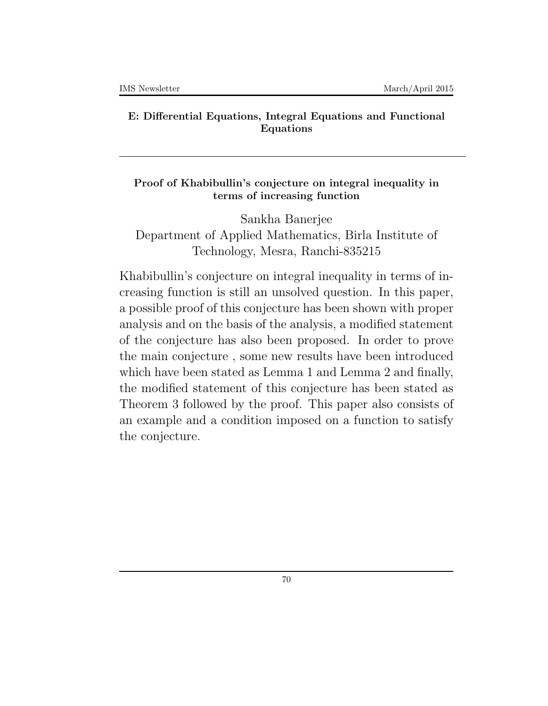#### **E: Differential Equations, Integral Equations and Functional Equations**

### **Proof of Khabibullin's conjecture on integral inequality in terms of increasing function**

Sankha Banerjee Department of Applied Mathematics, Birla Institute of Technology, Mesra, Ranchi-835215

Khabibullin's conjecture on integral inequality in terms of increasing function is still an unsolved question. In this paper, a possible proof of this conjecture has been shown with proper analysis and on the basis of the analysis, a modified statement of the conjecture has also been proposed. In order to prove the main conjecture , some new results have been introduced which have been stated as Lemma 1 and Lemma 2 and finally, the modified statement of this conjecture has been stated as Theorem 3 followed by the proof. This paper also consists of an example and a condition imposed on a function to satisfy the conjecture.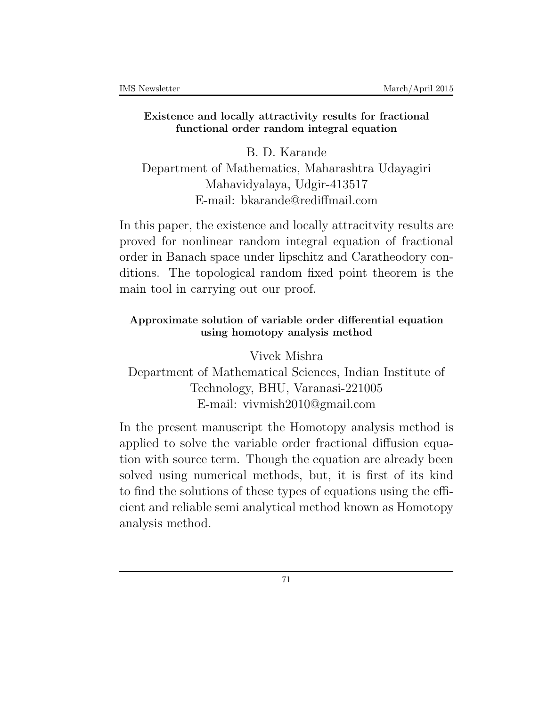#### **Existence and locally attractivity results for fractional functional order random integral equation**

B. D. Karande Department of Mathematics, Maharashtra Udayagiri Mahavidyalaya, Udgir-413517 E-mail: bkarande@rediffmail.com

In this paper, the existence and locally attracitvity results are proved for nonlinear random integral equation of fractional order in Banach space under lipschitz and Caratheodory conditions. The topological random fixed point theorem is the main tool in carrying out our proof.

# **Approximate solution of variable order differential equation using homotopy analysis method**

Vivek Mishra Department of Mathematical Sciences, Indian Institute of Technology, BHU, Varanasi-221005 E-mail: vivmish2010@gmail.com

In the present manuscript the Homotopy analysis method is applied to solve the variable order fractional diffusion equation with source term. Though the equation are already been solved using numerical methods, but, it is first of its kind to find the solutions of these types of equations using the efficient and reliable semi analytical method known as Homotopy analysis method.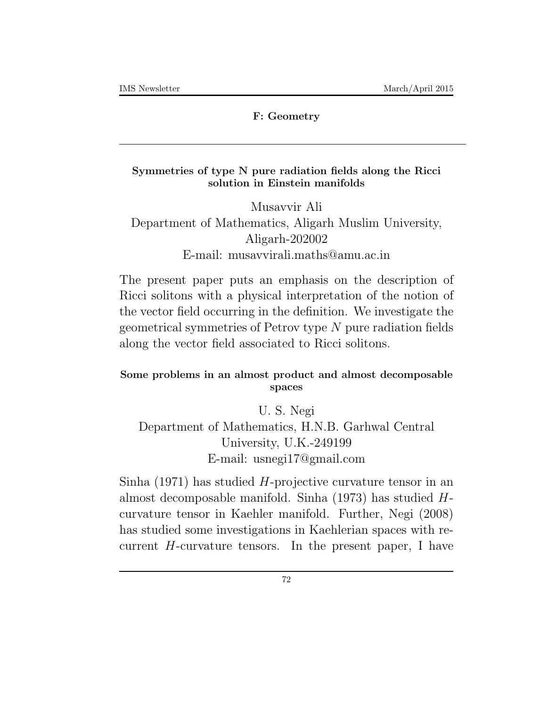#### **F: Geometry**

#### **Symmetries of type N pure radiation fields along the Ricci solution in Einstein manifolds**

Musavvir Ali Department of Mathematics, Aligarh Muslim University, Aligarh-202002 E-mail: musavvirali.maths@amu.ac.in

The present paper puts an emphasis on the description of Ricci solitons with a physical interpretation of the notion of the vector field occurring in the definition. We investigate the geometrical symmetries of Petrov type *N* pure radiation fields along the vector field associated to Ricci solitons.

## **Some problems in an almost product and almost decomposable spaces**

U. S. Negi Department of Mathematics, H.N.B. Garhwal Central University, U.K.-249199 E-mail: usnegi17@gmail.com

Sinha (1971) has studied *H*-projective curvature tensor in an almost decomposable manifold. Sinha (1973) has studied *H*curvature tensor in Kaehler manifold. Further, Negi (2008) has studied some investigations in Kaehlerian spaces with recurrent *H*-curvature tensors. In the present paper, I have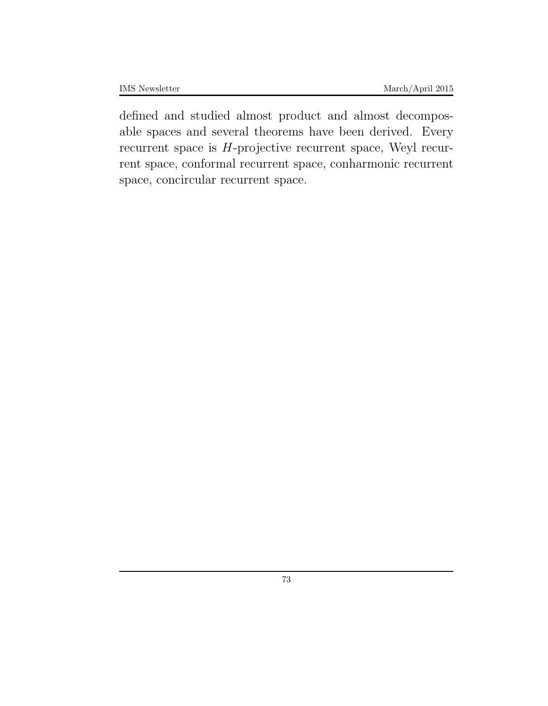defined and studied almost product and almost decomposable spaces and several theorems have been derived. Every recurrent space is *H*-projective recurrent space, Weyl recurrent space, conformal recurrent space, conharmonic recurrent space, concircular recurrent space.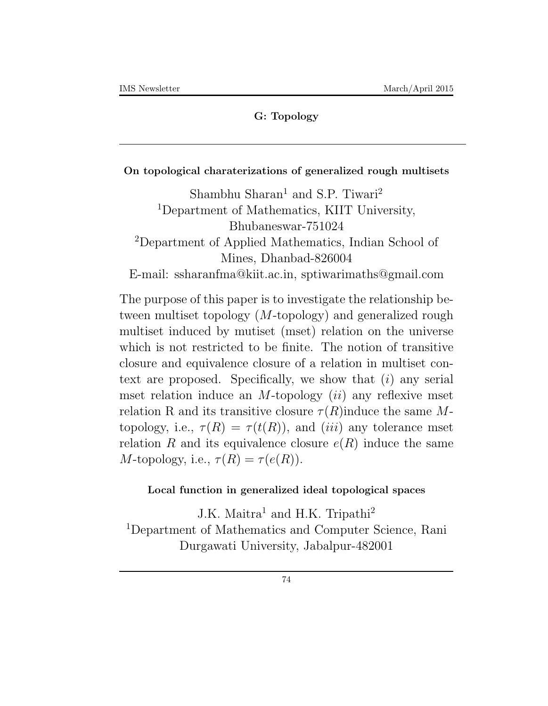## **G: Topology**

### **On topological charaterizations of generalized rough multisets**

Shambhu Sharan<sup>1</sup> and S.P. Tiwari<sup>2</sup> <sup>1</sup>Department of Mathematics, KIIT University, Bhubaneswar-751024 <sup>2</sup>Department of Applied Mathematics, Indian School of Mines, Dhanbad-826004 E-mail: ssharanfma@kiit.ac.in, sptiwarimaths@gmail.com

The purpose of this paper is to investigate the relationship between multiset topology (*M*-topology) and generalized rough multiset induced by mutiset (mset) relation on the universe which is not restricted to be finite. The notion of transitive closure and equivalence closure of a relation in multiset context are proposed. Specifically, we show that (*i*) any serial mset relation induce an *M*-topology (*ii*) any reflexive mset relation R and its transitive closure  $\tau(R)$  induce the same Mtopology, i.e.,  $\tau(R) = \tau(t(R))$ , and *(iii)* any tolerance mset relation *R* and its equivalence closure  $e(R)$  induce the same *M*-topology, i.e.,  $\tau(R) = \tau(e(R))$ .

### **Local function in generalized ideal topological spaces**

J.K. Maitra<sup>1</sup> and H.K. Tripathi<sup>2</sup> <sup>1</sup>Department of Mathematics and Computer Science, Rani Durgawati University, Jabalpur-482001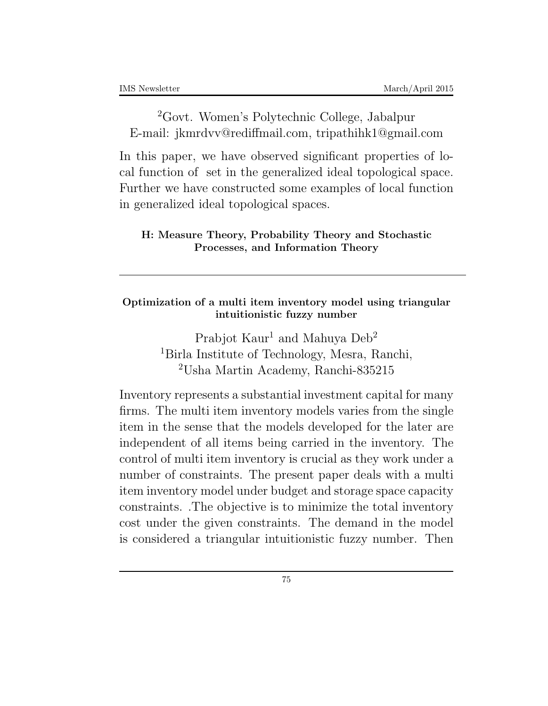<sup>2</sup>Govt. Women's Polytechnic College, Jabalpur E-mail: jkmrdvv@rediffmail.com, tripathihk1@gmail.com

In this paper, we have observed significant properties of local function of set in the generalized ideal topological space. Further we have constructed some examples of local function in generalized ideal topological spaces.

## **H: Measure Theory, Probability Theory and Stochastic Processes, and Information Theory**

## **Optimization of a multi item inventory model using triangular intuitionistic fuzzy number**

Prabjot Kaur<sup>1</sup> and Mahuya Deb<sup>2</sup> <sup>1</sup>Birla Institute of Technology, Mesra, Ranchi, <sup>2</sup>Usha Martin Academy, Ranchi-835215

Inventory represents a substantial investment capital for many firms. The multi item inventory models varies from the single item in the sense that the models developed for the later are independent of all items being carried in the inventory. The control of multi item inventory is crucial as they work under a number of constraints. The present paper deals with a multi item inventory model under budget and storage space capacity constraints. .The objective is to minimize the total inventory cost under the given constraints. The demand in the model is considered a triangular intuitionistic fuzzy number. Then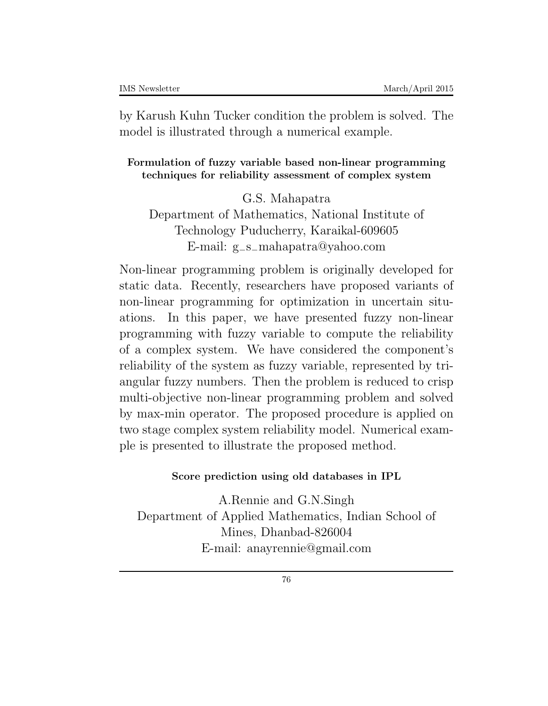by Karush Kuhn Tucker condition the problem is solved. The model is illustrated through a numerical example.

#### **Formulation of fuzzy variable based non-linear programming techniques for reliability assessment of complex system**

G.S. Mahapatra Department of Mathematics, National Institute of Technology Puducherry, Karaikal-609605 E-mail: g*−*s*−*mahapatra@yahoo*.*com

Non-linear programming problem is originally developed for static data. Recently, researchers have proposed variants of non-linear programming for optimization in uncertain situations. In this paper, we have presented fuzzy non-linear programming with fuzzy variable to compute the reliability of a complex system. We have considered the component's reliability of the system as fuzzy variable, represented by triangular fuzzy numbers. Then the problem is reduced to crisp multi-objective non-linear programming problem and solved by max-min operator. The proposed procedure is applied on two stage complex system reliability model. Numerical example is presented to illustrate the proposed method.

### **Score prediction using old databases in IPL**

A.Rennie and G.N.Singh Department of Applied Mathematics, Indian School of Mines, Dhanbad-826004 E-mail: anayrennie@gmail.com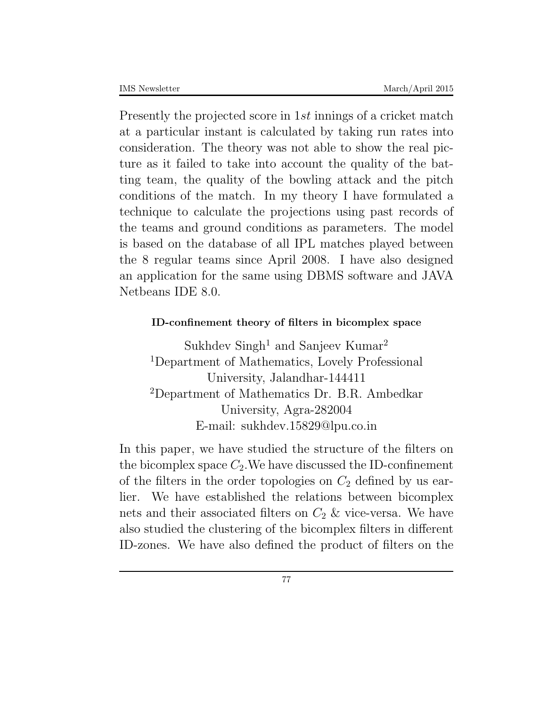Presently the projected score in 1*st* innings of a cricket match at a particular instant is calculated by taking run rates into consideration. The theory was not able to show the real picture as it failed to take into account the quality of the batting team, the quality of the bowling attack and the pitch conditions of the match. In my theory I have formulated a technique to calculate the projections using past records of the teams and ground conditions as parameters. The model is based on the database of all IPL matches played between the 8 regular teams since April 2008. I have also designed an application for the same using DBMS software and JAVA Netbeans IDE 8*.*0.

## **ID-confinement theory of filters in bicomplex space**

Sukhdev Singh<sup>1</sup> and Sanjeev Kumar<sup>2</sup> <sup>1</sup>Department of Mathematics, Lovely Professional University, Jalandhar-144411 <sup>2</sup>Department of Mathematics Dr. B.R. Ambedkar University, Agra-282004 E-mail: sukhdev.15829@lpu.co.in

In this paper, we have studied the structure of the filters on the bicomplex space  $C_2$ . We have discussed the ID-confinement of the filters in the order topologies on  $C_2$  defined by us earlier. We have established the relations between bicomplex nets and their associated filters on  $C_2$  & vice-versa. We have also studied the clustering of the bicomplex filters in different ID-zones. We have also defined the product of filters on the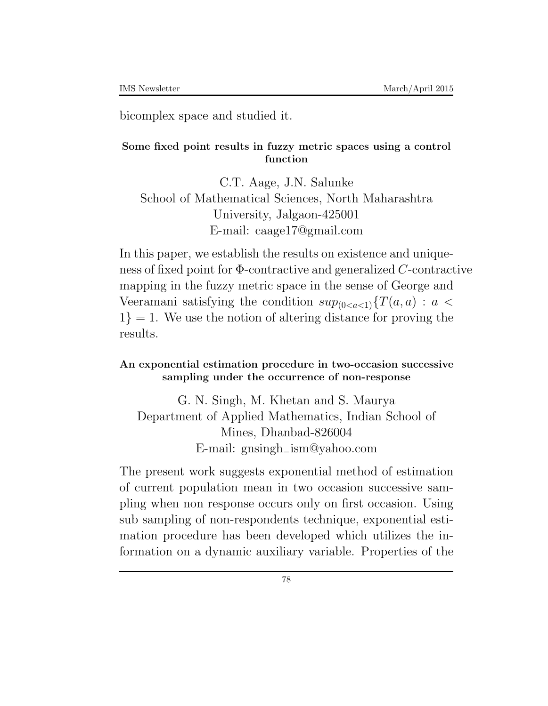bicomplex space and studied it.

#### **Some fixed point results in fuzzy metric spaces using a control function**

C.T. Aage, J.N. Salunke School of Mathematical Sciences, North Maharashtra University, Jalgaon-425001 E-mail: caage17@gmail.com

In this paper, we establish the results on existence and uniqueness of fixed point for Φ-contractive and generalized *C*-contractive mapping in the fuzzy metric space in the sense of George and Veeramani satisfying the condition  $sup_{(0 < a < 1)} {T(a, a)} : a <$ 1*}* = 1. We use the notion of altering distance for proving the results.

### **An exponential estimation procedure in two-occasion successive sampling under the occurrence of non-response**

G. N. Singh, M. Khetan and S. Maurya Department of Applied Mathematics, Indian School of Mines, Dhanbad-826004 E-mail: gnsingh*−*ism@yahoo*.*com

The present work suggests exponential method of estimation of current population mean in two occasion successive sampling when non response occurs only on first occasion. Using sub sampling of non-respondents technique, exponential estimation procedure has been developed which utilizes the information on a dynamic auxiliary variable. Properties of the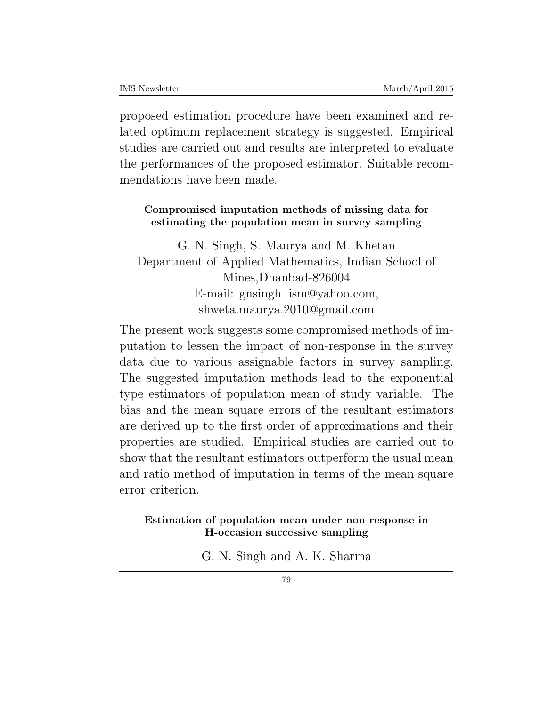proposed estimation procedure have been examined and related optimum replacement strategy is suggested. Empirical studies are carried out and results are interpreted to evaluate the performances of the proposed estimator. Suitable recommendations have been made.

## **Compromised imputation methods of missing data for estimating the population mean in survey sampling**

G. N. Singh, S. Maurya and M. Khetan Department of Applied Mathematics, Indian School of Mines,Dhanbad-826004 E-mail: gnsingh*−*ism@yahoo*.*com, shweta.maurya.2010@gmail.com

The present work suggests some compromised methods of imputation to lessen the impact of non-response in the survey data due to various assignable factors in survey sampling. The suggested imputation methods lead to the exponential type estimators of population mean of study variable. The bias and the mean square errors of the resultant estimators are derived up to the first order of approximations and their properties are studied. Empirical studies are carried out to show that the resultant estimators outperform the usual mean and ratio method of imputation in terms of the mean square error criterion.

## **Estimation of population mean under non-response in H-occasion successive sampling**

G. N. Singh and A. K. Sharma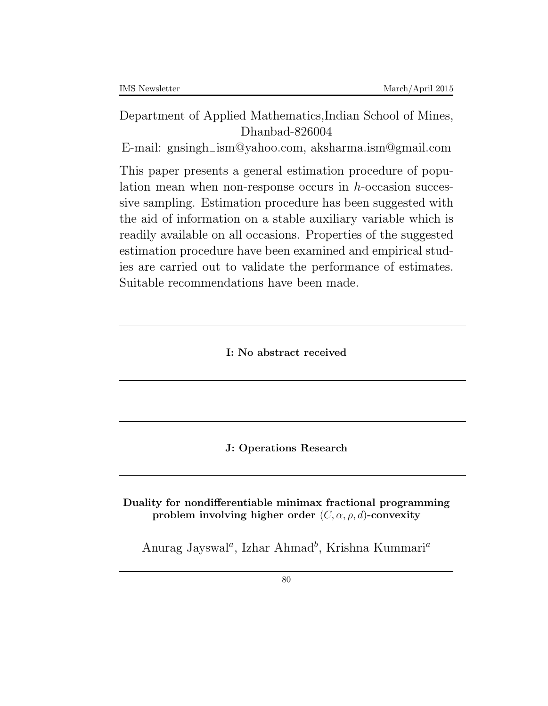# Department of Applied Mathematics,Indian School of Mines, Dhanbad-826004

E-mail: gnsingh*−*ism@yahoo*.*com, aksharma.ism@gmail.com

This paper presents a general estimation procedure of population mean when non-response occurs in *h*-occasion successive sampling. Estimation procedure has been suggested with the aid of information on a stable auxiliary variable which is readily available on all occasions. Properties of the suggested estimation procedure have been examined and empirical studies are carried out to validate the performance of estimates. Suitable recommendations have been made.

**I: No abstract received**

**J: Operations Research**

**Duality for nondifferentiable minimax fractional programming problem involving higher order** (*C, α, ρ, d*)**-convexity**

Anurag Jayswal*<sup>a</sup>* , Izhar Ahmad*<sup>b</sup>* , Krishna Kummari*<sup>a</sup>*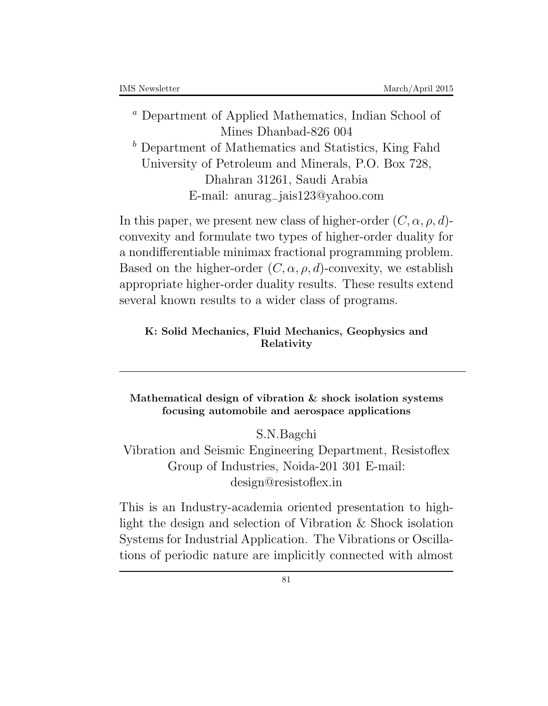*<sup>a</sup>* Department of Applied Mathematics, Indian School of Mines Dhanbad-826 004 *<sup>b</sup>* Department of Mathematics and Statistics, King Fahd University of Petroleum and Minerals, P.O. Box 728, Dhahran 31261, Saudi Arabia E-mail: anurag*−*jais123@yahoo.com

In this paper, we present new class of higher-order  $(C, \alpha, \rho, d)$ convexity and formulate two types of higher-order duality for a nondifferentiable minimax fractional programming problem. Based on the higher-order  $(C, \alpha, \rho, d)$ -convexity, we establish appropriate higher-order duality results. These results extend several known results to a wider class of programs.

### **K: Solid Mechanics, Fluid Mechanics, Geophysics and Relativity**

**Mathematical design of vibration & shock isolation systems focusing automobile and aerospace applications**

S.N.Bagchi

Vibration and Seismic Engineering Department, Resistoflex Group of Industries, Noida-201 301 E-mail: design@resistoflex.in

This is an Industry-academia oriented presentation to highlight the design and selection of Vibration & Shock isolation Systems for Industrial Application. The Vibrations or Oscillations of periodic nature are implicitly connected with almost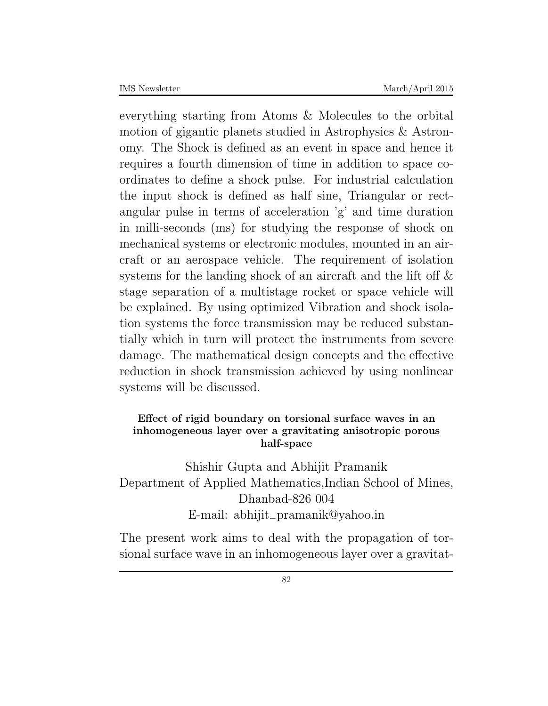everything starting from Atoms & Molecules to the orbital motion of gigantic planets studied in Astrophysics & Astronomy. The Shock is defined as an event in space and hence it requires a fourth dimension of time in addition to space coordinates to define a shock pulse. For industrial calculation the input shock is defined as half sine, Triangular or rectangular pulse in terms of acceleration 'g' and time duration in milli-seconds (ms) for studying the response of shock on mechanical systems or electronic modules, mounted in an aircraft or an aerospace vehicle. The requirement of isolation systems for the landing shock of an aircraft and the lift off & stage separation of a multistage rocket or space vehicle will be explained. By using optimized Vibration and shock isolation systems the force transmission may be reduced substantially which in turn will protect the instruments from severe damage. The mathematical design concepts and the effective reduction in shock transmission achieved by using nonlinear systems will be discussed.

## **Effect of rigid boundary on torsional surface waves in an inhomogeneous layer over a gravitating anisotropic porous half-space**

# Shishir Gupta and Abhijit Pramanik Department of Applied Mathematics,Indian School of Mines, Dhanbad-826 004 E-mail: abhijit*−*pramanik@yahoo.in

The present work aims to deal with the propagation of torsional surface wave in an inhomogeneous layer over a gravitat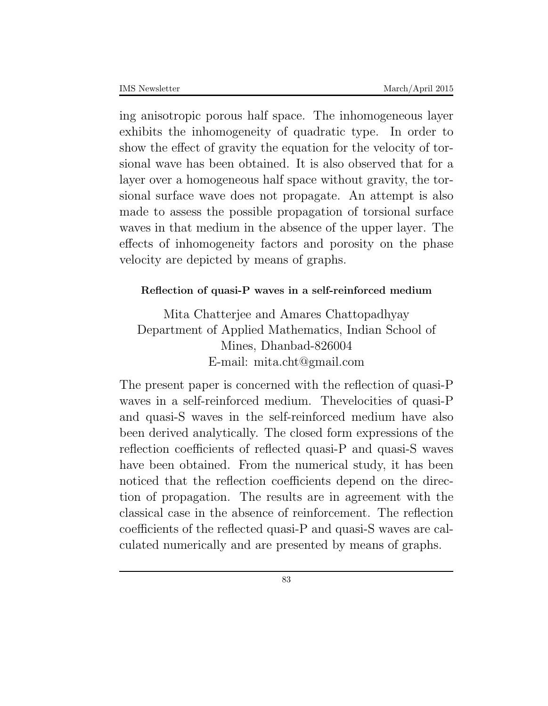ing anisotropic porous half space. The inhomogeneous layer exhibits the inhomogeneity of quadratic type. In order to show the effect of gravity the equation for the velocity of torsional wave has been obtained. It is also observed that for a layer over a homogeneous half space without gravity, the torsional surface wave does not propagate. An attempt is also made to assess the possible propagation of torsional surface waves in that medium in the absence of the upper layer. The effects of inhomogeneity factors and porosity on the phase velocity are depicted by means of graphs.

## **Reflection of quasi-P waves in a self-reinforced medium**

Mita Chatterjee and Amares Chattopadhyay Department of Applied Mathematics, Indian School of Mines, Dhanbad-826004 E-mail: mita.cht@gmail.com

The present paper is concerned with the reflection of quasi-P waves in a self-reinforced medium. The velocities of quasi-P and quasi-S waves in the self-reinforced medium have also been derived analytically. The closed form expressions of the reflection coefficients of reflected quasi-P and quasi-S waves have been obtained. From the numerical study, it has been noticed that the reflection coefficients depend on the direction of propagation. The results are in agreement with the classical case in the absence of reinforcement. The reflection coefficients of the reflected quasi-P and quasi-S waves are calculated numerically and are presented by means of graphs.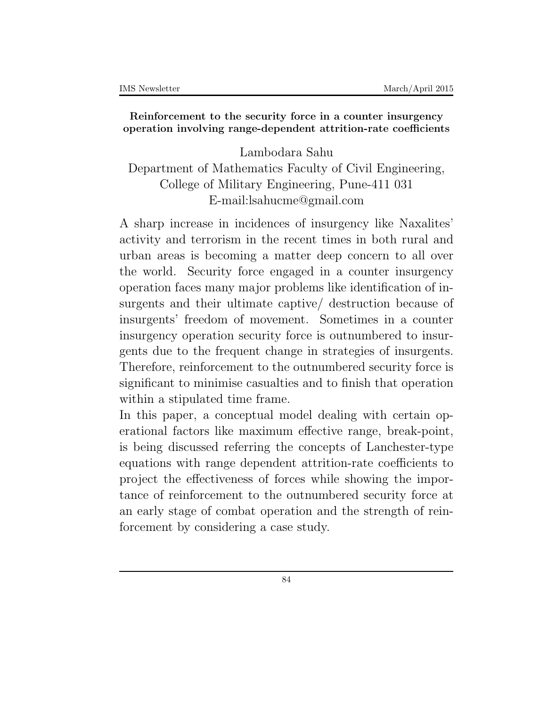### **Reinforcement to the security force in a counter insurgency operation involving range-dependent attrition-rate coefficients**

Lambodara Sahu Department of Mathematics Faculty of Civil Engineering, College of Military Engineering, Pune-411 031 E-mail:lsahucme@gmail.com

A sharp increase in incidences of insurgency like Naxalites' activity and terrorism in the recent times in both rural and urban areas is becoming a matter deep concern to all over the world. Security force engaged in a counter insurgency operation faces many major problems like identification of insurgents and their ultimate captive/ destruction because of insurgents' freedom of movement. Sometimes in a counter insurgency operation security force is outnumbered to insurgents due to the frequent change in strategies of insurgents. Therefore, reinforcement to the outnumbered security force is significant to minimise casualties and to finish that operation within a stipulated time frame.

In this paper, a conceptual model dealing with certain operational factors like maximum effective range, break-point, is being discussed referring the concepts of Lanchester-type equations with range dependent attrition-rate coefficients to project the effectiveness of forces while showing the importance of reinforcement to the outnumbered security force at an early stage of combat operation and the strength of reinforcement by considering a case study.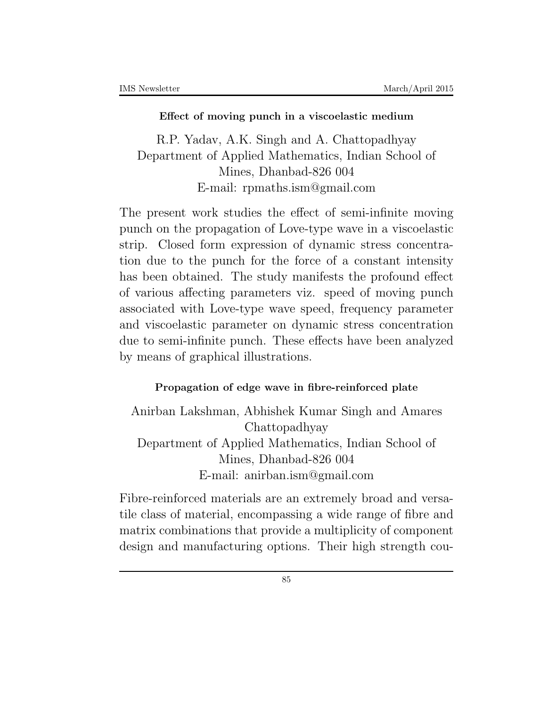#### **Effect of moving punch in a viscoelastic medium**

R.P. Yadav, A.K. Singh and A. Chattopadhyay Department of Applied Mathematics, Indian School of Mines, Dhanbad-826 004 E-mail: rpmaths.ism@gmail.com

The present work studies the effect of semi-infinite moving punch on the propagation of Love-type wave in a viscoelastic strip. Closed form expression of dynamic stress concentration due to the punch for the force of a constant intensity has been obtained. The study manifests the profound effect of various affecting parameters viz. speed of moving punch associated with Love-type wave speed, frequency parameter and viscoelastic parameter on dynamic stress concentration due to semi-infinite punch. These effects have been analyzed by means of graphical illustrations.

## **Propagation of edge wave in fibre-reinforced plate**

Anirban Lakshman, Abhishek Kumar Singh and Amares Chattopadhyay Department of Applied Mathematics, Indian School of Mines, Dhanbad-826 004 E-mail: anirban.ism@gmail.com

Fibre-reinforced materials are an extremely broad and versatile class of material, encompassing a wide range of fibre and matrix combinations that provide a multiplicity of component design and manufacturing options. Their high strength cou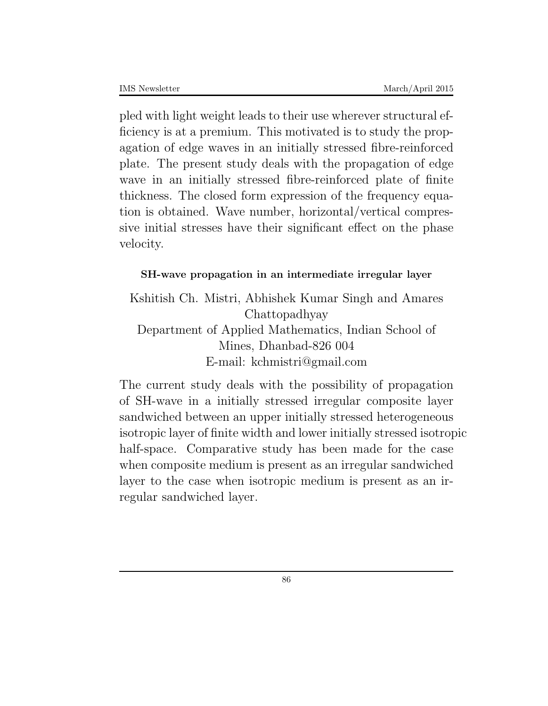pled with light weight leads to their use wherever structural efficiency is at a premium. This motivated is to study the propagation of edge waves in an initially stressed fibre-reinforced plate. The present study deals with the propagation of edge wave in an initially stressed fibre-reinforced plate of finite thickness. The closed form expression of the frequency equation is obtained. Wave number, horizontal/vertical compressive initial stresses have their significant effect on the phase velocity.

# **SH-wave propagation in an intermediate irregular layer**

Kshitish Ch. Mistri, Abhishek Kumar Singh and Amares Chattopadhyay Department of Applied Mathematics, Indian School of Mines, Dhanbad-826 004 E-mail: kchmistri@gmail.com

The current study deals with the possibility of propagation of SH-wave in a initially stressed irregular composite layer sandwiched between an upper initially stressed heterogeneous isotropic layer of finite width and lower initially stressed isotropic half-space. Comparative study has been made for the case when composite medium is present as an irregular sandwiched layer to the case when isotropic medium is present as an irregular sandwiched layer.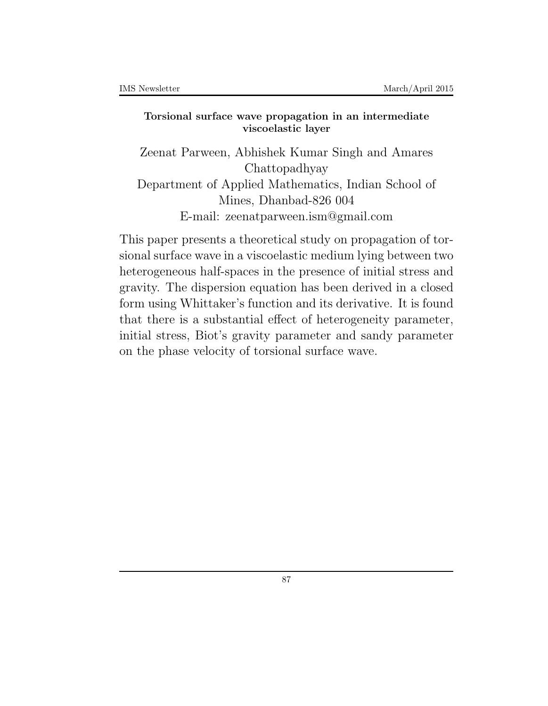#### **Torsional surface wave propagation in an intermediate viscoelastic layer**

Zeenat Parween, Abhishek Kumar Singh and Amares Chattopadhyay Department of Applied Mathematics, Indian School of Mines, Dhanbad-826 004 E-mail: zeenatparween.ism@gmail.com

This paper presents a theoretical study on propagation of torsional surface wave in a viscoelastic medium lying between two heterogeneous half-spaces in the presence of initial stress and gravity. The dispersion equation has been derived in a closed form using Whittaker's function and its derivative. It is found that there is a substantial effect of heterogeneity parameter, initial stress, Biot's gravity parameter and sandy parameter on the phase velocity of torsional surface wave.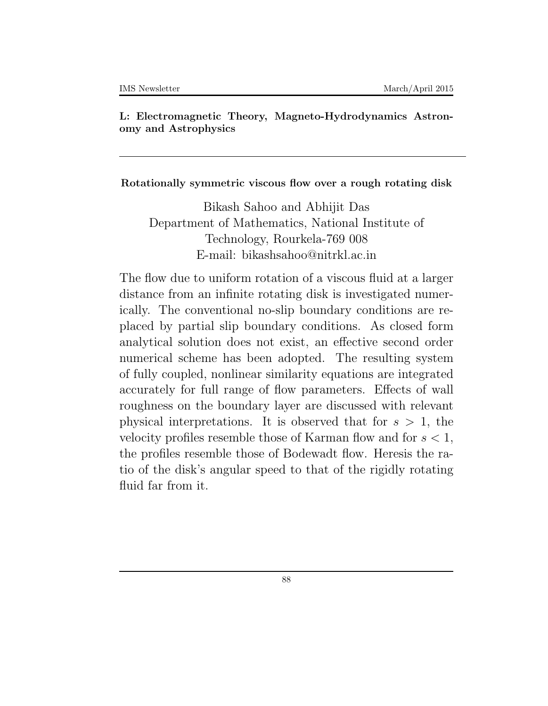**L: Electromagnetic Theory, Magneto-Hydrodynamics Astronomy and Astrophysics**

**Rotationally symmetric viscous flow over a rough rotating disk**

Bikash Sahoo and Abhijit Das Department of Mathematics, National Institute of Technology, Rourkela-769 008 E-mail: bikashsahoo@nitrkl.ac.in

The flow due to uniform rotation of a viscous fluid at a larger distance from an infinite rotating disk is investigated numerically. The conventional no-slip boundary conditions are replaced by partial slip boundary conditions. As closed form analytical solution does not exist, an effective second order numerical scheme has been adopted. The resulting system of fully coupled, nonlinear similarity equations are integrated accurately for full range of flow parameters. Effects of wall roughness on the boundary layer are discussed with relevant physical interpretations. It is observed that for *s >* 1, the velocity profiles resemble those of Karman flow and for *s <* 1, the profiles resemble those of Bodewadt flow. Heresis the ratio of the disk's angular speed to that of the rigidly rotating fluid far from it.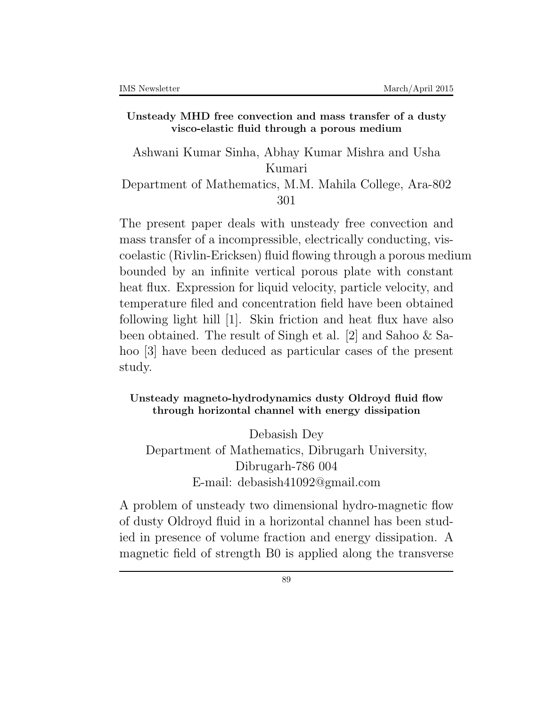#### **Unsteady MHD free convection and mass transfer of a dusty visco-elastic fluid through a porous medium**

Ashwani Kumar Sinha, Abhay Kumar Mishra and Usha Kumari

Department of Mathematics, M.M. Mahila College, Ara-802 301

The present paper deals with unsteady free convection and mass transfer of a incompressible, electrically conducting, viscoelastic (Rivlin-Ericksen) fluid flowing through a porous medium bounded by an infinite vertical porous plate with constant heat flux. Expression for liquid velocity, particle velocity, and temperature filed and concentration field have been obtained following light hill [1]. Skin friction and heat flux have also been obtained. The result of Singh et al. [2] and Sahoo & Sahoo [3] have been deduced as particular cases of the present study.

#### **Unsteady magneto-hydrodynamics dusty Oldroyd fluid flow through horizontal channel with energy dissipation**

Debasish Dey Department of Mathematics, Dibrugarh University, Dibrugarh-786 004 E-mail: debasish41092@gmail.com

A problem of unsteady two dimensional hydro-magnetic flow of dusty Oldroyd fluid in a horizontal channel has been studied in presence of volume fraction and energy dissipation. A magnetic field of strength B0 is applied along the transverse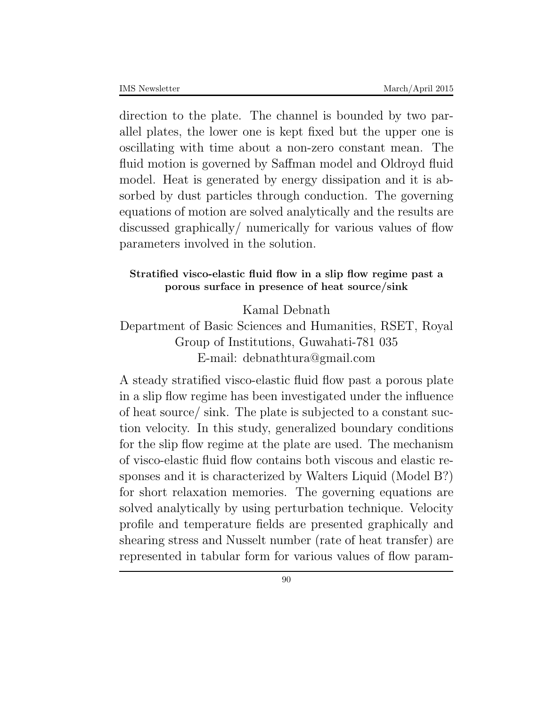direction to the plate. The channel is bounded by two parallel plates, the lower one is kept fixed but the upper one is oscillating with time about a non-zero constant mean. The fluid motion is governed by Saffman model and Oldroyd fluid model. Heat is generated by energy dissipation and it is absorbed by dust particles through conduction. The governing equations of motion are solved analytically and the results are discussed graphically/ numerically for various values of flow parameters involved in the solution.

# **Stratified visco-elastic fluid flow in a slip flow regime past a porous surface in presence of heat source/sink**

Kamal Debnath

# Department of Basic Sciences and Humanities, RSET, Royal Group of Institutions, Guwahati-781 035 E-mail: debnathtura@gmail.com

A steady stratified visco-elastic fluid flow past a porous plate in a slip flow regime has been investigated under the influence of heat source/ sink. The plate is subjected to a constant suction velocity. In this study, generalized boundary conditions for the slip flow regime at the plate are used. The mechanism of visco-elastic fluid flow contains both viscous and elastic responses and it is characterized by Walters Liquid (Model B?) for short relaxation memories. The governing equations are solved analytically by using perturbation technique. Velocity profile and temperature fields are presented graphically and shearing stress and Nusselt number (rate of heat transfer) are represented in tabular form for various values of flow param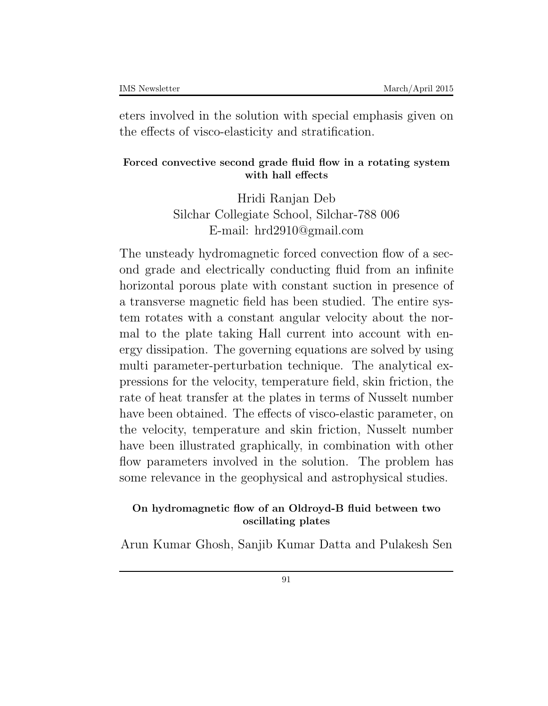eters involved in the solution with special emphasis given on the effects of visco-elasticity and stratification.

### **Forced convective second grade fluid flow in a rotating system with hall effects**

Hridi Ranjan Deb Silchar Collegiate School, Silchar-788 006 E-mail: hrd2910@gmail.com

The unsteady hydromagnetic forced convection flow of a second grade and electrically conducting fluid from an infinite horizontal porous plate with constant suction in presence of a transverse magnetic field has been studied. The entire system rotates with a constant angular velocity about the normal to the plate taking Hall current into account with energy dissipation. The governing equations are solved by using multi parameter-perturbation technique. The analytical expressions for the velocity, temperature field, skin friction, the rate of heat transfer at the plates in terms of Nusselt number have been obtained. The effects of visco-elastic parameter, on the velocity, temperature and skin friction, Nusselt number have been illustrated graphically, in combination with other flow parameters involved in the solution. The problem has some relevance in the geophysical and astrophysical studies.

## **On hydromagnetic flow of an Oldroyd-B fluid between two oscillating plates**

Arun Kumar Ghosh, Sanjib Kumar Datta and Pulakesh Sen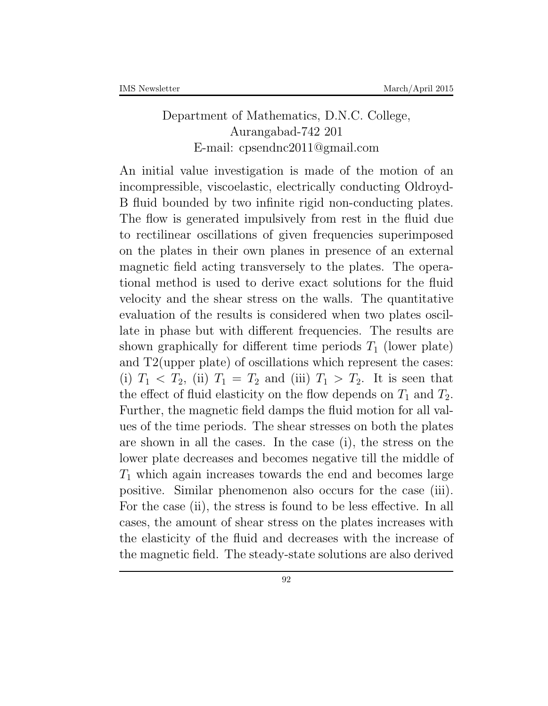# Department of Mathematics, D.N.C. College, Aurangabad-742 201 E-mail: cpsendnc2011@gmail.com

An initial value investigation is made of the motion of an incompressible, viscoelastic, electrically conducting Oldroyd-B fluid bounded by two infinite rigid non-conducting plates. The flow is generated impulsively from rest in the fluid due to rectilinear oscillations of given frequencies superimposed on the plates in their own planes in presence of an external magnetic field acting transversely to the plates. The operational method is used to derive exact solutions for the fluid velocity and the shear stress on the walls. The quantitative evaluation of the results is considered when two plates oscillate in phase but with different frequencies. The results are shown graphically for different time periods  $T_1$  (lower plate) and T2(upper plate) of oscillations which represent the cases: (i)  $T_1 \leq T_2$ , (ii)  $T_1 = T_2$  and (iii)  $T_1 > T_2$ . It is seen that the effect of fluid elasticity on the flow depends on  $T_1$  and  $T_2$ . Further, the magnetic field damps the fluid motion for all values of the time periods. The shear stresses on both the plates are shown in all the cases. In the case (i), the stress on the lower plate decreases and becomes negative till the middle of *T*<sup>1</sup> which again increases towards the end and becomes large positive. Similar phenomenon also occurs for the case (iii). For the case (ii), the stress is found to be less effective. In all cases, the amount of shear stress on the plates increases with the elasticity of the fluid and decreases with the increase of the magnetic field. The steady-state solutions are also derived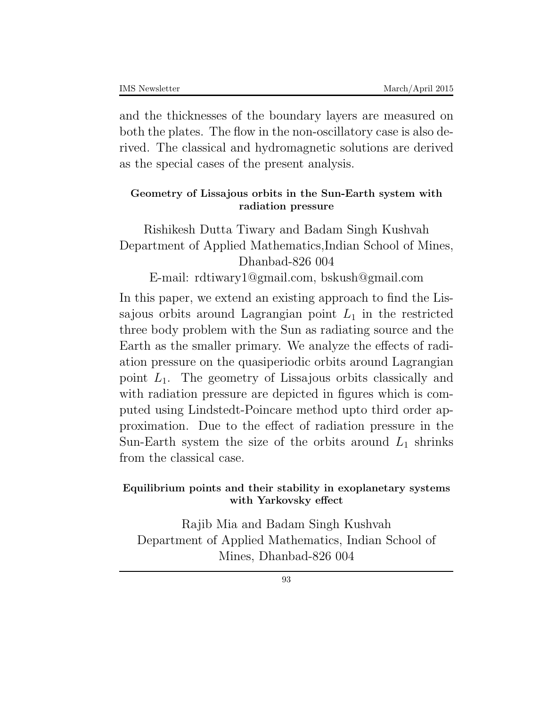and the thicknesses of the boundary layers are measured on both the plates. The flow in the non-oscillatory case is also derived. The classical and hydromagnetic solutions are derived as the special cases of the present analysis.

## **Geometry of Lissajous orbits in the Sun-Earth system with radiation pressure**

Rishikesh Dutta Tiwary and Badam Singh Kushvah Department of Applied Mathematics,Indian School of Mines, Dhanbad-826 004

E-mail: rdtiwary1@gmail.com, bskush@gmail.com

In this paper, we extend an existing approach to find the Lissajous orbits around Lagrangian point  $L_1$  in the restricted three body problem with the Sun as radiating source and the Earth as the smaller primary. We analyze the effects of radiation pressure on the quasiperiodic orbits around Lagrangian point *L*1. The geometry of Lissajous orbits classically and with radiation pressure are depicted in figures which is computed using Lindstedt-Poincare method upto third order approximation. Due to the effect of radiation pressure in the Sun-Earth system the size of the orbits around  $L_1$  shrinks from the classical case.

## **Equilibrium points and their stability in exoplanetary systems with Yarkovsky effect**

Rajib Mia and Badam Singh Kushvah Department of Applied Mathematics, Indian School of Mines, Dhanbad-826 004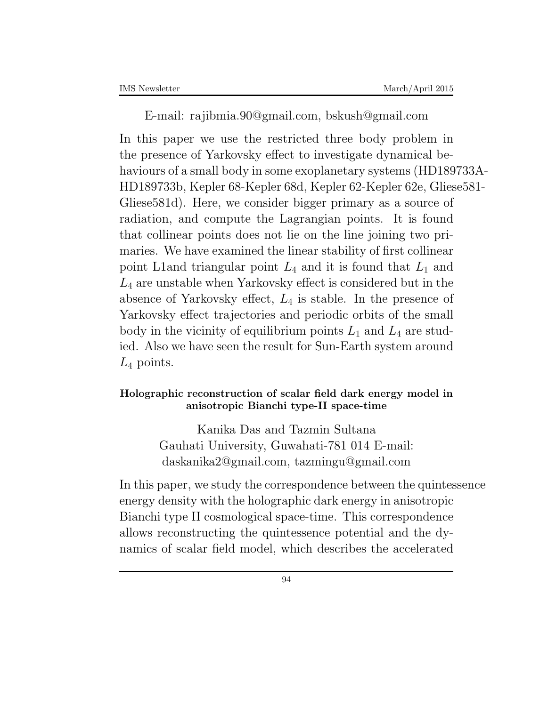E-mail: rajibmia.90@gmail.com, bskush@gmail.com

In this paper we use the restricted three body problem in the presence of Yarkovsky effect to investigate dynamical behaviours of a small body in some exoplanetary systems (HD189733A-HD189733b, Kepler 68-Kepler 68d, Kepler 62-Kepler 62e, Gliese581- Gliese581d). Here, we consider bigger primary as a source of radiation, and compute the Lagrangian points. It is found that collinear points does not lie on the line joining two primaries. We have examined the linear stability of first collinear point L1and triangular point  $L_4$  and it is found that  $L_1$  and *L*<sup>4</sup> are unstable when Yarkovsky effect is considered but in the absence of Yarkovsky effect, *L*<sup>4</sup> is stable. In the presence of Yarkovsky effect trajectories and periodic orbits of the small body in the vicinity of equilibrium points  $L_1$  and  $L_4$  are studied. Also we have seen the result for Sun-Earth system around *L*<sup>4</sup> points.

### **Holographic reconstruction of scalar field dark energy model in anisotropic Bianchi type-II space-time**

Kanika Das and Tazmin Sultana Gauhati University, Guwahati-781 014 E-mail: daskanika2@gmail.com, tazmingu@gmail.com

In this paper, we study the correspondence between the quintessence energy density with the holographic dark energy in anisotropic Bianchi type II cosmological space-time. This correspondence allows reconstructing the quintessence potential and the dynamics of scalar field model, which describes the accelerated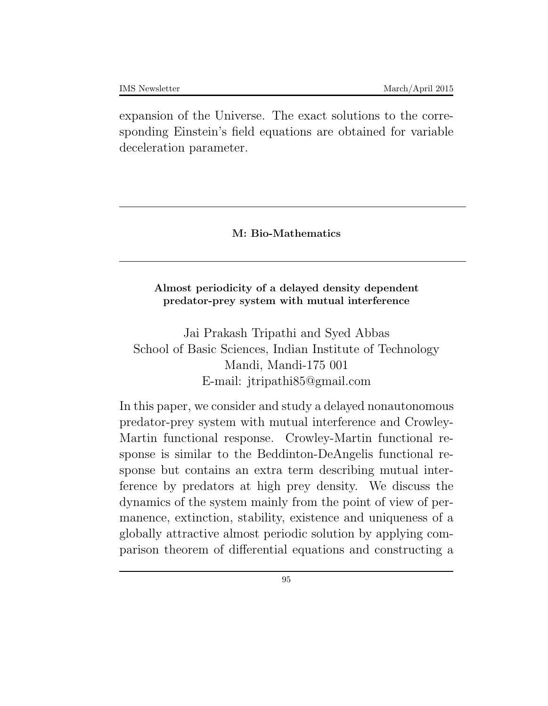expansion of the Universe. The exact solutions to the corresponding Einstein's field equations are obtained for variable deceleration parameter.

**M: Bio-Mathematics**

### **Almost periodicity of a delayed density dependent predator-prey system with mutual interference**

Jai Prakash Tripathi and Syed Abbas School of Basic Sciences, Indian Institute of Technology Mandi, Mandi-175 001 E-mail: jtripathi85@gmail.com

In this paper, we consider and study a delayed nonautonomous predator-prey system with mutual interference and Crowley-Martin functional response. Crowley-Martin functional response is similar to the Beddinton-DeAngelis functional response but contains an extra term describing mutual interference by predators at high prey density. We discuss the dynamics of the system mainly from the point of view of permanence, extinction, stability, existence and uniqueness of a globally attractive almost periodic solution by applying comparison theorem of differential equations and constructing a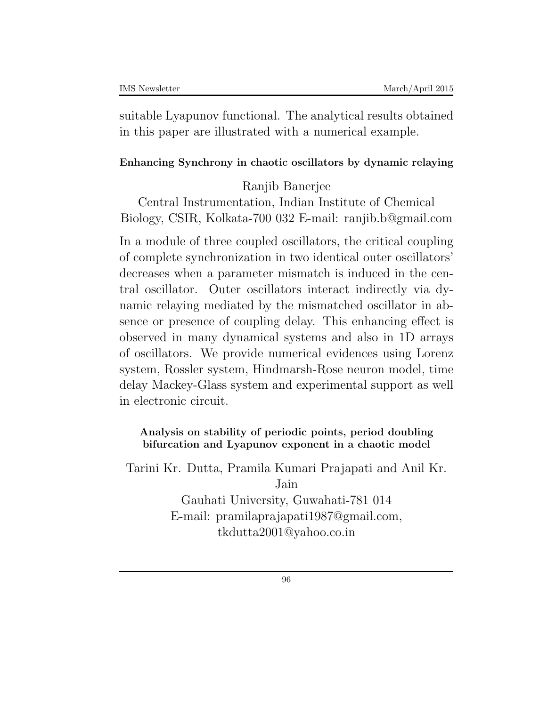suitable Lyapunov functional. The analytical results obtained in this paper are illustrated with a numerical example.

# **Enhancing Synchrony in chaotic oscillators by dynamic relaying**

# Ranjib Banerjee

Central Instrumentation, Indian Institute of Chemical Biology, CSIR, Kolkata-700 032 E-mail: ranjib.b@gmail.com

In a module of three coupled oscillators, the critical coupling of complete synchronization in two identical outer oscillators' decreases when a parameter mismatch is induced in the central oscillator. Outer oscillators interact indirectly via dynamic relaying mediated by the mismatched oscillator in absence or presence of coupling delay. This enhancing effect is observed in many dynamical systems and also in 1D arrays of oscillators. We provide numerical evidences using Lorenz system, Rossler system, Hindmarsh-Rose neuron model, time delay Mackey-Glass system and experimental support as well in electronic circuit.

# **Analysis on stability of periodic points, period doubling bifurcation and Lyapunov exponent in a chaotic model**

Tarini Kr. Dutta, Pramila Kumari Prajapati and Anil Kr. Jain

> Gauhati University, Guwahati-781 014 E-mail: pramilaprajapati1987@gmail.com, tkdutta2001@yahoo.co.in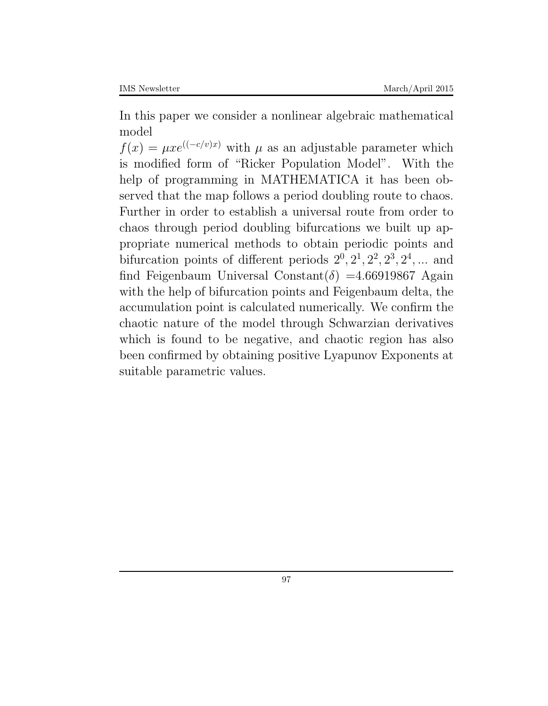In this paper we consider a nonlinear algebraic mathematical model

 $f(x) = \mu x e^{((-c/v)x)}$  with  $\mu$  as an adjustable parameter which is modified form of "Ricker Population Model". With the help of programming in MATHEMATICA it has been observed that the map follows a period doubling route to chaos. Further in order to establish a universal route from order to chaos through period doubling bifurcations we built up appropriate numerical methods to obtain periodic points and bifurcation points of different periods  $2^0$ ,  $2^1$ ,  $2^2$ ,  $2^3$ ,  $2^4$ , ... and find Feigenbaum Universal Constant( $\delta$ ) =4.66919867 Again with the help of bifurcation points and Feigenbaum delta, the accumulation point is calculated numerically. We confirm the chaotic nature of the model through Schwarzian derivatives which is found to be negative, and chaotic region has also been confirmed by obtaining positive Lyapunov Exponents at suitable parametric values.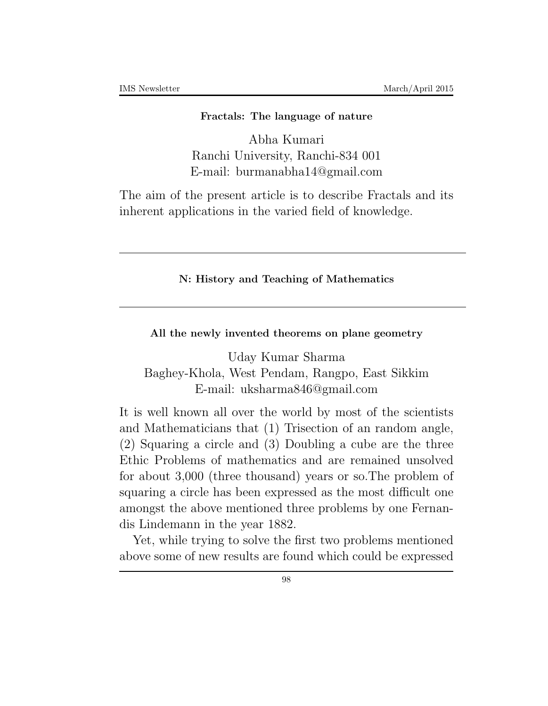#### **Fractals: The language of nature**

Abha Kumari Ranchi University, Ranchi-834 001 E-mail: burmanabha14@gmail.com

The aim of the present article is to describe Fractals and its inherent applications in the varied field of knowledge.

#### **N: History and Teaching of Mathematics**

**All the newly invented theorems on plane geometry**

Uday Kumar Sharma Baghey-Khola, West Pendam, Rangpo, East Sikkim E-mail: uksharma846@gmail.com

It is well known all over the world by most of the scientists and Mathematicians that (1) Trisection of an random angle, (2) Squaring a circle and (3) Doubling a cube are the three Ethic Problems of mathematics and are remained unsolved for about 3,000 (three thousand) years or so.The problem of squaring a circle has been expressed as the most difficult one amongst the above mentioned three problems by one Fernandis Lindemann in the year 1882.

Yet, while trying to solve the first two problems mentioned above some of new results are found which could be expressed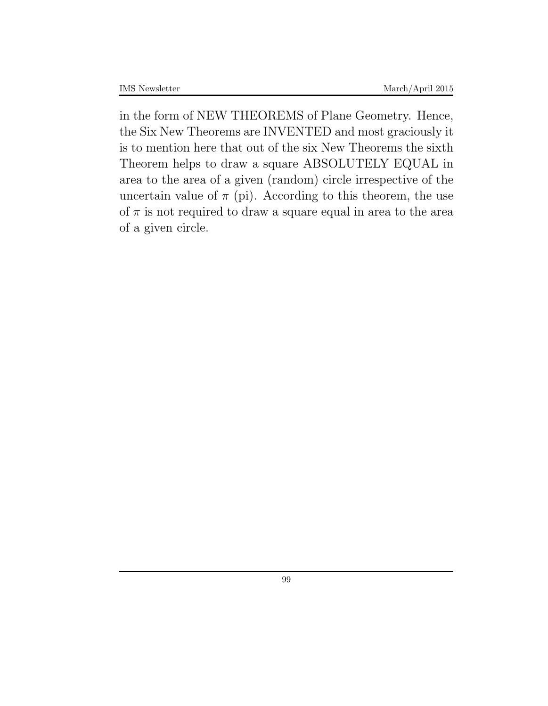in the form of NEW THEOREMS of Plane Geometry. Hence, the Six New Theorems are INVENTED and most graciously it is to mention here that out of the six New Theorems the sixth Theorem helps to draw a square ABSOLUTELY EQUAL in area to the area of a given (random) circle irrespective of the uncertain value of  $\pi$  (pi). According to this theorem, the use of  $\pi$  is not required to draw a square equal in area to the area of a given circle.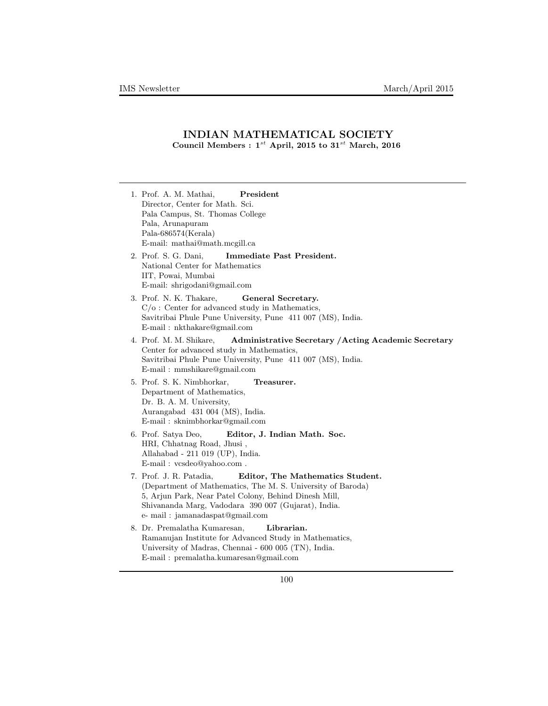## **INDIAN MATHEMATICAL SOCIETY Council Members :**  $1^{st}$  **April, 2015** to  $31^{st}$  **March, 2016**

| President<br>1. Prof. A. M. Mathai,<br>Director, Center for Math. Sci.                                                                                                                                                                                                        |
|-------------------------------------------------------------------------------------------------------------------------------------------------------------------------------------------------------------------------------------------------------------------------------|
| Pala Campus, St. Thomas College                                                                                                                                                                                                                                               |
| Pala, Arunapuram<br>Pala-686574(Kerala)                                                                                                                                                                                                                                       |
| E-mail: mathai@math.mcgill.ca                                                                                                                                                                                                                                                 |
| 2. Prof. S. G. Dani,<br>Immediate Past President.<br>National Center for Mathematics<br>IIT, Powai, Mumbai                                                                                                                                                                    |
| E-mail: shrigodani@gmail.com                                                                                                                                                                                                                                                  |
| 3. Prof. N. K. Thakare,<br>General Secretary.<br>$C/\sigma$ : Center for advanced study in Mathematics,<br>Savitribai Phule Pune University, Pune 411 007 (MS), India.<br>E-mail: nkthakare@gmail.com                                                                         |
| 4. Prof. M. M. Shikare,<br>Administrative Secretary / Acting Academic Secretary<br>Center for advanced study in Mathematics,<br>Savitribai Phule Pune University, Pune 411 007 (MS), India.<br>E-mail: mmshikare@gmail.com                                                    |
| 5. Prof. S. K. Nimbhorkar,<br>Treasurer.<br>Department of Mathematics,<br>Dr. B. A. M. University,<br>Aurangabad 431 004 (MS), India.<br>$E$ -mail: sknimbhorkar@gmail.com                                                                                                    |
| 6. Prof. Satya Deo,<br>Editor, J. Indian Math. Soc.<br>HRI, Chhatnag Road, Jhusi,<br>Allahabad - 211 019 (UP), India.<br>E-mail: vcsdeo@yahoo.com.                                                                                                                            |
| 7. Prof. J. R. Patadia,<br>Editor, The Mathematics Student.<br>(Department of Mathematics, The M. S. University of Baroda)<br>5, Arjun Park, Near Patel Colony, Behind Dinesh Mill,<br>Shivananda Marg, Vadodara 390 007 (Gujarat), India.<br>e- mail: jamanadaspat@gmail.com |
| Librarian.<br>8. Dr. Premalatha Kumaresan,<br>Ramanujan Institute for Advanced Study in Mathematics,<br>University of Madras, Chennai - 600 005 (TN), India.<br>E-mail: premalatha.kumaresan@gmail.com                                                                        |